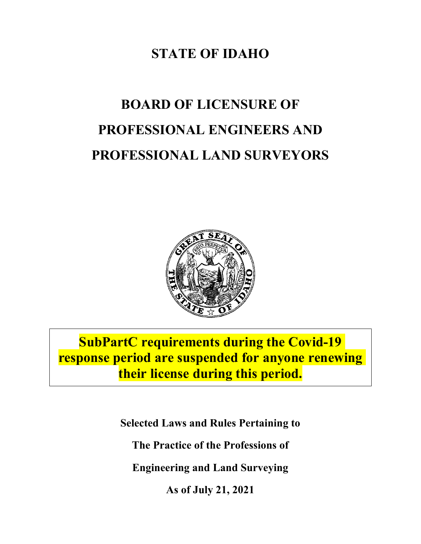## **STATE OF IDAHO**

# **BOARD OF LICENSURE OF PROFESSIONAL ENGINEERS AND PROFESSIONAL LAND SURVEYORS**



**SubPartC requirements during the Covid-19 response period are suspended for anyone renewing their license during this period.**

**Selected Laws and Rules Pertaining to**

**The Practice of the Professions of**

**Engineering and Land Surveying**

**As of July 21, 2021**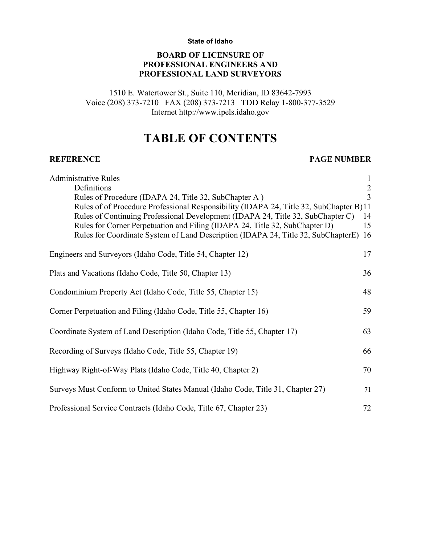#### **State of Idaho**

### **BOARD OF LICENSURE OF PROFESSIONAL ENGINEERS AND PROFESSIONAL LAND SURVEYORS**

1510 E. Watertower St., Suite 110, Meridian, ID 83642-7993 Voice (208) 373-7210 FAX (208) 373-7213 TDD Relay 1-800-377-3529 Internet http://www.ipels.idaho.gov

### **TABLE OF CONTENTS**

#### **REFERENCE PAGE NUMBER**

| <b>Administrative Rules</b>                                                            | $\mathbf{1}$  |
|----------------------------------------------------------------------------------------|---------------|
| Definitions                                                                            | $\frac{2}{3}$ |
| Rules of Procedure (IDAPA 24, Title 32, SubChapter A)                                  |               |
| Rules of of Procedure Professional Responsibility (IDAPA 24, Title 32, SubChapter B)11 |               |
| Rules of Continuing Professional Development (IDAPA 24, Title 32, SubChapter C)        | 14            |
| Rules for Corner Perpetuation and Filing (IDAPA 24, Title 32, SubChapter D)            | 15            |
| Rules for Coordinate System of Land Description (IDAPA 24, Title 32, SubChapterE)      | 16            |
| Engineers and Surveyors (Idaho Code, Title 54, Chapter 12)                             | 17            |
| Plats and Vacations (Idaho Code, Title 50, Chapter 13)                                 | 36            |
| Condominium Property Act (Idaho Code, Title 55, Chapter 15)                            | 48            |
| Corner Perpetuation and Filing (Idaho Code, Title 55, Chapter 16)                      | 59            |
| Coordinate System of Land Description (Idaho Code, Title 55, Chapter 17)               | 63            |
| Recording of Surveys (Idaho Code, Title 55, Chapter 19)                                | 66            |
| Highway Right-of-Way Plats (Idaho Code, Title 40, Chapter 2)                           | 70            |
| Surveys Must Conform to United States Manual (Idaho Code, Title 31, Chapter 27)        | 71            |
| Professional Service Contracts (Idaho Code, Title 67, Chapter 23)                      | 72            |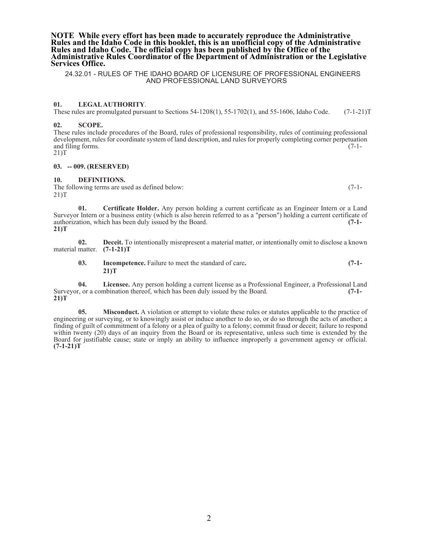#### **NOTE While every effort has been made to accurately reproduce the Administrative Rules and the Idaho Code in this booklet, this is an unofficial copy of the Administrative**  Administrative Rules Coordinator of the Department of Administration or the Legislative **Services Office.**

#### 24.32.01 - RULES OF THE IDAHO BOARD OF LICENSURE OF PROFESSIONAL ENGINEERS AND PROFESSIONAL LAND SURVEYORS

#### **01. LEGALAUTHORITY**.

These rules are promulgated pursuant to Sections 54-1208(1), 55-1702(1), and 55-1606, Idaho Code. (7-1-21)T

#### **02. SCOPE.**

These rules include procedures of the Board, rules of professional responsibility, rules of continuing professional development, rules for coordinate system of land description, and rules for properly completing corner perpetuation and filing forms. (7-1-21)T

#### **03. -- 009. (RESERVED)**

#### **10. DEFINITIONS.**

The following terms are used as defined below: (7-1-21)T

**01. Certificate Holder.** Any person holding a current certificate as an Engineer Intern or a Land Surveyor Intern or a business entity (which is also herein referred to as a "person") holding a current certificate of authorization, which has been duly issued by the Board. **(7-1- 21)T**

**02. Deceit.** To intentionally misrepresent a material matter, or intentionally omit to disclose a known material matter. **(7-1-21)T**

**03. Incompetence.** Failure to meet the standard of care**. (7-1- 21)T**

**04. Licensee.** Any person holding a current license as a Professional Engineer, a Professional Land Surveyor, or a combination thereof, which has been duly issued by the Board. **(7-1- 21)T**

**05. Misconduct.** A violation or attempt to violate these rules or statutes applicable to the practice of engineering or surveying, or to knowingly assist or induce another to do so, or do so through the acts of another; a finding of guilt of commitment of a felony or a plea of guilty to a felony; commit fraud or deceit; failure to respond within twenty (20) days of an inquiry from the Board or its representative, unless such time is extended by the Board for justifiable cause; state or imply an ability to influence improperly a government agency or official. **(7-1-21)T**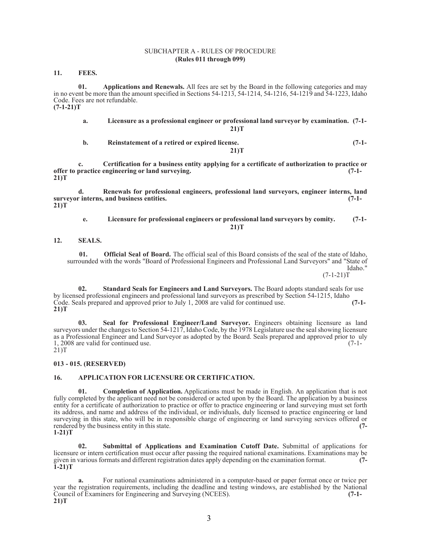#### SUBCHAPTER A - RULES OF PROCEDURE **(Rules 011 through 099)**

**11. FEES.**

**01. Applications and Renewals.** All fees are set by the Board in the following categories and may in no event be more than the amount specified in Sections 54-1213, 54-1214, 54-1216, 54-1219 and 54-1223, Idaho Code. Fees are not refundable. **(7-1-21)T**

| a. | Licensure as a professional engineer or professional land survey or by examination. (7-1- |         |
|----|-------------------------------------------------------------------------------------------|---------|
|    | 21)T                                                                                      |         |
| b. | Reinstatement of a retired or expired license.                                            | $(7-1-$ |
|    | 21)T                                                                                      |         |

**c. Certification for a business entity applying for a certificate of authorization to practice or offer to practice engineering or land surveying. (7-1- 21)T**

**d. Renewals for professional engineers, professional land surveyors, engineer interns, land surveyor interns, and business entities. (7-1- 21)T**

**e. Licensure for professional engineers or professional land surveyors by comity. (7-1- 21)T**

**12. SEALS.**

**01. Official Seal of Board.** The official seal of this Board consists of the seal of the state of Idaho, surrounded with the words "Board of Professional Engineers and Professional Land Surveyors" and "State of Idaho."<br> $(7-1-21)T$  $(7-1-21)$ T

**02. Standard Seals for Engineers and Land Surveyors.** The Board adopts standard seals for use by licensed professional engineers and professional land surveyors as prescribed by Section 54-1215, Idaho Code. Seals prepared and approved prior to July 1, 2008 are valid for continued use. **(7-1-21)T** (7-1-

**03. Seal for Professional Engineer/Land Surveyor.** Engineers obtaining licensure as land surveyors under the changes to Section 54-1217, Idaho Code, by the 1978 Legislature use the seal showing licensure as a Professional Engineer and Land Surveyor as adopted by the Board. Seals prepared and approved prior to uly<br>1. 2008 are valid for continued use. (7-1-1, 2008 are valid for continued use.  $21$ )T

**013 - 015. (RESERVED)**

#### **16. APPLICATION FOR LICENSURE OR CERTIFICATION.**

**Completion of Application.** Applications must be made in English. An application that is not fully completed by the applicant need not be considered or acted upon by the Board. The application by a business entity for a certificate of authorization to practice or offer to practice engineering or land surveying must set forth its address, and name and address of the individual, or individuals, duly licensed to practice engineering or land surveying in this state, who will be in responsible charge of engineering or land surveying services offered or rendered by the business entity in this state. **(7- 1-21)T**

**02. Submittal of Applications and Examination Cutoff Date.** Submittal of applications for licensure or intern certification must occur after passing the required national examinations. Examinations may be given in various formats and different registration dates apply depending on the examination format. **(7- 1-21)T**

**a.** For national examinations administered in a computer-based or paper format once or twice per year the registration requirements, including the deadline and testing windows, are established by the National Council of Examiners for Engineering and Surveying (NCEES). Council of Examiners for Engineering and Surveying (NCEES). **21)T**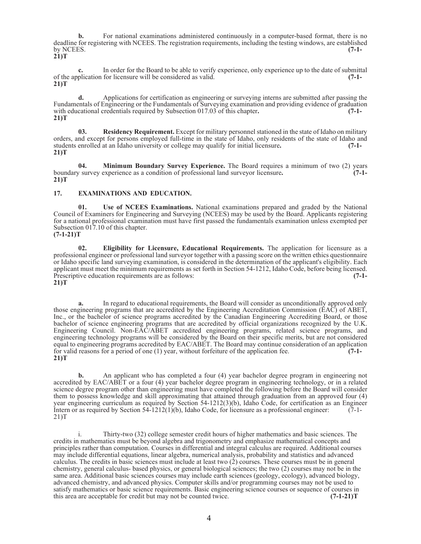**b.** For national examinations administered continuously in a computer-based format, there is no deadline for registering with NCEES. The registration requirements, including the testing windows, are established<br>(7-1by NCEES. **(7-1- 21)T**

**c.** In order for the Board to be able to verify experience, only experience up to the date of submittal of the application for licensure will be considered as valid. **(7-1- 21)T**

**d.** Applications for certification as engineering or surveying interns are submitted after passing the Fundamentals of Engineering or the Fundamentals of Surveying examination and providing evidence of graduation with educational credentials required by Subsection 017.03 of this chapter**. (7-1- 21)T**

**03. Residency Requirement.** Except for military personnel stationed in the state of Idaho on military orders, and except for persons employed full-time in the state of Idaho, only residents of the state of Idaho and students enrolled at an Idaho university or college may qualify for initial licensure**. (7-1- 21)T**

**04. Minimum Boundary Survey Experience.** The Board requires a minimum of two (2) years boundary survey experience as a condition of professional land surveyor licensure**. (7-1- 21)T**

#### **17. EXAMINATIONS AND EDUCATION.**

**01. Use of NCEES Examinations.** National examinations prepared and graded by the National Council of Examiners for Engineering and Surveying (NCEES) may be used by the Board. Applicants registering for a national professional examination must have first passed the fundamentals examination unless exempted per Subsection 017.10 of this chapter. **(7-1-21)T**

**02. Eligibility for Licensure, Educational Requirements.** The application for licensure as a professional engineer or professional land surveyor together with a passing score on the written ethics questionnaire or Idaho specific land surveying examination, is considered in the determination of the applicant's eligibility. Each applicant must meet the minimum requirements as set forth in Section 54-1212, Idaho Code, before being licensed.<br>Prescriptive education requirements are as follows: Prescriptive education requirements are as follows: **21)T**

**a.** In regard to educational requirements, the Board will consider as unconditionally approved only those engineering programs that are accredited by the Engineering Accreditation Commission (EAC) of ABET, Inc., or the bachelor of science programs accredited by the Canadian Engineering Accrediting Board, or those bachelor of science engineering programs that are accredited by official organizations recognized by the U.K. Engineering Council. Non-EAC/ABET accredited engineering programs, related science programs, and engineering technology programs will be considered by the Board on their specific merits, but are not considered equal to engineering programs accredited by EAC/ABET. The Board may continue consideration of an application for valid reasons for a period of one (1) year, without forfeiture of the application fee. **(7-1- 21)T**

**b.** An applicant who has completed a four (4) year bachelor degree program in engineering not accredited by EAC/ABET or a four (4) year bachelor degree program in engineering technology, or in a related science degree program other than engineering must have completed the following before the Board will consider them to possess knowledge and skill approximating that attained through graduation from an approved four (4) year engineering curriculum as required by Section 54-1212(3)(b), Idaho Code, for certification as an Engineer Intern or as required by Section  $54-1212(1)(b)$ , Idaho Code, for licensure as a professional engineer: (7-1- 21) T

i. Thirty-two (32) college semester credit hours of higher mathematics and basic sciences. The credits in mathematics must be beyond algebra and trigonometry and emphasize mathematical concepts and principles rather than computation. Courses in differential and integral calculus are required. Additional courses may include differential equations, linear algebra, numerical analysis, probability and statistics and advanced calculus. The credits in basic sciences must include at least two (2) courses. These courses must be in general chemistry, general calculus- based physics, or general biological sciences; the two (2) courses may not be in the same area. Additional basic sciences courses may include earth sciences (geology, ecology), advanced biology, advanced chemistry, and advanced physics. Computer skills and/or programming courses may not be used to satisfy mathematics or basic science requirements. Basic engineering science courses or sequence of courses in this area are acceptable for credit but may not be counted twice. **(7-1-21)T**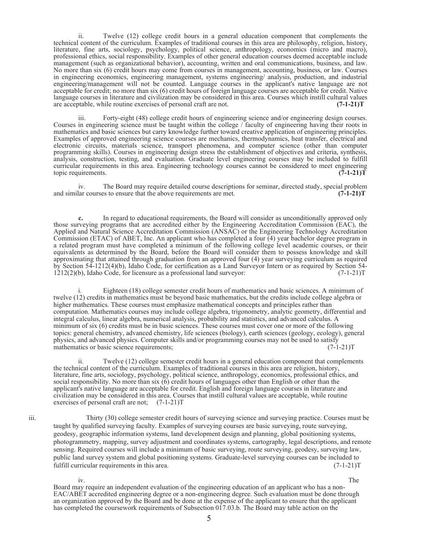ii. Twelve (12) college credit hours in a general education component that complements the technical content of the curriculum. Examples of traditional courses in this area are philosophy, religion, history, literature, fine arts, sociology, psychology, political science, anthropology, economics (micro and macro), professional ethics, social responsibility. Examples of other general education courses deemed acceptable include management (such as organizational behavior), accounting, written and oral communications, business, and law. No more than six (6) credit hours may come from courses in management, accounting, business, or law. Courses in engineering economics, engineering management, systems engineering/ analysis, production, and industrial engineering/management will not be counted. Language courses in the applicant's native language are not acceptable for credit; no more than six (6) credit hours of foreign language courses are acceptable for credit. Native language courses in literature and civilization may be considered in this area. Courses which instill cultural values are acceptable, while routine exercises of personal craft are not. **(7-1-21)T**

iii. Forty-eight (48) college credit hours of engineering science and/or engineering design courses. Courses in engineering science must be taught within the college / faculty of engineering having their roots in mathematics and basic sciences but carry knowledge further toward creative application of engineering principles. Examples of approved engineering science courses are mechanics, thermodynamics, heat transfer, electrical and electronic circuits, materials science, transport phenomena, and computer science (other than computer programming skills). Courses in engineering design stress the establishment of objectives and criteria, synthesis, analysis, construction, testing, and evaluation. Graduate level engineering courses may be included to fulfill curricular requirements in this area. Engineering technology courses cannot be considered to meet engineering topic requirements. (7-1-21) topic requirements.

iv. The Board may require detailed course descriptions for seminar, directed study, special problem and similar courses to ensure that the above requirements are met. **(7-1-21)T**

**c.** In regard to educational requirements, the Board will consider as unconditionally approved only those surveying programs that are accredited either by the Engineering Accreditation Commission (EAC), the Applied and Natural Science Accreditation Commission (ANSAC) or the Engineering Technology Accreditation Commission (ETAC) of ABET, Inc. An applicant who has completed a four (4) year bachelor degree program in a related program must have completed a minimum of the following college level academic courses, or their equivalents as determined by the Board, before the Board will consider them to possess knowledge and skill approximating that attained through graduation from an approved four (4) year surveying curriculum as required by Section 54-1212(4)(b), Idaho Code, for certification as a Land Surveyor Intern or as required by Section 54- 1212(2)(b), Idaho Code, for licensure as a professional land surveyor: (7-1-21)T

i. Eighteen (18) college semester credit hours of mathematics and basic sciences. A minimum of twelve (12) credits in mathematics must be beyond basic mathematics, but the credits include college algebra or higher mathematics. These courses must emphasize mathematical concepts and principles rather than computation. Mathematics courses may include college algebra, trigonometry, analytic geometry, differential and integral calculus, linear algebra, numerical analysis, probability and statistics, and advanced calculus. A minimum of six (6) credits must be in basic sciences. These courses must cover one or more of the following topics: general chemistry, advanced chemistry, life sciences (biology), earth sciences (geology, ecology), general physics, and advanced physics. Computer skills and/or programming courses may not be used to satisfy mathematics or basic science requirements;<br>(7-1-21)T mathematics or basic science requirements;

ii. Twelve (12) college semester credit hours in a general education component that complements the technical content of the curriculum. Examples of traditional courses in this area are religion, history, literature, fine arts, sociology, psychology, political science, anthropology, economics, professional ethics, and social responsibility. No more than six (6) credit hours of languages other than English or other than the applicant's native language are acceptable for credit. English and foreign language courses in literature and civilization may be considered in this area. Courses that instill cultural values are acceptable, while routine exercises of personal craft are not; (7-1-21)T

iii. Thirty (30) college semester credit hours of surveying science and surveying practice. Courses must be taught by qualified surveying faculty. Examples of surveying courses are basic surveying, route surveying, geodesy, geographic information systems, land development design and planning, global positioning systems, photogrammetry, mapping, survey adjustment and coordinates systems, cartography, legal descriptions, and remote sensing. Required courses will include a minimum of basic surveying, route surveying, geodesy, surveying law, public land survey system and global positioning systems. Graduate-level surveying courses can be included to fulfill curricular requirements in this area.  $(7-1-21)$ T

iv. The contract of the contract of the contract of the contract of the contract of the contract of the contract of the contract of the contract of the contract of the contract of the contract of the contract of the contra Board may require an independent evaluation of the engineering education of an applicant who has a non-EAC/ABET accredited engineering degree or a non-engineering degree. Such evaluation must be done through an organization approved by the Board and be done at the expense of the applicant to ensure that the applicant has completed the coursework requirements of Subsection 017.03.b. The Board may table action on the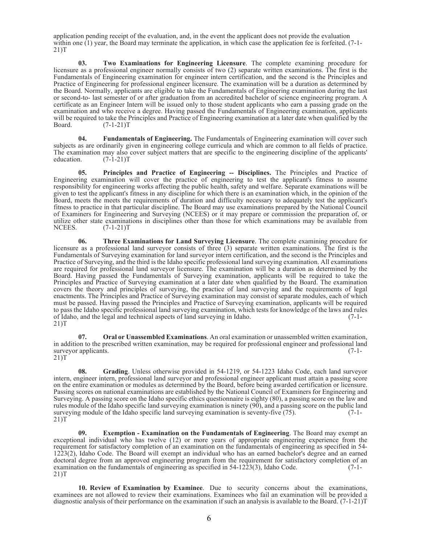application pending receipt of the evaluation, and, in the event the applicant does not provide the evaluation within one (1) year, the Board may terminate the application, in which case the application fee is forfeited. (7-1-21)T

**03. Two Examinations for Engineering Licensure**. The complete examining procedure for licensure as a professional engineer normally consists of two (2) separate written examinations. The first is the Fundamentals of Engineering examination for engineer intern certification, and the second is the Principles and Practice of Engineering for professional engineer licensure. The examination will be a duration as determined by the Board. Normally, applicants are eligible to take the Fundamentals of Engineering examination during the last or second-to- last semester of or after graduation from an accredited bachelor of science engineering program. A certificate as an Engineer Intern will be issued only to those student applicants who earn a passing grade on the examination and who receive a degree. Having passed the Fundamentals of Engineering examination, applicants will be required to take the Principles and Practice of Engineering examination at a later date when qualified by the Board. (7-1-21)T

**04. Fundamentals of Engineering.** The Fundamentals of Engineering examination will cover such subjects as are ordinarily given in engineering college curricula and which are common to all fields of practice. The examination may also cover subject matters that are specific to the engineering discipline of the applicants' education.  $(7-1-21)T$  $(7-1-21)T$ 

**05. Principles and Practice of Engineering -- Disciplines.** The Principles and Practice of Engineering examination will cover the practice of engineering to test the applicant's fitness to assume responsibility for engineering works affecting the public health, safety and welfare. Separate examinations will be given to test the applicant's fitness in any discipline for which there is an examination which, in the opinion of the Board, meets the meets the requirements of duration and difficulty necessary to adequately test the applicant's fitness to practice in that particular discipline. The Board may use examinations prepared by the National Council of Examiners for Engineering and Surveying (NCEES) or it may prepare or commission the preparation of, or utilize other state examinations in disciplines other than those for which examinations may be available from NCEES. (7-1-21)T

**06. Three Examinations for Land Surveying Licensure**. The complete examining procedure for licensure as a professional land surveyor consists of three (3) separate written examinations. The first is the Fundamentals of Surveying examination for land surveyor intern certification, and the second is the Principles and Practice of Surveying, and the third is the Idaho specific professional land surveying examination. All examinations are required for professional land surveyor licensure. The examination will be a duration as determined by the Board. Having passed the Fundamentals of Surveying examination, applicants will be required to take the Principles and Practice of Surveying examination at a later date when qualified by the Board. The examination covers the theory and principles of surveying, the practice of land surveying and the requirements of legal enactments. The Principles and Practice of Surveying examination may consist of separate modules, each of which must be passed. Having passed the Principles and Practice of Surveying examination, applicants will be required to pass the Idaho specific professional land surveying examination, which tests for knowledge of the laws and rules of Idaho, and the legal and technical aspects of land surveying in Idaho. (7-1- 21)T

**07. Oral or Unassembled Examinations**. An oral examination or unassembled written examination, in addition to the prescribed written examination, may be required for professional engineer and professional land surveyor applicants. (7-1surveyor applicants. (7-1-<br>21)T

**08. Grading**. Unless otherwise provided in 54-1219, or 54-1223 Idaho Code, each land surveyor intern, engineer intern, professional land surveyor and professional engineer applicant must attain a passing score on the entire examination or modules as determined by the Board, before being awarded certification or licensure. Passing scores on national examinations are established by the National Council of Examiners for Engineering and Surveying. A passing score on the Idaho specific ethics questionnaire is eighty (80), a passing score on the law and rules module of the Idaho specific land surveying examination is ninety (90), and a passing score on the public land surveying module of the Idaho specific land surveying examination is seventy-five (75). (7-1-21)T

**Exemption - Examination on the Fundamentals of Engineering.** The Board may exempt an exceptional individual who has twelve (12) or more years of appropriate engineering experience from the requirement for satisfactory completion of an examination on the fundamentals of engineering as specified in 54- 1223(2), Idaho Code. The Board will exempt an individual who has an earned bachelor's degree and an earned doctoral degree from an approved engineering program from the requirement for satisfactory completion of an examination on the fundamentals of engineering as specified in 54-1223(3) Idaho Code (7-1examination on the fundamentals of engineering as specified in  $54-1223(3)$ , Idaho Code. 21)T

**10. Review of Examination by Examinee**. Due to security concerns about the examinations, examinees are not allowed to review their examinations. Examinees who fail an examination will be provided a diagnostic analysis of their performance on the examination if such an analysis is available to the Board. (7-1-21)T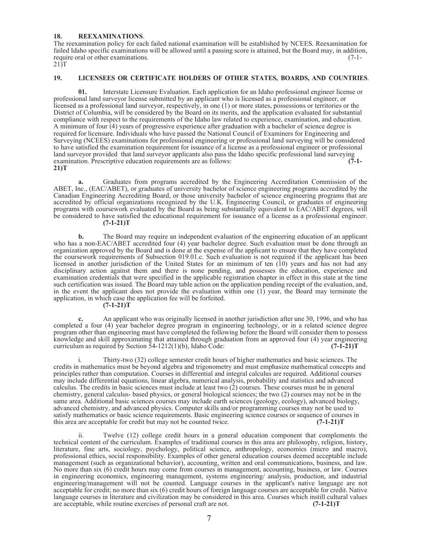#### **18. REEXAMINATIONS**.

The reexamination policy for each failed national examination will be established by NCEES. Reexamination for failed Idaho specific examinations will be allowed until a passing score is attained, but the Board may, in addition, require oral or other examinations. (7-1- $21\overline{)T}$ 

#### **19. LICENSEES OR CERTIFICATE HOLDERS OF OTHER STATES, BOARDS, AND COUNTRIES**.

**01.** Interstate Licensure Evaluation. Each application for an Idaho professional engineer license or professional land surveyor license submitted by an applicant who is licensed as a professional engineer, or licensed as a professional land surveyor, respectively, in one (1) or more states, possessions or territories or the District of Columbia, will be considered by the Board on its merits, and the application evaluated for substantial compliance with respect to the requirements of the Idaho law related to experience, examination, and education. A minimum of four (4) years of progressive experience after graduation with a bachelor of science degree is required for licensure. Individuals who have passed the National Council of Examiners for Engineering and Surveying (NCEES) examinations for professional engineering or professional land surveying will be considered to have satisfied the examination requirement for issuance of a license as a professional engineer or professional land surveyor provided that land surveyor applicants also pass the Idaho specific professional land surveying examination. Prescriptive education requirements are as follows: **(7-1- 21)T**

**a.** Graduates from programs accredited by the Engineering Accreditation Commission of the ABET, Inc., (EAC/ABET), or graduates of university bachelor of science engineering programs accredited by the Canadian Engineering Accrediting Board, or those university bachelor of science engineering programs that are accredited by official organizations recognized by the U.K. Engineering Council, or graduates of engineering programs with coursework evaluated by the Board as being substantially equivalent to EAC/ABET degrees, will be considered to have satisfied the educational requirement for issuance of a license as a professional engineer. **(7-1-21)T**

**b.** The Board may require an independent evaluation of the engineering education of an applicant who has a non-EAC/ABET accredited four (4) year bachelor degree. Such evaluation must be done through an organization approved by the Board and is done at the expense of the applicant to ensure that they have completed the coursework requirements of Subsection 019.01.c. Such evaluation is not required if the applicant has been licensed in another jurisdiction of the United States for an minimum of ten (10) years and has not had any disciplinary action against them and there is none pending, and possesses the education, experience and examination credentials that were specified in the applicable registration chapter in effect in this state at the time such certification was issued. The Board may table action on the application pending receipt of the evaluation, and, in the event the applicant does not provide the evaluation within one (1) year, the Board may terminate the application, in which case the application fee will be forfeited. **(7-1-21)T**

**c.** An applicant who was originally licensed in another jurisdiction after une 30, 1996, and who has completed a four (4) year bachelor degree program in engineering technology, or in a related science degree program other than engineering must have completed the following before the Board will consider them to possess knowledge and skill approximating that attained through graduation from an approved four (4) year engineering curriculum as required by Section 54-1212(1)(b), Idaho Code: **(7-1-21)T**

i. Thirty-two (32) college semester credit hours of higher mathematics and basic sciences. The credits in mathematics must be beyond algebra and trigonometry and must emphasize mathematical concepts and principles rather than computation. Courses in differential and integral calculus are required. Additional courses may include differential equations, linear algebra, numerical analysis, probability and statistics and advanced calculus. The credits in basic sciences must include at least two (2) courses. These courses must be in general chemistry, general calculus- based physics, or general biological sciences; the two (2) courses may not be in the same area. Additional basic sciences courses may include earth sciences (geology, ecology), advanced biology, advanced chemistry, and advanced physics. Computer skills and/or programming courses may not be used to satisfy mathematics or basic science requirements. Basic engineering science courses or sequence of courses in this area are acceptable for credit but may not be counted twice. **(7-1-21)T**

ii. Twelve (12) college credit hours in a general education component that complements the technical content of the curriculum. Examples of traditional courses in this area are philosophy, religion, history, literature, fine arts, sociology, psychology, political science, anthropology, economics (micro and macro), professional ethics, social responsibility. Examples of other general education courses deemed acceptable include management (such as organizational behavior), accounting, written and oral communications, business, and law. No more than six (6) credit hours may come from courses in management, accounting, business, or law. Courses in engineering economics, engineering management, systems engineering/ analysis, production, and industrial engineering/management will not be counted. Language courses in the applicant's native language are not acceptable for credit; no more than six (6) credit hours of foreign language courses are acceptable for credit. Native language courses in literature and civilization may be considered in this area. Courses which instill cultural values are acceptable, while routine exercises of personal craft are not. (7-1-21) are acceptable, while routine exercises of personal craft are not.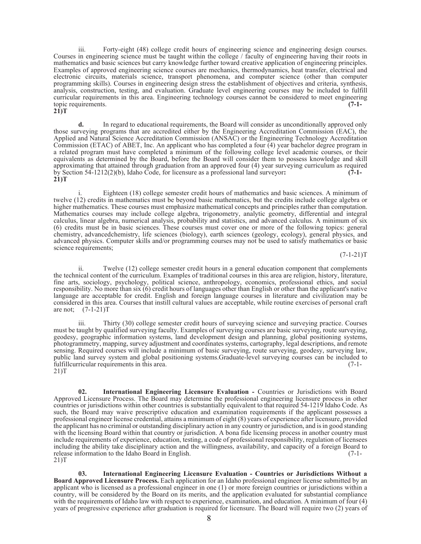iii. Forty-eight (48) college credit hours of engineering science and engineering design courses. Courses in engineering science must be taught within the college / faculty of engineering having their roots in mathematics and basic sciences but carry knowledge further toward creative application of engineering principles. Examples of approved engineering science courses are mechanics, thermodynamics, heat transfer, electrical and electronic circuits, materials science, transport phenomena, and computer science (other than computer programming skills). Courses in engineering design stress the establishment of objectives and criteria, synthesis, analysis, construction, testing, and evaluation. Graduate level engineering courses may be included to fulfill curricular requirements in this area. Engineering technology courses cannot be considered to meet engineering topic requirements. **(7-1- 21)T**

**d.** In regard to educational requirements, the Board will consider as unconditionally approved only those surveying programs that are accredited either by the Engineering Accreditation Commission (EAC), the Applied and Natural Science Accreditation Commission (ANSAC) or the Engineering Technology Accreditation Commission (ETAC) of ABET, Inc. An applicant who has completed a four (4) year bachelor degree program in a related program must have completed a minimum of the following college level academic courses, or their equivalents as determined by the Board, before the Board will consider them to possess knowledge and skill approximating that attained through graduation from an approved four (4) year surveying curriculum as required by Section 54-1212(2)(b), Idaho Code, for licensure as a professional land surveyor**: (7-1- 21)T**

Eighteen (18) college semester credit hours of mathematics and basic sciences. A minimum of twelve (12) credits in mathematics must be beyond basic mathematics, but the credits include college algebra or higher mathematics. These courses must emphasize mathematical concepts and principles rather than computation. Mathematics courses may include college algebra, trigonometry, analytic geometry, differential and integral calculus, linear algebra, numerical analysis, probability and statistics, and advanced calculus. A minimum of six (6) credits must be in basic sciences. These courses must cover one or more of the following topics: general chemistry, advancedchemistry, life sciences (biology), earth sciences (geology, ecology), general physics, and advanced physics. Computer skills and/or programming courses may not be used to satisfy mathematics or basic science requirements;

 $(7-1-21)T$ 

ii. Twelve (12) college semester credit hours in a general education component that complements the technical content of the curriculum. Examples of traditional courses in this area are religion, history, literature, fine arts, sociology, psychology, political science, anthropology, economics, professional ethics, and social responsibility. No more than six (6) credit hours of languages other than English or other than the applicant's native language are acceptable for credit. English and foreign language courses in literature and civilization may be considered in this area. Courses that instill cultural values are acceptable, while routine exercises of personal craft are not; (7-1-21)T

iii. Thirty (30) college semester credit hours of surveying science and surveying practice. Courses must be taught by qualified surveying faculty. Examples of surveying courses are basic surveying, route surveying, geodesy, geographic information systems, land development design and planning, global positioning systems, photogrammetry, mapping, survey adjustment and coordinates systems, cartography, legal descriptions, and remote sensing. Required courses will include a minimum of basic surveying, route surveying, geodesy, surveying law, public land survey system and global positioning systems.Graduate-level surveying courses can be included to fulfillcurricular requirements in this area.  $(7-1-21)$ T

**02. International Engineering Licensure Evaluation -** Countries or Jurisdictions with Board Approved Licensure Process. The Board may determine the professional engineering licensure process in other countries or jurisdictions within other countries is substantially equivalent to that required 54-1219 Idaho Code. As such, the Board may waive prescriptive education and examination requirements if the applicant possesses a professional engineer license credential, attains a minimum of eight (8) years of experience after licensure, provided the applicant has no criminal or outstanding disciplinary action in any country or jurisdiction, and isin good standing with the licensing Board within that country or jurisdiction. A bona fide licensing process in another country must include requirements of experience, education, testing, a code of professional responsibility, regulation of licensees including the ability take disciplinary action and the willingness, availability, and capacity of a foreign Board to release information to the Idaho Board in English. (7-1- 21)T

**03. International Engineering Licensure Evaluation - Countries or Jurisdictions Without a Board Approved Licensure Process.** Each application for an Idaho professional engineer license submitted by an applicant who is licensed as a professional engineer in one (1) or more foreign countries or jurisdictions within a country, will be considered by the Board on its merits, and the application evaluated for substantial compliance with the requirements of Idaho law with respect to experience, examination, and education. A minimum of four (4) years of progressive experience after graduation is required for licensure. The Board will require two (2) years of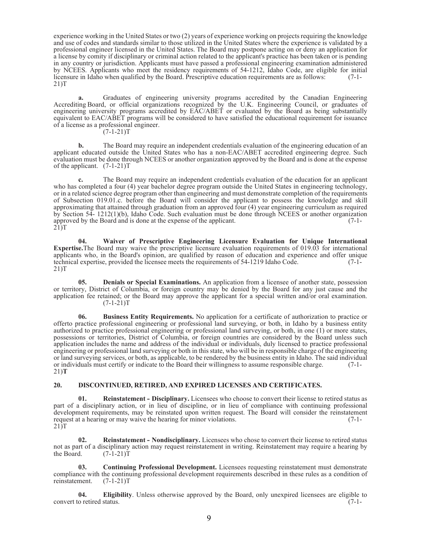experience working in the United States or two (2) years of experience working on projects requiring the knowledge and use of codes and standards similar to those utilized in the United States where the experience is validated by a professional engineer licensed in the United States. The Board may postpone acting on or deny an application for a license by comity if disciplinary or criminal action related to the applicant's practice has been taken or is pending in any country or jurisdiction. Applicants must have passed a professional engineering examination administered by NCEES. Applicants who meet the residency requirements of 54-1212, Idaho Code, are eligible for initial licensure in Idaho when qualified by the Board. Prescriptive education requirements are as follows: (7-1- 21)T

**a.** Graduates of engineering university programs accredited by the Canadian Engineering Accrediting Board, or official organizations recognized by the U.K. Engineering Council, or graduates of engineering university programs accredited by EAC/ABET or evaluated by the Board as being substantially equivalent to EAC/ABET programs will be considered to have satisfied the educational requirement for issuance of a license as a professional engineer.

 $(7-1-21)T$ 

**b.** The Board may require an independent credentials evaluation of the engineering education of an applicant educated outside the United States who has a non-EAC/ABET accredited engineering degree. Such evaluation must be done through NCEES or another organization approved by the Board and is done at the expense of the applicant. (7-1-21)T

**c.** The Board may require an independent credentials evaluation of the education for an applicant who has completed a four (4) year bachelor degree program outside the United States in engineering technology, or in a related science degree program other than engineering and must demonstrate completion of the requirements of Subsection 019.01.c. before the Board will consider the applicant to possess the knowledge and skill approximating that attained through graduation from an approved four (4) year engineering curriculum as required by Section 54- 1212(1)(b), Idaho Code. Such evaluation must be done through NCEES or another organization approved by the Board and is done at the expense of the applicant. (7-1-  $21$ )T

**04. Waiver of Prescriptive Engineering Licensure Evaluation for Unique International Expertise.**The Board may waive the prescriptive licensure evaluation requirements of 019.03 for international applicants who, in the Board's opinion, are qualified by reason of education and experience and offer unique technical expertise, provided the licensee meets the requirements of 54-1219 Idaho Code. (7-1- 21)T

**05. Denials or Special Examinations.** An application from a licensee of another state, possession or territory, District of Columbia, or foreign country may be denied by the Board for any just cause and the application fee retained; or the Board may approve the applicant for a special written and/or oral examination.  $(7-1-21)T$ 

**06. Business Entity Requirements.** No application for a certificate of authorization to practice or offerto practice professional engineering or professional land surveying, or both, in Idaho by a business entity authorized to practice professional engineering or professional land surveying, or both, in one (1) or more states, possessions or territories, District of Columbia, or foreign countries are considered by the Board unless such application includes the name and address of the individual or individuals, duly licensed to practice professional engineering or professional land surveying or both in this state, who will be in responsible charge of the engineering or land surveying services, or both, as applicable, to be rendered by the business entity in Idaho. The said individual or individuals must certify or indicate to the Board their willingness to assume responsible charge. (7-1- 21)**T**

#### **20. DISCONTINUED, RETIRED, AND EXPIRED LICENSES AND CERTIFICATES.**

**01. Reinstatement - Disciplinary.** Licensees who choose to convert their license to retired status as part of a disciplinary action, or in lieu of discipline, or in lieu of compliance with continuing professional development requirements, may be reinstated upon written request. The Board will consider the reinstatement request at a hearing or may waive the hearing for minor violations. (7-1request at a hearing or may waive the hearing for minor violations.  $21$ )T

**02. Reinstatement - Nondisciplinary.** Licensees who chose to convert their license to retired status not as part of a disciplinary action may request reinstatement in writing. Reinstatement may require a hearing by the Board.  $(7-1-21)T$  $(7-1-21)T$ 

**03. Continuing Professional Development.** Licensees requesting reinstatement must demonstrate compliance with the continuing professional development requirements described in these rules as a condition of reinstatement.  $(7-1-21)T$ reinstatement.

**04. Eligibility**. Unless otherwise approved by the Board, only unexpired licensees are eligible to convert to retired status. (7-1-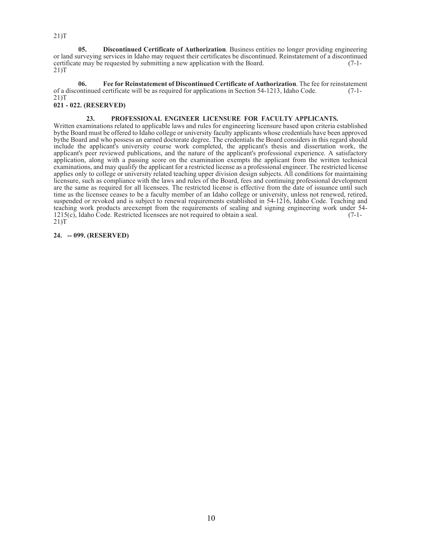**05. Discontinued Certificate of Authorization**. Business entities no longer providing engineering or land surveying services in Idaho may request their certificates be discontinued. Reinstatement of a discontinued certificate may be requested by submitting <sup>a</sup> new application with the Board. (7-1- 21)T

**06. Fee for Reinstatement of Discontinued Certificate of Authorization**. The fee for reinstatement of a discontinued certificate will be as required for applications in Section 54-1213, Idaho Code. 21)T **021 - 022. (RESERVED)**

#### **23. PROFESSIONAL ENGINEER LICENSURE FOR FACULTY APPLICANTS.**

Written examinations related to applicable laws and rules for engineering licensure based upon criteria established bythe Board must be offered to Idaho college or university faculty applicants whose credentials have been approved bythe Board and who possess an earned doctorate degree. The credentials the Board considers in this regard should include the applicant's university course work completed, the applicant's thesis and dissertation work, the applicant's peer reviewed publications, and the nature of the applicant's professional experience. A satisfactory application, along with a passing score on the examination exempts the applicant from the written technical examinations, and may qualify the applicant for a restricted license as a professional engineer. The restricted license applies only to college or university related teaching upper division design subjects. All conditions for maintaining licensure, such as compliance with the laws and rules of the Board, fees and continuing professional development are the same as required for all licensees. The restricted license is effective from the date of issuance until such time as the licensee ceases to be a faculty member of an Idaho college or university, unless not renewed, retired, suspended or revoked and is subject to renewal requirements established in 54-1216, Idaho Code. Teaching and teaching work products areexempt from the requirements of sealing and signing engineering work under 54- 1215(c), Idaho Code. Restricted licensees are not required to obtain a seal. (7-1- 21)T

#### **24. -- 099. (RESERVED)**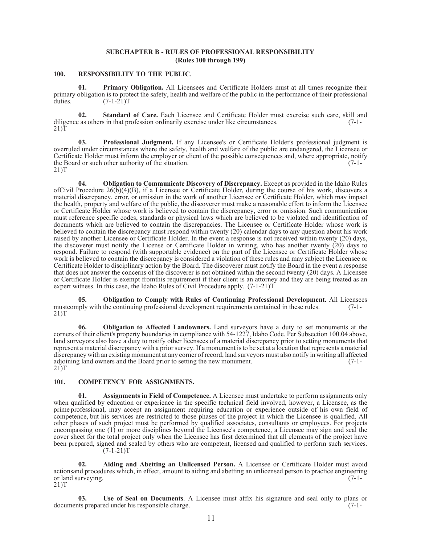#### **SUBCHAPTER B - RULES OF PROFESSIONAL RESPONSIBILITY (Rules 100 through 199)**

#### **100. RESPONSIBILITY TO THE PUBLIC**.

**01. Primary Obligation.** All Licensees and Certificate Holders must at all times recognize their primary obligation is to protect the safety, health and welfare of the public in the performance of their professional duties.  $(7-1-21)T$  $(7-1-21)T$ 

**02. Standard of Care.** Each Licensee and Certificate Holder must exercise such care, skill and eas others in that profession ordinarily exercise under like circumstances. (7-1diligence as others in that profession ordinarily exercise under like circumstances.  $21$ )T

**03. Professional Judgment.** If any Licensee's or Certificate Holder's professional judgment is overruled under circumstances where the safety, health and welfare of the public are endangered, the Licensee or Certificate Holder must inform the employer or client of the possible consequences and, where appropriate, notify the Board or such other authority of the situation.  $(7-1-21)$ T

**04. Obligation to Communicate Discovery of Discrepancy.** Except as provided in the Idaho Rules ofCivil Procedure 26(b)(4)(B), if a Licensee or Certificate Holder, during the course of his work, discovers a material discrepancy, error, or omission in the work of another Licensee or Certificate Holder, which may impact the health, property and welfare of the public, the discoverer must make a reasonable effort to inform the Licensee or Certificate Holder whose work is believed to contain the discrepancy, error or omission. Such communication must reference specific codes, standards or physical laws which are believed to be violated and identification of documents which are believed to contain the discrepancies. The Licensee or Certificate Holder whose work is believed to contain the discrepancy must respond within twenty (20) calendar days to any question about his work raised by another Licensee or Certificate Holder. In the event a response is not received within twenty (20) days, the discoverer must notify the License or Certificate Holder in writing, who has another twenty (20) days to respond. Failure to respond (with supportable evidence) on the part of the Licensee or Certificate Holder whose work is believed to contain the discrepancy is considered a violation of these rules and may subject the Licensee or Certificate Holder to disciplinary action by the Board. The discoverer must notify the Board in the event a response that does not answer the concerns of the discoverer is not obtained within the second twenty (20) days. A Licensee or Certificate Holder is exempt fromthis requirement if their client is an attorney and they are being treated as an expert witness. In this case, the Idaho Rules of Civil Procedure apply. (7-1-21)T

**05. Obligation to Comply with Rules of Continuing Professional Development.** All Licensees mustcomply with the continuing professional development requirements contained in these rules. (7-1-21)T

**06. Obligation to Affected Landowners.** Land surveyors have a duty to set monuments at the corners of their client's property boundaries in compliance with 54-1227, Idaho Code. Per Subsection 100.04 above, land surveyors also have a duty to notify other licensees of a material discrepancy prior to setting monuments that represent a material discrepancy with a prior survey. If a monument is to be set at a location that represents a material discrepancy with an existing monument at any corner of record, land surveyors must also notify in writing all affected adjoining land owners and the Board prior to setting the new monument. adjoining land owners and the Board prior to setting the new monument. 21)T

#### **101. COMPETENCY FOR ASSIGNMENTS.**

**01. Assignments in Field of Competence.** A Licensee must undertake to perform assignments only when qualified by education or experience in the specific technical field involved, however, a Licensee, as the prime professional, may accept an assignment requiring education or experience outside of his own field of competence, but his services are restricted to those phases of the project in which the Licensee is qualified. All other phases of such project must be performed by qualified associates, consultants or employees. For projects encompassing one (1) or more disciplines beyond the Licensee's competence, a Licensee may sign and seal the cover sheet for the total project only when the Licensee has first determined that all elements of the project have been prepared, signed and sealed by others who are competent, licensed and qualified to perform such services.  $(7-1-21)T$ 

**02. Aiding and Abetting an Unlicensed Person.** A Licensee or Certificate Holder must avoid actionsand procedures which, in effect, amount to aiding and abetting an unlicensed person to practice engineering or land surveying. (7-1- 21)T

**03. Use of Seal on Documents**. A Licensee must affix his signature and seal only to plans or the prepared under his responsible charge. documents prepared under his responsible charge.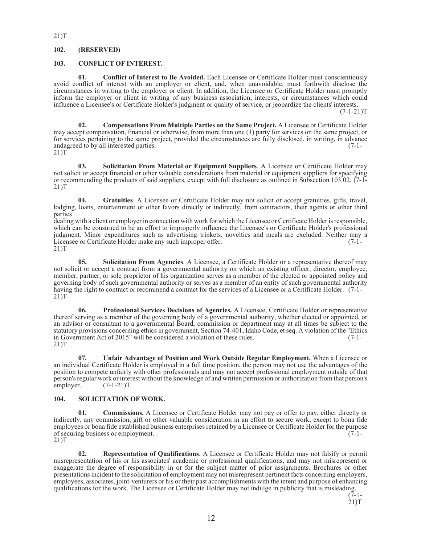#### 21)T

#### **102. (RESERVED)**

#### **103. CONFLICT OF INTEREST.**

**01. Conflict of Interest to Be Avoided.** Each Licensee or Certificate Holder must conscientiously avoid conflict of interest with an employer or client, and, when unavoidable, must forthwith disclose the circumstances in writing to the employer or client. In addition, the Licensee or Certificate Holder must promptly inform the employer or client in writing of any business association, interests, or circumstances which could influence a Licensee's or Certificate Holder's judgment or quality of service, or jeopardize the clients' interests.

 $(7-1-21)T$ 

**02. Compensations From Multiple Parties on the Same Project.** A Licensee or Certificate Holder may accept compensation, financial or otherwise, from more than one (1) party for services on the same project, or for services pertaining to the same project, provided the circumstances are fully disclosed, in writing, in advance andagreed to by all interested parties. (7-1-21)T

**03. Solicitation From Material or Equipment Suppliers**. A Licensee or Certificate Holder may not solicit or accept financial or other valuable considerations from material or equipment suppliers for specifying or recommending the products of said suppliers, except with full disclosure as outlined in Subsection 103.02. (7-1- 21)T

**04. Gratuities**. A Licensee or Certificate Holder may not solicit or accept gratuities, gifts, travel, lodging, loans, entertainment or other favors directly or indirectly, from contractors, their agents or other third parties

dealing with a client or employer in connection with work for which the Licensee or Certificate Holder is responsible, which can be construed to be an effort to improperly influence the Licensee's or Certificate Holder's professional judgment. Minor expenditures such as advertising trinkets, novelties and meals are excluded. Neither may a Licensee or Certificate Holder make any such improper offer. 21)T

**05. Solicitation From Agencies**. A Licensee, a Certificate Holder or a representative thereof may not solicit or accept a contract from a governmental authority on which an existing officer, director, employee, member, partner, or sole proprietor of his organization serves as a member of the elected or appointed policy and governing body of such governmental authority or serves as a member of an entity of such governmental authority having the right to contract or recommend a contract for the services of a Licensee or a Certificate Holder. (7-1- 21)T

**06. Professional Services Decisions of Agencies.** A Licensee, Certificate Holder or representative thereof serving as a member of the governing body of a governmental authority, whether elected or appointed, or an advisor or consultant to a governmental Board, commission or department may at all times be subject to the statutory provisions concerning ethics in government, Section 74-401, Idaho Code, et seq. A violation of the "Ethics in Government Act of 2015" will be considered a violation of these rules. (7-1in Government Act of 2015" will be considered a violation of these rules.  $21$ )T

**07. Unfair Advantage of Position and Work Outside Regular Employment.** When a Licensee or an individual Certificate Holder is employed in a full time position, the person may not use the advantages of the position to compete unfairly with other professionals and may not accept professional employment outside of that person's regular work or interest without the knowledge of and written permission or authorization from that person's employer. (7-1-21)T

#### **104. SOLICITATION OF WORK.**

**01. Commissions.** A Licensee or Certificate Holder may not pay or offer to pay, either directly or indirectly, any commission, gift or other valuable consideration in an effort to secure work, except to bona fide employees or bona fide established business enterprises retained by a Licensee or Certificate Holder for the purpose of securing business or employment. of securing business or employment.<br>21)T

**02. Representation of Qualifications**. A Licensee or Certificate Holder may not falsify or permit misrepresentation of his or his associates' academic or professional qualifications, and may not misrepresent or exaggerate the degree of responsibility in or for the subject matter of prior assignments. Brochures or other presentations incident to the solicitation of employment may not misrepresent pertinent facts concerning employers, employees, associates, joint-venturers or his or their past accomplishments with the intent and purpose of enhancing qualifications for the work. The Licensee or Certificate Holder may not indulge in publicity that is misleading.

 $(7-1-$ 

 $21$ )T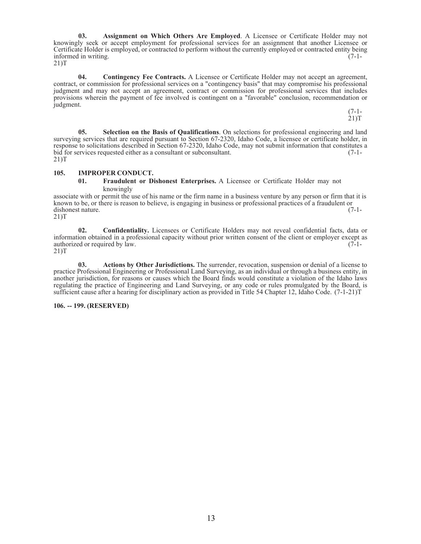**03. Assignment on Which Others Are Employed**. A Licensee or Certificate Holder may not knowingly seek or accept employment for professional services for an assignment that another Licensee or Certificate Holder is employed, or contracted to perform without the currently employed or contracted entity being informed in writing. (7-1informed in writing. (7-1-<br>21)T

**04. Contingency Fee Contracts.** A Licensee or Certificate Holder may not accept an agreement, contract, or commission for professional services on a "contingency basis" that may compromise his professional judgment and may not accept an agreement, contract or commission for professional services that includes provisions wherein the payment of fee involved is contingent on a "favorable" conclusion, recommendation or judgment.

> (7-1- 21)T

**05. Selection on the Basis of Qualifications**. On selections for professional engineering and land surveying services that are required pursuant to Section 67-2320, Idaho Code, a licensee or certificate holder, in response to solicitations described in Section 67-2320, Idaho Code, may not submit information that constitutes a<br>bid for services requested either as a consultant or subconsultant. bid for services requested either as a consultant or subconsultant. 21)T

#### **105. IMPROPER CONDUCT.**

#### **01. Fraudulent or Dishonest Enterprises.** A Licensee or Certificate Holder may not knowingly

associate with or permit the use of his name or the firm name in a business venture by any person or firm that it is known to be, or there is reason to believe, is engaging in business or professional practices of a fraudulent or dishonest nature. (7-1-<br>21)T

**02. Confidentiality.** Licensees or Certificate Holders may not reveal confidential facts, data or information obtained in a professional capacity without prior written consent of the client or employer except as authorized or required by law. authorized or required by law.

21)T

**03. Actions by Other Jurisdictions.** The surrender, revocation, suspension or denial of a license to practice Professional Engineering or Professional Land Surveying, as an individual or through a business entity, in another jurisdiction, for reasons or causes which the Board finds would constitute a violation of the Idaho laws regulating the practice of Engineering and Land Surveying, or any code or rules promulgated by the Board, is sufficient cause after a hearing for disciplinary action as provided in Title 54 Chapter 12, Idaho Code. (7-1-21)T

#### **106. -- 199. (RESERVED)**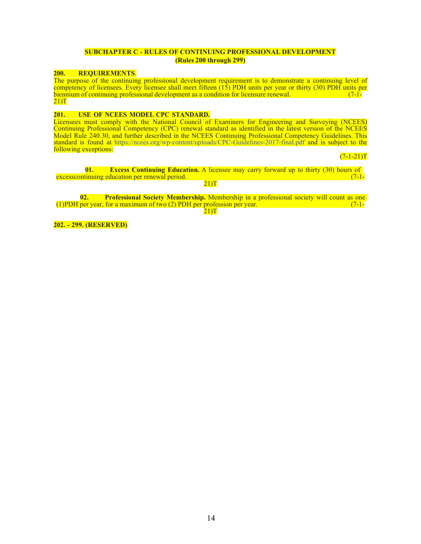#### **SUBCHAPTER C - RULES OF CONTINUING PROFESSIONAL DEVELOPMENT (Rules 200 through 299)**

#### **200. REQUIREMENTS**.

The purpose of the continuing professional development requirement is to demonstrate a continuing level of competency of licensees. Every licensee shall meet fifteen (15) PDH units per year or thirty (30) PDH units per biennium of continuing professional development as a condition for licensure renewal.  $\overline{a}$  (7-1-<br>21)T

#### **201. USE OF NCEES MODEL CPC STANDARD.**

Licensees must comply with the National Council of Examiners for Engineering and Surveying (NCEES) Continuing Professional Competency (CPC) renewal standard as identified in the latest version of the NCEES Model Rule 240.30, and further described in the NCEES Continuing Professional Competency Guidelines. This standard is found at https://ncees.org/wp-content/uploads/CPC-Guidelines-2017-final.pdf and is subject to the following exceptions:

 $(7-1-21)T$ 

**01. Excess Continuing Education.** A licensee may carry forward up to thirty (30) hours of excesscontinuing education per renewal period. 21)T

**02. Professional Society Membership.** Membership in a professional society will count as one (1)PDH per year, for a maximum of two  $(2)$  PDH per profession per year.

 $21$ )T

**202. - 299. (RESERVED)**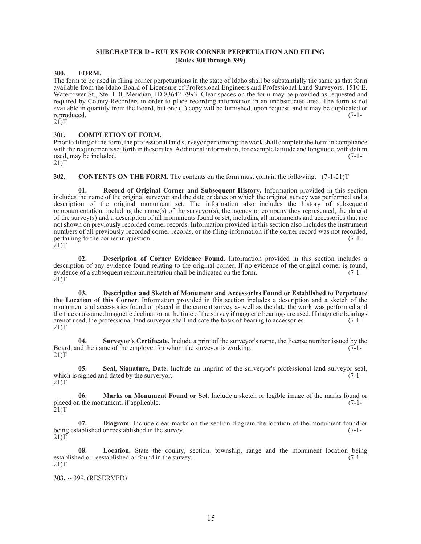#### **SUBCHAPTER D - RULES FOR CORNER PERPETUATION AND FILING (Rules 300 through 399)**

#### **300. FORM.**

The form to be used in filing corner perpetuations in the state of Idaho shall be substantially the same as that form available from the Idaho Board of Licensure of Professional Engineers and Professional Land Surveyors, 1510 E. Watertower St., Ste. 110, Meridian, ID 83642-7993. Clear spaces on the form may be provided as requested and required by County Recorders in order to place recording information in an unobstructed area. The form is not available in quantity from the Board, but one (1) copy will be furnished, upon request, and it may be duplicated or reproduced. (7-1-  $2\overline{1}$ )T

#### **301. COMPLETION OF FORM.**

Prior to filing of the form, the professional land surveyor performing the work shall complete the form in compliance with the requirementsset forth in these rules. Additional information, for example latitude and longitude, with datum used, may be included.  $(7-1-$ 

21)T

**302. CONTENTS ON THE FORM.** The contents on the form must contain the following: (7-1-21)T

**01. Record of Original Corner and Subsequent History.** Information provided in this section includes the name of the original surveyor and the date or dates on which the original survey was performed and a description of the original monument set. The information also includes the history of subsequent remonumentation, including the name(s) of the surveyor(s), the agency or company they represented, the date(s) of the survey(s) and a description of all monuments found or set, including all monuments and accessories that are not shown on previously recorded corner records. Information provided in this section also includes the instrument numbers of all previously recorded corner records, or the filing information if the corner record was not recorded, pertaining to the corner in question. (7-1-

 $21$ )T

**02. Description of Corner Evidence Found.** Information provided in this section includes a description of any evidence found relating to the original corner. If no evidence of the original corner is found, evidence of a subsequent remonumentation shall be indicated on the form. (7-1evidence of a subsequent remonumentation shall be indicated on the form.  $21$ )T

**03. Description and Sketch of Monument and Accessories Found or Established to Perpetuate the Location of this Corner**. Information provided in this section includes a description and a sketch of the monument and accessories found or placed in the current survey as well as the date the work was performed and the true or assumed magnetic declination at the time of the survey if magnetic bearings are used. If magnetic bearings arenot used, the professional land surveyor shall indicate the basis of bearing to accessories. (7-1- 21)T

**04. Surveyor's Certificate.** Include a print of the surveyor's name, the license number issued by the Board, and the name of the employer for whom the surveyor is working. (7-1- 21)T

**05. Seal, Signature, Date**. Include an imprint of the surveryor's professional land surveyor seal, which is signed and dated by the surveryor.  $(7-1-21)T$ 

**06. Marks on Monument Found or Set**. Include a sketch or legible image of the marks found or placed on the monument, if applicable. (7-1-<br>21)T (7-1-

**07. Diagram.** Include clear marks on the section diagram the location of the monument found or ablished or reestablished in the survey. being established or reestablished in the survey. 21)T

**08. Location.** State the county, section, township, range and the monument location being ed or reestablished or found in the survey. established or reestablished or found in the survey. 21)T

**303.** -- 399. (RESERVED)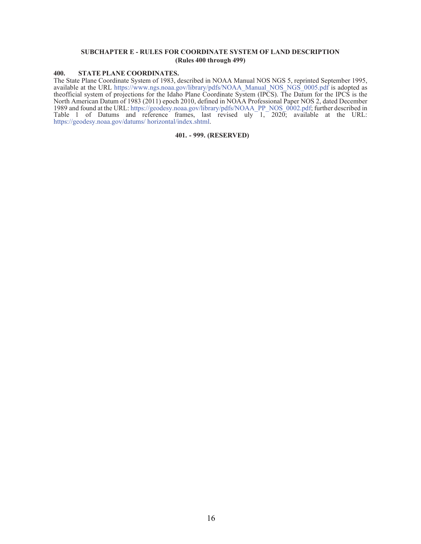#### **SUBCHAPTER E - RULES FOR COORDINATE SYSTEM OF LAND DESCRIPTION (Rules 400 through 499)**

#### **400. STATE PLANE COORDINATES.**

The State Plane Coordinate System of 1983, described in NOAA Manual NOS NGS 5, reprinted September 1995, available at the URL https:/[/www.ngs.noaa.gov/library/pdfs/NOAA\\_Manual\\_NOS\\_NGS\\_0005.pdf i](http://www.ngs.noaa.gov/library/pdfs/NOAA_Manual_NOS_NGS_0005.pdf)s adopted as theofficial system of projections for the Idaho Plane Coordinate System (IPCS). The Datum for the IPCS is the North American Datum of 1983 (2011) epoch 2010, defined in NOAA Professional Paper NOS 2, dated December 1989 and found at the URL: https://geodesy.noaa.gov/library/pdfs/NOAA\_PP\_NOS\_0002.pdf; further described in Table 1 of Datums and reference frames, last revised uly 1, 2020; available at the URL: https://geodesy.noaa.gov/datums/ horizontal/index.shtml.

#### **401. - 999. (RESERVED)**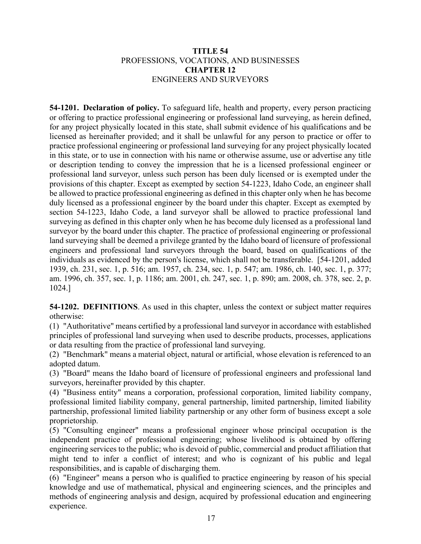### **TITLE 54** PROFESSIONS, VOCATIONS, AND BUSINESSES **CHAPTER 12** ENGINEERS AND SURVEYORS

**54-1201. Declaration of policy.** To safeguard life, health and property, every person practicing or offering to practice professional engineering or professional land surveying, as herein defined, for any project physically located in this state, shall submit evidence of his qualifications and be licensed as hereinafter provided; and it shall be unlawful for any person to practice or offer to practice professional engineering or professional land surveying for any project physically located in this state, or to use in connection with his name or otherwise assume, use or advertise any title or description tending to convey the impression that he is a licensed professional engineer or professional land surveyor, unless such person has been duly licensed or is exempted under the provisions of this chapter. Except as exempted by section 54-1223, Idaho Code, an engineer shall be allowed to practice professional engineering as defined in this chapter only when he has become duly licensed as a professional engineer by the board under this chapter. Except as exempted by section 54-1223, Idaho Code, a land surveyor shall be allowed to practice professional land surveying as defined in this chapter only when he has become duly licensed as a professional land surveyor by the board under this chapter. The practice of professional engineering or professional land surveying shall be deemed a privilege granted by the Idaho board of licensure of professional engineers and professional land surveyors through the board, based on qualifications of the individuals as evidenced by the person's license, which shall not be transferable.[54-1201, added 1939, ch. 231, sec. 1, p. 516; am. 1957, ch. 234, sec. 1, p. 547; am. 1986, ch. 140, sec. 1, p. 377; am. 1996, ch. 357, sec. 1, p. 1186; am. 2001, ch. 247, sec. 1, p. 890; am. 2008, ch. 378, sec. 2, p. 1024.]

**54-1202. DEFINITIONS**. As used in this chapter, unless the context or subject matter requires otherwise:

(1) "Authoritative" means certified by a professional land surveyor in accordance with established principles of professional land surveying when used to describe products, processes, applications or data resulting from the practice of professional land surveying.

(2) "Benchmark" means a material object, natural or artificial, whose elevation is referenced to an adopted datum.

(3) "Board" means the Idaho board of licensure of professional engineers and professional land surveyors, hereinafter provided by this chapter.

(4) "Business entity" means a corporation, professional corporation, limited liability company, professional limited liability company, general partnership, limited partnership, limited liability partnership, professional limited liability partnership or any other form of business except a sole proprietorship.

(5) "Consulting engineer" means a professional engineer whose principal occupation is the independent practice of professional engineering; whose livelihood is obtained by offering engineering services to the public; who is devoid of public, commercial and product affiliation that might tend to infer a conflict of interest; and who is cognizant of his public and legal responsibilities, and is capable of discharging them.

(6) "Engineer" means a person who is qualified to practice engineering by reason of his special knowledge and use of mathematical, physical and engineering sciences, and the principles and methods of engineering analysis and design, acquired by professional education and engineering experience.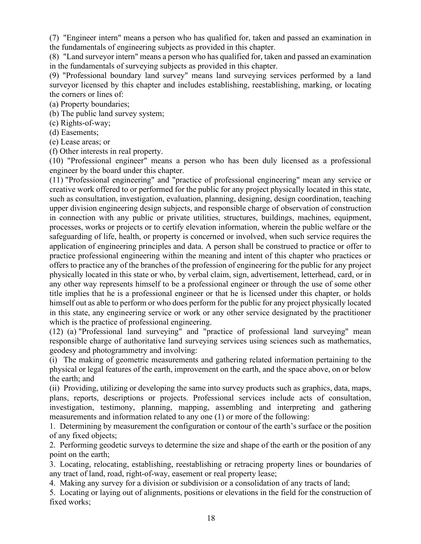(7) "Engineer intern" means a person who has qualified for, taken and passed an examination in the fundamentals of engineering subjects as provided in this chapter.

(8) "Land surveyor intern" means a person who has qualified for, taken and passed an examination in the fundamentals of surveying subjects as provided in this chapter.

(9) "Professional boundary land survey" means land surveying services performed by a land surveyor licensed by this chapter and includes establishing, reestablishing, marking, or locating the corners or lines of:

(a) Property boundaries;

(b) The public land survey system;

(c) Rights-of-way;

(d) Easements;

(e) Lease areas; or

(f) Other interests in real property.

(10) "Professional engineer" means a person who has been duly licensed as a professional engineer by the board under this chapter.

(11) "Professional engineering" and "practice of professional engineering" mean any service or creative work offered to or performed for the public for any project physically located in this state, such as consultation, investigation, evaluation, planning, designing, design coordination, teaching upper division engineering design subjects, and responsible charge of observation of construction in connection with any public or private utilities, structures, buildings, machines, equipment, processes, works or projects or to certify elevation information, wherein the public welfare or the safeguarding of life, health, or property is concerned or involved, when such service requires the application of engineering principles and data. A person shall be construed to practice or offer to practice professional engineering within the meaning and intent of this chapter who practices or offers to practice any of the branches of the profession of engineering for the public for any project physically located in this state or who, by verbal claim, sign, advertisement, letterhead, card, or in any other way represents himself to be a professional engineer or through the use of some other title implies that he is a professional engineer or that he is licensed under this chapter, or holds himself out as able to perform or who does perform for the public for any project physically located in this state, any engineering service or work or any other service designated by the practitioner which is the practice of professional engineering.

(12) (a) "Professional land surveying" and "practice of professional land surveying" mean responsible charge of authoritative land surveying services using sciences such as mathematics, geodesy and photogrammetry and involving:

(i) The making of geometric measurements and gathering related information pertaining to the physical or legal features of the earth, improvement on the earth, and the space above, on or below the earth; and

(ii) Providing, utilizing or developing the same into survey products such as graphics, data, maps, plans, reports, descriptions or projects. Professional services include acts of consultation, investigation, testimony, planning, mapping, assembling and interpreting and gathering measurements and information related to any one (1) or more of the following:

1. Determining by measurement the configuration or contour of the earth's surface or the position of any fixed objects;

2. Performing geodetic surveys to determine the size and shape of the earth or the position of any point on the earth;

3. Locating, relocating, establishing, reestablishing or retracing property lines or boundaries of any tract of land, road, right-of-way, easement or real property lease;

4. Making any survey for a division or subdivision or a consolidation of any tracts of land;

5. Locating or laying out of alignments, positions or elevations in the field for the construction of fixed works;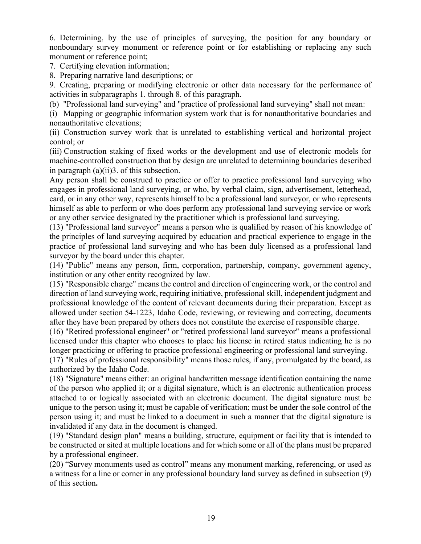6. Determining, by the use of principles of surveying, the position for any boundary or nonboundary survey monument or reference point or for establishing or replacing any such monument or reference point;

7. Certifying elevation information;

8. Preparing narrative land descriptions; or

9. Creating, preparing or modifying electronic or other data necessary for the performance of activities in subparagraphs 1. through 8. of this paragraph.

(b) "Professional land surveying" and "practice of professional land surveying" shall not mean:

(i) Mapping or geographic information system work that is for nonauthoritative boundaries and nonauthoritative elevations;

(ii) Construction survey work that is unrelated to establishing vertical and horizontal project control; or

(iii) Construction staking of fixed works or the development and use of electronic models for machine-controlled construction that by design are unrelated to determining boundaries described in paragraph (a)(ii)3. of this subsection.

Any person shall be construed to practice or offer to practice professional land surveying who engages in professional land surveying, or who, by verbal claim, sign, advertisement, letterhead, card, or in any other way, represents himself to be a professional land surveyor, or who represents himself as able to perform or who does perform any professional land surveying service or work or any other service designated by the practitioner which is professional land surveying.

(13) "Professional land surveyor" means a person who is qualified by reason of his knowledge of the principles of land surveying acquired by education and practical experience to engage in the practice of professional land surveying and who has been duly licensed as a professional land surveyor by the board under this chapter.

(14) "Public" means any person, firm, corporation, partnership, company, government agency, institution or any other entity recognized by law.

(15) "Responsible charge" means the control and direction of engineering work, or the control and direction of land surveying work, requiring initiative, professional skill, independent judgment and professional knowledge of the content of relevant documents during their preparation. Except as allowed under section [54-1223,](https://legislature.idaho.gov/statutesrules/idstat/Title54/T54CH12/SECT54-1223) Idaho Code, reviewing, or reviewing and correcting, documents after they have been prepared by others does not constitute the exercise of responsible charge.

(16) "Retired professional engineer" or "retired professional land surveyor" means a professional licensed under this chapter who chooses to place his license in retired status indicating he is no longer practicing or offering to practice professional engineering or professional land surveying.

(17) "Rules of professional responsibility" means those rules, if any, promulgated by the board, as authorized by the Idaho Code.

(18) "Signature" means either: an original handwritten message identification containing the name of the person who applied it; or a digital signature, which is an electronic authentication process attached to or logically associated with an electronic document. The digital signature must be unique to the person using it; must be capable of verification; must be under the sole control of the person using it; and must be linked to a document in such a manner that the digital signature is invalidated if any data in the document is changed.

(19) "Standard design plan" means a building, structure, equipment or facility that is intended to be constructed or sited at multiple locations and for which some or all of the plans must be prepared by a professional engineer.

(20) "Survey monuments used as control" means any monument marking, referencing, or used as a witness for a line or corner in any professional boundary land survey as defined in subsection (9) of this section**.**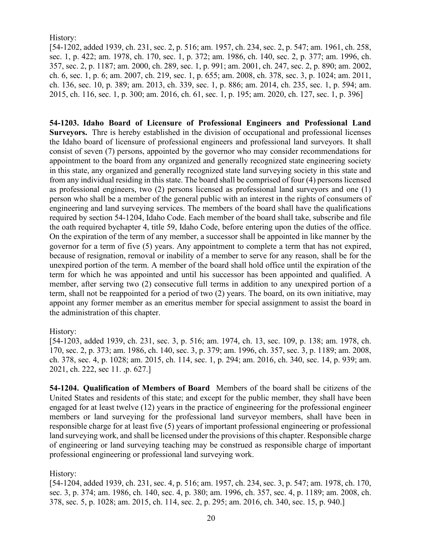History:

[54-1202, added 1939, ch. 231, sec. 2, p. 516; am. 1957, ch. 234, sec. 2, p. 547; am. 1961, ch. 258, sec. 1, p. 422; am. 1978, ch. 170, sec. 1, p. 372; am. 1986, ch. 140, sec. 2, p. 377; am. 1996, ch. 357, sec. 2, p. 1187; am. 2000, ch. 289, sec. 1, p. 991; am. 2001, ch. 247, sec. 2, p. 890; am. 2002, ch. 6, sec. 1, p. 6; am. 2007, ch. 219, sec. 1, p. 655; am. 2008, ch. 378, sec. 3, p. 1024; am. 2011, ch. 136, sec. 10, p. 389; am. 2013, ch. 339, sec. 1, p. 886; am. 2014, ch. 235, sec. 1, p. 594; am. 2015, ch. 116, sec. 1, p. 300; am. 2016, ch. 61, sec. 1, p. 195; am. 2020, ch. 127, sec. 1, p. 396]

**54-1203. Idaho Board of Licensure of Professional Engineers and Professional Land Surveyors.** Thre is hereby established in the division of occupational and professional licenses the Idaho board of licensure of professional engineers and professional land surveyors. It shall consist of seven (7) persons, appointed by the governor who may consider recommendations for appointment to the board from any organized and generally recognized state engineering society in this state, any organized and generally recognized state land surveying society in this state and from any individual residing in this state. The board shall be comprised of four (4) persons licensed as professional engineers, two (2) persons licensed as professional land surveyors and one (1) person who shall be a member of the general public with an interest in the rights of consumers of engineering and land surveying services. The members of the board shall have the qualifications required by section [54-1204,](http://legislature.idaho.gov/idstat/Title54/T54CH12SECT54-1204.htm) Idaho Code. Each member of the board shall take, subscribe and file the oath required b[ychapter 4, title 59,](http://legislature.idaho.gov/idstat/Title59/T59CH4.htm) Idaho Code, before entering upon the duties of the office. On the expiration of the term of any member, a successor shall be appointed in like manner by the governor for a term of five (5) years. Any appointment to complete a term that has not expired, because of resignation, removal or inability of a member to serve for any reason, shall be for the unexpired portion of the term. A member of the board shall hold office until the expiration of the term for which he was appointed and until his successor has been appointed and qualified. A member, after serving two (2) consecutive full terms in addition to any unexpired portion of a term, shall not be reappointed for a period of two (2) years. The board, on its own initiative, may appoint any former member as an emeritus member for special assignment to assist the board in the administration of this chapter.

History:

[54-1203, added 1939, ch. 231, sec. 3, p. 516; am. 1974, ch. 13, sec. 109, p. 138; am. 1978, ch. 170, sec. 2, p. 373; am. 1986, ch. 140, sec. 3, p. 379; am. 1996, ch. 357, sec. 3, p. 1189; am. 2008, ch. 378, sec. 4, p. 1028; am. 2015, ch. 114, sec. 1, p. 294; am. 2016, ch. 340, sec. 14, p. 939; am. 2021, ch. 222, sec 11. ,p. 627.]

**54-1204. Qualification of Members of Board** Members of the board shall be citizens of the United States and residents of this state; and except for the public member, they shall have been engaged for at least twelve (12) years in the practice of engineering for the professional engineer members or land surveying for the professional land surveyor members, shall have been in responsible charge for at least five (5) years of important professional engineering or professional land surveying work, and shall be licensed under the provisions of this chapter. Responsible charge of engineering or land surveying teaching may be construed as responsible charge of important professional engineering or professional land surveying work.

History:

[54-1204, added 1939, ch. 231, sec. 4, p. 516; am. 1957, ch. 234, sec. 3, p. 547; am. 1978, ch. 170, sec. 3, p. 374; am. 1986, ch. 140, sec. 4, p. 380; am. 1996, ch. 357, sec. 4, p. 1189; am. 2008, ch. 378, sec. 5, p. 1028; am. 2015, ch. 114, sec. 2, p. 295; am. 2016, ch. 340, sec. 15, p. 940.]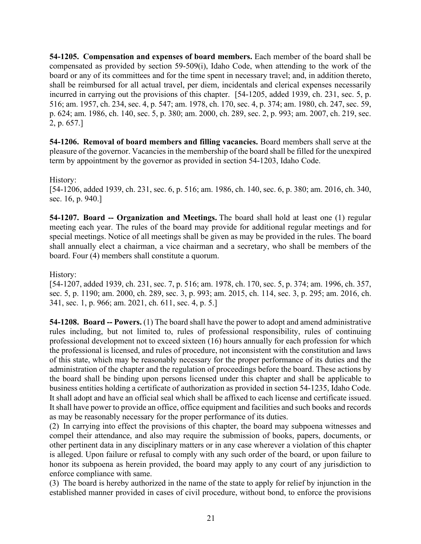**54-1205. Compensation and expenses of board members.** Each member of the board shall be compensated as provided by section 59-509(i), Idaho Code, when attending to the work of the board or any of its committees and for the time spent in necessary travel; and, in addition thereto, shall be reimbursed for all actual travel, per diem, incidentals and clerical expenses necessarily incurred in carrying out the provisions of this chapter. [54-1205, added 1939, ch. 231, sec. 5, p. 516; am. 1957, ch. 234, sec. 4, p. 547; am. 1978, ch. 170, sec. 4, p. 374; am. 1980, ch. 247, sec. 59, p. 624; am. 1986, ch. 140, sec. 5, p. 380; am. 2000, ch. 289, sec. 2, p. 993; am. 2007, ch. 219, sec. 2, p. 657.]

**54-1206. Removal of board members and filling vacancies.** Board members shall serve at the pleasure of the governor. Vacancies in the membership of the board shall be filled for the unexpired term by appointment by the governor as provided in section [54-1203,](http://legislature.idaho.gov/idstat/Title54/T54CH12SECT54-1203.htm) Idaho Code.

#### History:

[54-1206, added 1939, ch. 231, sec. 6, p. 516; am. 1986, ch. 140, sec. 6, p. 380; am. 2016, ch. 340, sec. 16, p. 940.]

**54-1207. Board -- Organization and Meetings.** The board shall hold at least one (1) regular meeting each year. The rules of the board may provide for additional regular meetings and for special meetings. Notice of all meetings shall be given as may be provided in the rules. The board shall annually elect a chairman, a vice chairman and a secretary, who shall be members of the board. Four (4) members shall constitute a quorum.

#### History:

[54-1207, added 1939, ch. 231, sec. 7, p. 516; am. 1978, ch. 170, sec. 5, p. 374; am. 1996, ch. 357, sec. 5, p. 1190; am. 2000, ch. 289, sec. 3, p. 993; am. 2015, ch. 114, sec. 3, p. 295; am. 2016, ch. 341, sec. 1, p. 966; am. 2021, ch. 611, sec. 4, p. 5.]

**54-1208. Board -- Powers.** (1) The board shall have the power to adopt and amend administrative rules including, but not limited to, rules of professional responsibility, rules of continuing professional development not to exceed sixteen (16) hours annually for each profession for which the professional is licensed, and rules of procedure, not inconsistent with the constitution and laws of this state, which may be reasonably necessary for the proper performance of its duties and the administration of the chapter and the regulation of proceedings before the board. These actions by the board shall be binding upon persons licensed under this chapter and shall be applicable to business entities holding a certificate of authorization as provided in section 54-1235, Idaho Code. It shall adopt and have an official seal which shall be affixed to each license and certificate issued. It shall have power to provide an office, office equipment and facilities and such books and records as may be reasonably necessary for the proper performance of its duties.

(2) In carrying into effect the provisions of this chapter, the board may subpoena witnesses and compel their attendance, and also may require the submission of books, papers, documents, or other pertinent data in any disciplinary matters or in any case wherever a violation of this chapter is alleged. Upon failure or refusal to comply with any such order of the board, or upon failure to honor its subpoena as herein provided, the board may apply to any court of any jurisdiction to enforce compliance with same.

(3) The board is hereby authorized in the name of the state to apply for relief by injunction in the established manner provided in cases of civil procedure, without bond, to enforce the provisions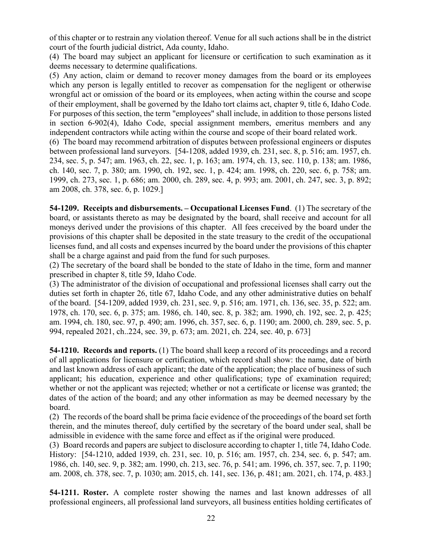of this chapter or to restrain any violation thereof. Venue for all such actions shall be in the district court of the fourth judicial district, Ada county, Idaho.

(4) The board may subject an applicant for licensure or certification to such examination as it deems necessary to determine qualifications.

(5) Any action, claim or demand to recover money damages from the board or its employees which any person is legally entitled to recover as compensation for the negligent or otherwise wrongful act or omission of the board or its employees, when acting within the course and scope of their employment, shall be governed by the Idaho tort claims act, chapter 9, title 6, Idaho Code. For purposes of this section, the term "employees" shall include, in addition to those persons listed in section 6-902(4), Idaho Code, special assignment members, emeritus members and any independent contractors while acting within the course and scope of their board related work.

(6) The board may recommend arbitration of disputes between professional engineers or disputes between professional land surveyors. [54-1208, added 1939, ch. 231, sec. 8, p. 516; am. 1957, ch. 234, sec. 5, p. 547; am. 1963, ch. 22, sec. 1, p. 163; am. 1974, ch. 13, sec. 110, p. 138; am. 1986, ch. 140, sec. 7, p. 380; am. 1990, ch. 192, sec. 1, p. 424; am. 1998, ch. 220, sec. 6, p. 758; am. 1999, ch. 273, sec. 1, p. 686; am. 2000, ch. 289, sec. 4, p. 993; am. 2001, ch. 247, sec. 3, p. 892; am 2008, ch. 378, sec. 6, p. 1029.]

**54-1209. Receipts and disbursements. – Occupational Licenses Fund**. (1) The secretary of the board, or assistants thereto as may be designated by the board, shall receive and account for all moneys derived under the provisions of this chapter. All fees creceived by the board under the provisions of this chapter shall be deposited in the state treasury to the credit of the occupational licenses fund, and all costs and expenses incurred by the board under the provisions of this chapter shall be a charge against and paid from the fund for such purposes.

(2) The secretary of the board shall be bonded to the state of Idaho in the time, form and manner prescribed in chapter 8, title 59, Idaho Code.

(3) The administrator of the division of occupational and professional licenses shall carry out the duties set forth in chapter 26, title 67, Idaho Code, and any other administrative duties on behalf of the board. [54-1209, added 1939, ch. 231, sec. 9, p. 516; am. 1971, ch. 136, sec. 35, p. 522; am. 1978, ch. 170, sec. 6, p. 375; am. 1986, ch. 140, sec. 8, p. 382; am. 1990, ch. 192, sec. 2, p. 425; am. 1994, ch. 180, sec. 97, p. 490; am. 1996, ch. 357, sec. 6, p. 1190; am. 2000, ch. 289, sec. 5, p. 994, repealed 2021, ch..224, sec. 39, p. 673; am. 2021, ch. 224, sec. 40, p. 673]

**54-1210. Records and reports.** (1) The board shall keep a record of its proceedings and a record of all applications for licensure or certification, which record shall show: the name, date of birth and last known address of each applicant; the date of the application; the place of business of such applicant; his education, experience and other qualifications; type of examination required; whether or not the applicant was rejected; whether or not a certificate or license was granted; the dates of the action of the board; and any other information as may be deemed necessary by the board.

(2) The records of the board shall be prima facie evidence of the proceedings of the board set forth therein, and the minutes thereof, duly certified by the secretary of the board under seal, shall be admissible in evidence with the same force and effect as if the original were produced.

(3) Board records and papers are subject to disclosure according to chapter 1, title 74, Idaho Code. History: [54-1210, added 1939, ch. 231, sec. 10, p. 516; am. 1957, ch. 234, sec. 6, p. 547; am. 1986, ch. 140, sec. 9, p. 382; am. 1990, ch. 213, sec. 76, p. 541; am. 1996, ch. 357, sec. 7, p. 1190; am. 2008, ch. 378, sec. 7, p. 1030; am. 2015, ch. 141, sec. 136, p. 481; am. 2021, ch. 174, p. 483.]

**54-1211. Roster.** A complete roster showing the names and last known addresses of all professional engineers, all professional land surveyors, all business entities holding certificates of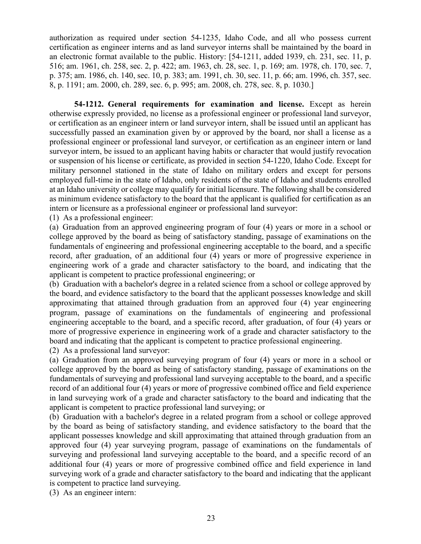authorization as required under section 54-1235, Idaho Code, and all who possess current certification as engineer interns and as land surveyor interns shall be maintained by the board in an electronic format available to the public. History: [54-1211, added 1939, ch. 231, sec. 11, p. 516; am. 1961, ch. 258, sec. 2, p. 422; am. 1963, ch. 28, sec. 1, p. 169; am. 1978, ch. 170, sec. 7, p. 375; am. 1986, ch. 140, sec. 10, p. 383; am. 1991, ch. 30, sec. 11, p. 66; am. 1996, ch. 357, sec. 8, p. 1191; am. 2000, ch. 289, sec. 6, p. 995; am. 2008, ch. 278, sec. 8, p. 1030.]

**54-1212. General requirements for examination and license.** Except as herein otherwise expressly provided, no license as a professional engineer or professional land surveyor, or certification as an engineer intern or land surveyor intern, shall be issued until an applicant has successfully passed an examination given by or approved by the board, nor shall a license as a professional engineer or professional land surveyor, or certification as an engineer intern or land surveyor intern, be issued to an applicant having habits or character that would justify revocation or suspension of his license or certificate, as provided in section [54-1220,](http://legislature.idaho.gov/idstat/Title54/T54CH12SECT54-1220.htm) Idaho Code. Except for military personnel stationed in the state of Idaho on military orders and except for persons employed full-time in the state of Idaho, only residents of the state of Idaho and students enrolled at an Idaho university or college may qualify for initial licensure. The following shall be considered as minimum evidence satisfactory to the board that the applicant is qualified for certification as an intern or licensure as a professional engineer or professional land surveyor:

(1) As a professional engineer:

(a) Graduation from an approved engineering program of four (4) years or more in a school or college approved by the board as being of satisfactory standing, passage of examinations on the fundamentals of engineering and professional engineering acceptable to the board, and a specific record, after graduation, of an additional four (4) years or more of progressive experience in engineering work of a grade and character satisfactory to the board, and indicating that the applicant is competent to practice professional engineering; or

(b) Graduation with a bachelor's degree in a related science from a school or college approved by the board, and evidence satisfactory to the board that the applicant possesses knowledge and skill approximating that attained through graduation from an approved four (4) year engineering program, passage of examinations on the fundamentals of engineering and professional engineering acceptable to the board, and a specific record, after graduation, of four (4) years or more of progressive experience in engineering work of a grade and character satisfactory to the board and indicating that the applicant is competent to practice professional engineering.

(2) As a professional land surveyor:

(a) Graduation from an approved surveying program of four (4) years or more in a school or college approved by the board as being of satisfactory standing, passage of examinations on the fundamentals of surveying and professional land surveying acceptable to the board, and a specific record of an additional four (4) years or more of progressive combined office and field experience in land surveying work of a grade and character satisfactory to the board and indicating that the applicant is competent to practice professional land surveying; or

(b) Graduation with a bachelor's degree in a related program from a school or college approved by the board as being of satisfactory standing, and evidence satisfactory to the board that the applicant possesses knowledge and skill approximating that attained through graduation from an approved four (4) year surveying program, passage of examinations on the fundamentals of surveying and professional land surveying acceptable to the board, and a specific record of an additional four (4) years or more of progressive combined office and field experience in land surveying work of a grade and character satisfactory to the board and indicating that the applicant is competent to practice land surveying.

(3) As an engineer intern: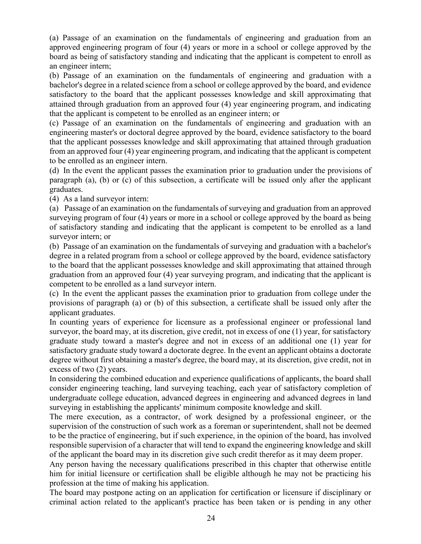(a) Passage of an examination on the fundamentals of engineering and graduation from an approved engineering program of four (4) years or more in a school or college approved by the board as being of satisfactory standing and indicating that the applicant is competent to enroll as an engineer intern;

(b) Passage of an examination on the fundamentals of engineering and graduation with a bachelor's degree in a related science from a school or college approved by the board, and evidence satisfactory to the board that the applicant possesses knowledge and skill approximating that attained through graduation from an approved four (4) year engineering program, and indicating that the applicant is competent to be enrolled as an engineer intern; or

(c) Passage of an examination on the fundamentals of engineering and graduation with an engineering master's or doctoral degree approved by the board, evidence satisfactory to the board that the applicant possesses knowledge and skill approximating that attained through graduation from an approved four (4) year engineering program, and indicating that the applicant is competent to be enrolled as an engineer intern.

(d) In the event the applicant passes the examination prior to graduation under the provisions of paragraph (a), (b) or (c) of this subsection, a certificate will be issued only after the applicant graduates.

(4) As a land surveyor intern:

(a) Passage of an examination on the fundamentals of surveying and graduation from an approved surveying program of four (4) years or more in a school or college approved by the board as being of satisfactory standing and indicating that the applicant is competent to be enrolled as a land surveyor intern; or

(b) Passage of an examination on the fundamentals of surveying and graduation with a bachelor's degree in a related program from a school or college approved by the board, evidence satisfactory to the board that the applicant possesses knowledge and skill approximating that attained through graduation from an approved four (4) year surveying program, and indicating that the applicant is competent to be enrolled as a land surveyor intern.

(c) In the event the applicant passes the examination prior to graduation from college under the provisions of paragraph (a) or (b) of this subsection, a certificate shall be issued only after the applicant graduates.

In counting years of experience for licensure as a professional engineer or professional land surveyor, the board may, at its discretion, give credit, not in excess of one (1) year, for satisfactory graduate study toward a master's degree and not in excess of an additional one (1) year for satisfactory graduate study toward a doctorate degree. In the event an applicant obtains a doctorate degree without first obtaining a master's degree, the board may, at its discretion, give credit, not in excess of two (2) years.

In considering the combined education and experience qualifications of applicants, the board shall consider engineering teaching, land surveying teaching, each year of satisfactory completion of undergraduate college education, advanced degrees in engineering and advanced degrees in land surveying in establishing the applicants' minimum composite knowledge and skill.

The mere execution, as a contractor, of work designed by a professional engineer, or the supervision of the construction of such work as a foreman or superintendent, shall not be deemed to be the practice of engineering, but if such experience, in the opinion of the board, has involved responsible supervision of a character that will tend to expand the engineering knowledge and skill of the applicant the board may in its discretion give such credit therefor as it may deem proper.

Any person having the necessary qualifications prescribed in this chapter that otherwise entitle him for initial licensure or certification shall be eligible although he may not be practicing his profession at the time of making his application.

The board may postpone acting on an application for certification or licensure if disciplinary or criminal action related to the applicant's practice has been taken or is pending in any other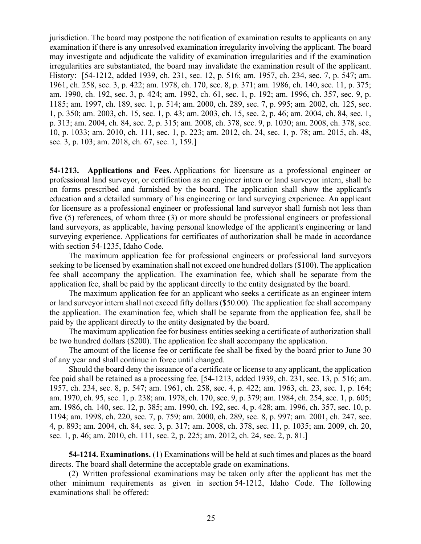jurisdiction. The board may postpone the notification of examination results to applicants on any examination if there is any unresolved examination irregularity involving the applicant. The board may investigate and adjudicate the validity of examination irregularities and if the examination irregularities are substantiated, the board may invalidate the examination result of the applicant. History: [54-1212, added 1939, ch. 231, sec. 12, p. 516; am. 1957, ch. 234, sec. 7, p. 547; am. 1961, ch. 258, sec. 3, p. 422; am. 1978, ch. 170, sec. 8, p. 371; am. 1986, ch. 140, sec. 11, p. 375; am. 1990, ch. 192, sec. 3, p. 424; am. 1992, ch. 61, sec. 1, p. 192; am. 1996, ch. 357, sec. 9, p. 1185; am. 1997, ch. 189, sec. 1, p. 514; am. 2000, ch. 289, sec. 7, p. 995; am. 2002, ch. 125, sec. 1, p. 350; am. 2003, ch. 15, sec. 1, p. 43; am. 2003, ch. 15, sec. 2, p. 46; am. 2004, ch. 84, sec. 1, p. 313; am. 2004, ch. 84, sec. 2, p. 315; am. 2008, ch. 378, sec. 9, p. 1030; am. 2008, ch. 378, sec. 10, p. 1033; am. 2010, ch. 111, sec. 1, p. 223; am. 2012, ch. 24, sec. 1, p. 78; am. 2015, ch. 48, sec. 3, p. 103; am. 2018, ch. 67, sec. 1, 159.]

**54-1213. Applications and Fees.** Applications for licensure as a professional engineer or professional land surveyor, or certification as an engineer intern or land surveyor intern, shall be on forms prescribed and furnished by the board. The application shall show the applicant's education and a detailed summary of his engineering or land surveying experience. An applicant for licensure as a professional engineer or professional land surveyor shall furnish not less than five (5) references, of whom three (3) or more should be professional engineers or professional land surveyors, as applicable, having personal knowledge of the applicant's engineering or land surveying experience. Applications for certificates of authorization shall be made in accordance with section 54-1235, Idaho Code.

The maximum application fee for professional engineers or professional land surveyors seeking to be licensed by examination shall not exceed one hundred dollars (\$100). The application fee shall accompany the application. The examination fee, which shall be separate from the application fee, shall be paid by the applicant directly to the entity designated by the board.

The maximum application fee for an applicant who seeks a certificate as an engineer intern or land surveyor intern shall not exceed fifty dollars (\$50.00). The application fee shall accompany the application. The examination fee, which shall be separate from the application fee, shall be paid by the applicant directly to the entity designated by the board.

The maximum application fee for business entities seeking a certificate of authorization shall be two hundred dollars (\$200). The application fee shall accompany the application.

The amount of the license fee or certificate fee shall be fixed by the board prior to June 30 of any year and shall continue in force until changed.

Should the board deny the issuance of a certificate or license to any applicant, the application fee paid shall be retained as a processing fee. [54-1213, added 1939, ch. 231, sec. 13, p. 516; am. 1957, ch. 234, sec. 8, p. 547; am. 1961, ch. 258, sec. 4, p. 422; am. 1963, ch. 23, sec. 1, p. 164; am. 1970, ch. 95, sec. 1, p. 238; am. 1978, ch. 170, sec. 9, p. 379; am. 1984, ch. 254, sec. 1, p. 605; am. 1986, ch. 140, sec. 12, p. 385; am. 1990, ch. 192, sec. 4, p. 428; am. 1996, ch. 357, sec. 10, p. 1194; am. 1998, ch. 220, sec. 7, p. 759; am. 2000, ch. 289, sec. 8, p. 997; am. 2001, ch. 247, sec. 4, p. 893; am. 2004, ch. 84, sec. 3, p. 317; am. 2008, ch. 378, sec. 11, p. 1035; am. 2009, ch. 20, sec. 1, p. 46; am. 2010, ch. 111, sec. 2, p. 225; am. 2012, ch. 24, sec. 2, p. 81.]

**54-1214. Examinations.** (1) Examinations will be held at such times and places as the board directs. The board shall determine the acceptable grade on examinations.

(2) Written professional examinations may be taken only after the applicant has met the other minimum requirements as given in section [54-1212,](http://legislature.idaho.gov/idstat/Title54/T54CH12SECT54-1212.htm) Idaho Code. The following examinations shall be offered: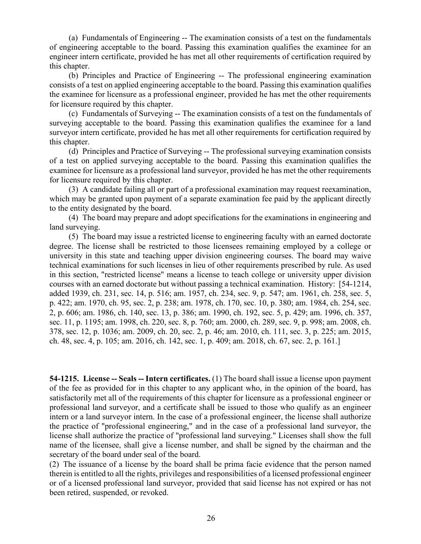(a) Fundamentals of Engineering -- The examination consists of a test on the fundamentals of engineering acceptable to the board. Passing this examination qualifies the examinee for an engineer intern certificate, provided he has met all other requirements of certification required by this chapter.

(b) Principles and Practice of Engineering -- The professional engineering examination consists of a test on applied engineering acceptable to the board. Passing this examination qualifies the examinee for licensure as a professional engineer, provided he has met the other requirements for licensure required by this chapter.

(c) Fundamentals of Surveying -- The examination consists of a test on the fundamentals of surveying acceptable to the board. Passing this examination qualifies the examinee for a land surveyor intern certificate, provided he has met all other requirements for certification required by this chapter.

(d) Principles and Practice of Surveying -- The professional surveying examination consists of a test on applied surveying acceptable to the board. Passing this examination qualifies the examinee for licensure as a professional land surveyor, provided he has met the other requirements for licensure required by this chapter.

(3) A candidate failing all or part of a professional examination may request reexamination, which may be granted upon payment of a separate examination fee paid by the applicant directly to the entity designated by the board.

(4) The board may prepare and adopt specifications for the examinations in engineering and land surveying.

(5) The board may issue a restricted license to engineering faculty with an earned doctorate degree. The license shall be restricted to those licensees remaining employed by a college or university in this state and teaching upper division engineering courses. The board may waive technical examinations for such licenses in lieu of other requirements prescribed by rule. As used in this section, "restricted license" means a license to teach college or university upper division courses with an earned doctorate but without passing a technical examination. History: [54-1214, added 1939, ch. 231, sec. 14, p. 516; am. 1957, ch. 234, sec. 9, p. 547; am. 1961, ch. 258, sec. 5, p. 422; am. 1970, ch. 95, sec. 2, p. 238; am. 1978, ch. 170, sec. 10, p. 380; am. 1984, ch. 254, sec. 2, p. 606; am. 1986, ch. 140, sec. 13, p. 386; am. 1990, ch. 192, sec. 5, p. 429; am. 1996, ch. 357, sec. 11, p. 1195; am. 1998, ch. 220, sec. 8, p. 760; am. 2000, ch. 289, sec. 9, p. 998; am. 2008, ch. 378, sec. 12, p. 1036; am. 2009, ch. 20, sec. 2, p. 46; am. 2010, ch. 111, sec. 3, p. 225; am. 2015, ch. 48, sec. 4, p. 105; am. 2016, ch. 142, sec. 1, p. 409; am. 2018, ch. 67, sec. 2, p. 161.]

**54-1215. License -- Seals -- Intern certificates.** (1) The board shall issue a license upon payment of the fee as provided for in this chapter to any applicant who, in the opinion of the board, has satisfactorily met all of the requirements of this chapter for licensure as a professional engineer or professional land surveyor, and a certificate shall be issued to those who qualify as an engineer intern or a land surveyor intern. In the case of a professional engineer, the license shall authorize the practice of "professional engineering," and in the case of a professional land surveyor, the license shall authorize the practice of "professional land surveying." Licenses shall show the full name of the licensee, shall give a license number, and shall be signed by the chairman and the secretary of the board under seal of the board.

(2) The issuance of a license by the board shall be prima facie evidence that the person named therein is entitled to all the rights, privileges and responsibilities of a licensed professional engineer or of a licensed professional land surveyor, provided that said license has not expired or has not been retired, suspended, or revoked.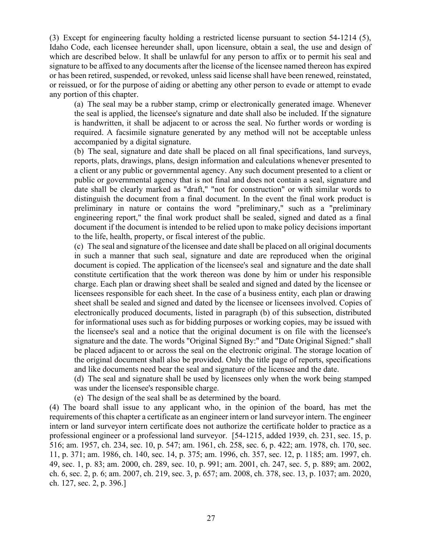(3) Except for engineering faculty holding a restricted license pursuant to section 54-1214 (5), Idaho Code, each licensee hereunder shall, upon licensure, obtain a seal, the use and design of which are described below. It shall be unlawful for any person to affix or to permit his seal and signature to be affixed to any documents after the license of the licensee named thereon has expired or has been retired, suspended, or revoked, unless said license shall have been renewed, reinstated, or reissued, or for the purpose of aiding or abetting any other person to evade or attempt to evade any portion of this chapter.

(a) The seal may be a rubber stamp, crimp or electronically generated image. Whenever the seal is applied, the licensee's signature and date shall also be included. If the signature is handwritten, it shall be adjacent to or across the seal. No further words or wording is required. A facsimile signature generated by any method will not be acceptable unless accompanied by a digital signature.

(b) The seal, signature and date shall be placed on all final specifications, land surveys, reports, plats, drawings, plans, design information and calculations whenever presented to a client or any public or governmental agency. Any such document presented to a client or public or governmental agency that is not final and does not contain a seal, signature and date shall be clearly marked as "draft," "not for construction" or with similar words to distinguish the document from a final document. In the event the final work product is preliminary in nature or contains the word "preliminary," such as a "preliminary engineering report," the final work product shall be sealed, signed and dated as a final document if the document is intended to be relied upon to make policy decisions important to the life, health, property, or fiscal interest of the public.

(c) The seal and signature of the licensee and date shall be placed on all original documents in such a manner that such seal, signature and date are reproduced when the original document is copied. The application of the licensee's seal and signature and the date shall constitute certification that the work thereon was done by him or under his responsible charge. Each plan or drawing sheet shall be sealed and signed and dated by the licensee or licensees responsible for each sheet. In the case of a business entity, each plan or drawing sheet shall be sealed and signed and dated by the licensee or licensees involved. Copies of electronically produced documents, listed in paragraph (b) of this subsection, distributed for informational uses such as for bidding purposes or working copies, may be issued with the licensee's seal and a notice that the original document is on file with the licensee's signature and the date. The words "Original Signed By:" and "Date Original Signed:" shall be placed adjacent to or across the seal on the electronic original. The storage location of the original document shall also be provided. Only the title page of reports, specifications and like documents need bear the seal and signature of the licensee and the date.

(d) The seal and signature shall be used by licensees only when the work being stamped was under the licensee's responsible charge.

(e) The design of the seal shall be as determined by the board.

(4) The board shall issue to any applicant who, in the opinion of the board, has met the requirements of this chapter a certificate as an engineer intern or land surveyor intern. The engineer intern or land surveyor intern certificate does not authorize the certificate holder to practice as a professional engineer or a professional land surveyor. [54-1215, added 1939, ch. 231, sec. 15, p. 516; am. 1957, ch. 234, sec. 10, p. 547; am. 1961, ch. 258, sec. 6, p. 422; am. 1978, ch. 170, sec. 11, p. 371; am. 1986, ch. 140, sec. 14, p. 375; am. 1996, ch. 357, sec. 12, p. 1185; am. 1997, ch. 49, sec. 1, p. 83; am. 2000, ch. 289, sec. 10, p. 991; am. 2001, ch. 247, sec. 5, p. 889; am. 2002, ch. 6, sec. 2, p. 6; am. 2007, ch. 219, sec. 3, p. 657; am. 2008, ch. 378, sec. 13, p. 1037; am. 2020, ch. 127, sec. 2, p. 396.]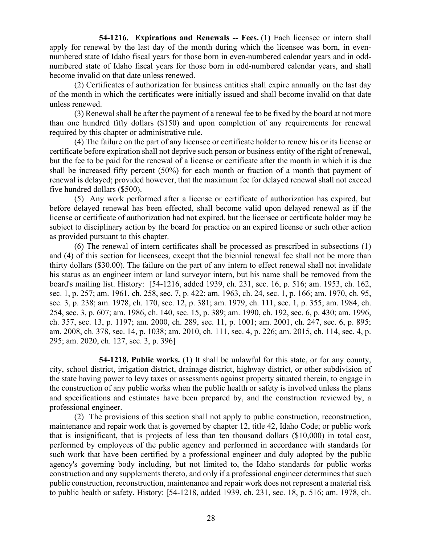**54-1216.** Expirations and Renewals -- Fees. (1) Each licensee or intern shall apply for renewal by the last day of the month during which the licensee was born, in evennumbered state of Idaho fiscal years for those born in even-numbered calendar years and in oddnumbered state of Idaho fiscal years for those born in odd-numbered calendar years, and shall become invalid on that date unless renewed.

(2) Certificates of authorization for business entities shall expire annually on the last day of the month in which the certificates were initially issued and shall become invalid on that date unless renewed.

(3) Renewal shall be after the payment of a renewal fee to be fixed by the board at not more than one hundred fifty dollars (\$150) and upon completion of any requirements for renewal required by this chapter or administrative rule.

(4) The failure on the part of any licensee or certificate holder to renew his or its license or certificate before expiration shall not deprive such person or business entity of the right of renewal, but the fee to be paid for the renewal of a license or certificate after the month in which it is due shall be increased fifty percent (50%) for each month or fraction of a month that payment of renewal is delayed; provided however, that the maximum fee for delayed renewal shall not exceed five hundred dollars (\$500).

(5) Any work performed after a license or certificate of authorization has expired, but before delayed renewal has been effected, shall become valid upon delayed renewal as if the license or certificate of authorization had not expired, but the licensee or certificate holder may be subject to disciplinary action by the board for practice on an expired license or such other action as provided pursuant to this chapter.

(6) The renewal of intern certificates shall be processed as prescribed in subsections (1) and (4) of this section for licensees, except that the biennial renewal fee shall not be more than thirty dollars (\$30.00). The failure on the part of any intern to effect renewal shall not invalidate his status as an engineer intern or land surveyor intern, but his name shall be removed from the board's mailing list. History: [54-1216, added 1939, ch. 231, sec. 16, p. 516; am. 1953, ch. 162, sec. 1, p. 257; am. 1961, ch. 258, sec. 7, p. 422; am. 1963, ch. 24, sec. 1, p. 166; am. 1970, ch. 95, sec. 3, p. 238; am. 1978, ch. 170, sec. 12, p. 381; am. 1979, ch. 111, sec. 1, p. 355; am. 1984, ch. 254, sec. 3, p. 607; am. 1986, ch. 140, sec. 15, p. 389; am. 1990, ch. 192, sec. 6, p. 430; am. 1996, ch. 357, sec. 13, p. 1197; am. 2000, ch. 289, sec. 11, p. 1001; am. 2001, ch. 247, sec. 6, p. 895; am. 2008, ch. 378, sec. 14, p. 1038; am. 2010, ch. 111, sec. 4, p. 226; am. 2015, ch. 114, sec. 4, p. 295; am. 2020, ch. 127, sec. 3, p. 396]

**54-1218. Public works.** (1) It shall be unlawful for this state, or for any county, city, school district, irrigation district, drainage district, highway district, or other subdivision of the state having power to levy taxes or assessments against property situated therein, to engage in the construction of any public works when the public health or safety is involved unless the plans and specifications and estimates have been prepared by, and the construction reviewed by, a professional engineer.

(2) The provisions of this section shall not apply to public construction, reconstruction, maintenance and repair work that is governed by chapter 12, title 42, Idaho Code; or public work that is insignificant, that is projects of less than ten thousand dollars (\$10,000) in total cost, performed by employees of the public agency and performed in accordance with standards for such work that have been certified by a professional engineer and duly adopted by the public agency's governing body including, but not limited to, the Idaho standards for public works construction and any supplements thereto, and only if a professional engineer determines that such public construction, reconstruction, maintenance and repair work does not represent a material risk to public health or safety. History: [54-1218, added 1939, ch. 231, sec. 18, p. 516; am. 1978, ch.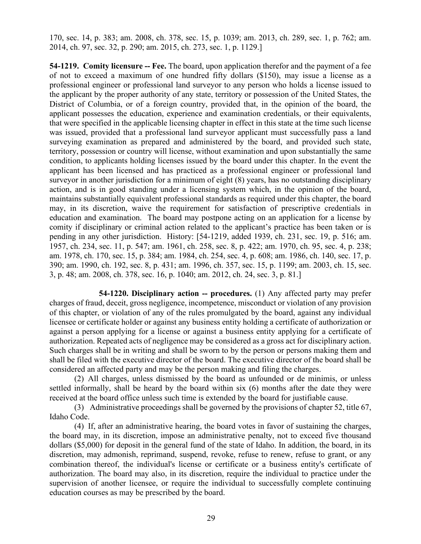170, sec. 14, p. 383; am. 2008, ch. 378, sec. 15, p. 1039; am. 2013, ch. 289, sec. 1, p. 762; am. 2014, ch. 97, sec. 32, p. 290; am. 2015, ch. 273, sec. 1, p. 1129.]

**54-1219. Comity licensure -- Fee.** The board, upon application therefor and the payment of a fee of not to exceed a maximum of one hundred fifty dollars (\$150), may issue a license as a professional engineer or professional land surveyor to any person who holds a license issued to the applicant by the proper authority of any state, territory or possession of the United States, the District of Columbia, or of a foreign country, provided that, in the opinion of the board, the applicant possesses the education, experience and examination credentials, or their equivalents, that were specified in the applicable licensing chapter in effect in this state at the time such license was issued, provided that a professional land surveyor applicant must successfully pass a land surveying examination as prepared and administered by the board, and provided such state, territory, possession or country will license, without examination and upon substantially the same condition, to applicants holding licenses issued by the board under this chapter. In the event the applicant has been licensed and has practiced as a professional engineer or professional land surveyor in another jurisdiction for a minimum of eight (8) years, has no outstanding disciplinary action, and is in good standing under a licensing system which, in the opinion of the board, maintains substantially equivalent professional standards as required under this chapter, the board may, in its discretion, waive the requirement for satisfaction of prescriptive credentials in education and examination. The board may postpone acting on an application for a license by comity if disciplinary or criminal action related to the applicant's practice has been taken or is pending in any other jurisdiction. History: [54-1219, added 1939, ch. 231, sec. 19, p. 516; am. 1957, ch. 234, sec. 11, p. 547; am. 1961, ch. 258, sec. 8, p. 422; am. 1970, ch. 95, sec. 4, p. 238; am. 1978, ch. 170, sec. 15, p. 384; am. 1984, ch. 254, sec. 4, p. 608; am. 1986, ch. 140, sec. 17, p. 390; am. 1990, ch. 192, sec. 8, p. 431; am. 1996, ch. 357, sec. 15, p. 1199; am. 2003, ch. 15, sec. 3, p. 48; am. 2008, ch. 378, sec. 16, p. 1040; am. 2012, ch. 24, sec. 3, p. 81.]

**54-1220. Disciplinary action -- procedures.** (1) Any affected party may prefer charges of fraud, deceit, gross negligence, incompetence, misconduct or violation of any provision of this chapter, or violation of any of the rules promulgated by the board, against any individual licensee or certificate holder or against any business entity holding a certificate of authorization or against a person applying for a license or against a business entity applying for a certificate of authorization. Repeated acts of negligence may be considered as a gross act for disciplinary action. Such charges shall be in writing and shall be sworn to by the person or persons making them and shall be filed with the executive director of the board. The executive director of the board shall be considered an affected party and may be the person making and filing the charges.

(2) All charges, unless dismissed by the board as unfounded or de minimis, or unless settled informally, shall be heard by the board within six (6) months after the date they were received at the board office unless such time is extended by the board for justifiable cause.

(3) Administrative proceedings shall be governed by the provisions of [chapter 52, title 67,](http://legislature.idaho.gov/idstat/Title67/T67CH52.htm) Idaho Code.

(4) If, after an administrative hearing, the board votes in favor of sustaining the charges, the board may, in its discretion, impose an administrative penalty, not to exceed five thousand dollars (\$5,000) for deposit in the general fund of the state of Idaho. In addition, the board, in its discretion, may admonish, reprimand, suspend, revoke, refuse to renew, refuse to grant, or any combination thereof, the individual's license or certificate or a business entity's certificate of authorization. The board may also, in its discretion, require the individual to practice under the supervision of another licensee, or require the individual to successfully complete continuing education courses as may be prescribed by the board.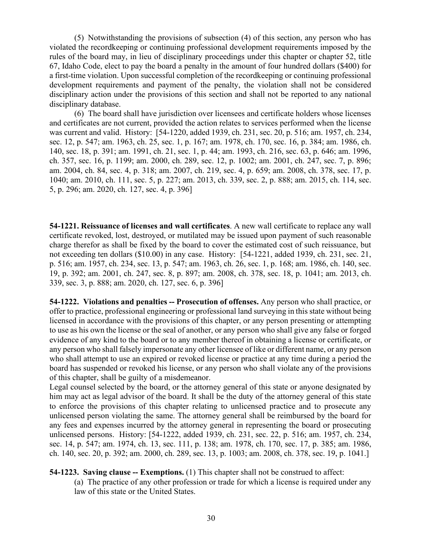(5) Notwithstanding the provisions of subsection (4) of this section, any person who has violated the recordkeeping or continuing professional development requirements imposed by the rules of the board may, in lieu of disciplinary proceedings under this chapter or [chapter 52, title](http://legislature.idaho.gov/idstat/Title67/T67CH52.htm)  [67,](http://legislature.idaho.gov/idstat/Title67/T67CH52.htm) Idaho Code, elect to pay the board a penalty in the amount of four hundred dollars (\$400) for a first-time violation. Upon successful completion of the recordkeeping or continuing professional development requirements and payment of the penalty, the violation shall not be considered disciplinary action under the provisions of this section and shall not be reported to any national disciplinary database.

(6) The board shall have jurisdiction over licensees and certificate holders whose licenses and certificates are not current, provided the action relates to services performed when the license was current and valid. History: [54-1220, added 1939, ch. 231, sec. 20, p. 516; am. 1957, ch. 234, sec. 12, p. 547; am. 1963, ch. 25, sec. 1, p. 167; am. 1978, ch. 170, sec. 16, p. 384; am. 1986, ch. 140, sec. 18, p. 391; am. 1991, ch. 21, sec. 1, p. 44; am. 1993, ch. 216, sec. 63, p. 646; am. 1996, ch. 357, sec. 16, p. 1199; am. 2000, ch. 289, sec. 12, p. 1002; am. 2001, ch. 247, sec. 7, p. 896; am. 2004, ch. 84, sec. 4, p. 318; am. 2007, ch. 219, sec. 4, p. 659; am. 2008, ch. 378, sec. 17, p. 1040; am. 2010, ch. 111, sec. 5, p. 227; am. 2013, ch. 339, sec. 2, p. 888; am. 2015, ch. 114, sec. 5, p. 296; am. 2020, ch. 127, sec. 4, p. 396]

**54-1221. Reissuance of licenses and wall certificates**. A new wall certificate to replace any wall certificate revoked, lost, destroyed, or mutilated may be issued upon payment of such reasonable charge therefor as shall be fixed by the board to cover the estimated cost of such reissuance, but not exceeding ten dollars (\$10.00) in any case. History: [54-1221, added 1939, ch. 231, sec. 21, p. 516; am. 1957, ch. 234, sec. 13, p. 547; am. 1963, ch. 26, sec. 1, p. 168; am. 1986, ch. 140, sec. 19, p. 392; am. 2001, ch. 247, sec. 8, p. 897; am. 2008, ch. 378, sec. 18, p. 1041; am. 2013, ch. 339, sec. 3, p. 888; am. 2020, ch. 127, sec. 6, p. 396]

**54-1222. Violations and penalties -- Prosecution of offenses.** Any person who shall practice, or offer to practice, professional engineering or professional land surveying in this state without being licensed in accordance with the provisions of this chapter, or any person presenting or attempting to use as his own the license or the seal of another, or any person who shall give any false or forged evidence of any kind to the board or to any member thereof in obtaining a license or certificate, or any person who shall falsely impersonate any other licensee of like or different name, or any person who shall attempt to use an expired or revoked license or practice at any time during a period the board has suspended or revoked his license, or any person who shall violate any of the provisions of this chapter, shall be guilty of a misdemeanor.

Legal counsel selected by the board, or the attorney general of this state or anyone designated by him may act as legal advisor of the board. It shall be the duty of the attorney general of this state to enforce the provisions of this chapter relating to unlicensed practice and to prosecute any unlicensed person violating the same. The attorney general shall be reimbursed by the board for any fees and expenses incurred by the attorney general in representing the board or prosecuting unlicensed persons. History: [54-1222, added 1939, ch. 231, sec. 22, p. 516; am. 1957, ch. 234, sec. 14, p. 547; am. 1974, ch. 13, sec. 111, p. 138; am. 1978, ch. 170, sec. 17, p. 385; am. 1986, ch. 140, sec. 20, p. 392; am. 2000, ch. 289, sec. 13, p. 1003; am. 2008, ch. 378, sec. 19, p. 1041.]

**54-1223. Saving clause -- Exemptions.** (1) This chapter shall not be construed to affect:

(a) The practice of any other profession or trade for which a license is required under any law of this state or the United States.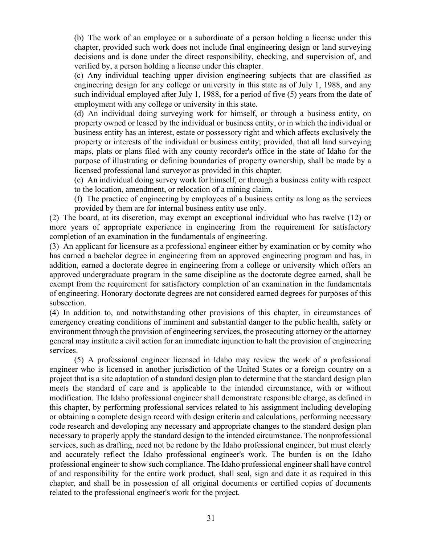(b) The work of an employee or a subordinate of a person holding a license under this chapter, provided such work does not include final engineering design or land surveying decisions and is done under the direct responsibility, checking, and supervision of, and verified by, a person holding a license under this chapter.

(c) Any individual teaching upper division engineering subjects that are classified as engineering design for any college or university in this state as of July 1, 1988, and any such individual employed after July 1, 1988, for a period of five (5) years from the date of employment with any college or university in this state.

(d) An individual doing surveying work for himself, or through a business entity, on property owned or leased by the individual or business entity, or in which the individual or business entity has an interest, estate or possessory right and which affects exclusively the property or interests of the individual or business entity; provided, that all land surveying maps, plats or plans filed with any county recorder's office in the state of Idaho for the purpose of illustrating or defining boundaries of property ownership, shall be made by a licensed professional land surveyor as provided in this chapter.

(e) An individual doing survey work for himself, or through a business entity with respect to the location, amendment, or relocation of a mining claim.

(f) The practice of engineering by employees of a business entity as long as the services provided by them are for internal business entity use only.

(2) The board, at its discretion, may exempt an exceptional individual who has twelve (12) or more years of appropriate experience in engineering from the requirement for satisfactory completion of an examination in the fundamentals of engineering.

(3) An applicant for licensure as a professional engineer either by examination or by comity who has earned a bachelor degree in engineering from an approved engineering program and has, in addition, earned a doctorate degree in engineering from a college or university which offers an approved undergraduate program in the same discipline as the doctorate degree earned, shall be exempt from the requirement for satisfactory completion of an examination in the fundamentals of engineering. Honorary doctorate degrees are not considered earned degrees for purposes of this subsection.

(4) In addition to, and notwithstanding other provisions of this chapter, in circumstances of emergency creating conditions of imminent and substantial danger to the public health, safety or environment through the provision of engineering services, the prosecuting attorney or the attorney general may institute a civil action for an immediate injunction to halt the provision of engineering services.

(5) A professional engineer licensed in Idaho may review the work of a professional engineer who is licensed in another jurisdiction of the United States or a foreign country on a project that is a site adaptation of a standard design plan to determine that the standard design plan meets the standard of care and is applicable to the intended circumstance, with or without modification. The Idaho professional engineer shall demonstrate responsible charge, as defined in this chapter, by performing professional services related to his assignment including developing or obtaining a complete design record with design criteria and calculations, performing necessary code research and developing any necessary and appropriate changes to the standard design plan necessary to properly apply the standard design to the intended circumstance. The nonprofessional services, such as drafting, need not be redone by the Idaho professional engineer, but must clearly and accurately reflect the Idaho professional engineer's work. The burden is on the Idaho professional engineer to show such compliance. The Idaho professional engineer shall have control of and responsibility for the entire work product, shall seal, sign and date it as required in this chapter, and shall be in possession of all original documents or certified copies of documents related to the professional engineer's work for the project.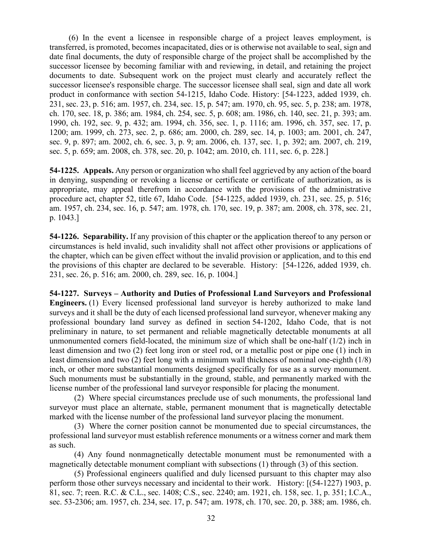(6) In the event a licensee in responsible charge of a project leaves employment, is transferred, is promoted, becomes incapacitated, dies or is otherwise not available to seal, sign and date final documents, the duty of responsible charge of the project shall be accomplished by the successor licensee by becoming familiar with and reviewing, in detail, and retaining the project documents to date. Subsequent work on the project must clearly and accurately reflect the successor licensee's responsible charge. The successor licensee shall seal, sign and date all work product in conformance with section 54-1215, Idaho Code. History: [54-1223, added 1939, ch. 231, sec. 23, p. 516; am. 1957, ch. 234, sec. 15, p. 547; am. 1970, ch. 95, sec. 5, p. 238; am. 1978, ch. 170, sec. 18, p. 386; am. 1984, ch. 254, sec. 5, p. 608; am. 1986, ch. 140, sec. 21, p. 393; am. 1990, ch. 192, sec. 9, p. 432; am. 1994, ch. 356, sec. 1, p. 1116; am. 1996, ch. 357, sec. 17, p. 1200; am. 1999, ch. 273, sec. 2, p. 686; am. 2000, ch. 289, sec. 14, p. 1003; am. 2001, ch. 247, sec. 9, p. 897; am. 2002, ch. 6, sec. 3, p. 9; am. 2006, ch. 137, sec. 1, p. 392; am. 2007, ch. 219, sec. 5, p. 659; am. 2008, ch. 378, sec. 20, p. 1042; am. 2010, ch. 111, sec. 6, p. 228.]

**54-1225. Appeals.** Any person or organization who shall feel aggrieved by any action of the board in denying, suspending or revoking a license or certificate or certificate of authorization, as is appropriate, may appeal therefrom in accordance with the provisions of the administrative procedure act, chapter 52, title 67, Idaho Code. [54-1225, added 1939, ch. 231, sec. 25, p. 516; am. 1957, ch. 234, sec. 16, p. 547; am. 1978, ch. 170, sec. 19, p. 387; am. 2008, ch. 378, sec. 21, p. 1043.]

**54-1226. Separability.** If any provision of this chapter or the application thereof to any person or circumstances is held invalid, such invalidity shall not affect other provisions or applications of the chapter, which can be given effect without the invalid provision or application, and to this end the provisions of this chapter are declared to be severable. History: [54-1226, added 1939, ch. 231, sec. 26, p. 516; am. 2000, ch. 289, sec. 16, p. 1004.]

**54-1227. Surveys – Authority and Duties of Professional Land Surveyors and Professional Engineers.** (1) Every licensed professional land surveyor is hereby authorized to make land surveys and it shall be the duty of each licensed professional land surveyor, whenever making any professional boundary land survey as defined in section [54-1202,](http://legislature.idaho.gov/idstat/Title54/T54CH12SECT54-1202.htm) Idaho Code, that is not preliminary in nature, to set permanent and reliable magnetically detectable monuments at all unmonumented corners field-located, the minimum size of which shall be one-half (1/2) inch in least dimension and two (2) feet long iron or steel rod, or a metallic post or pipe one (1) inch in least dimension and two (2) feet long with a minimum wall thickness of nominal one-eighth (1/8) inch, or other more substantial monuments designed specifically for use as a survey monument. Such monuments must be substantially in the ground, stable, and permanently marked with the license number of the professional land surveyor responsible for placing the monument.

(2) Where special circumstances preclude use of such monuments, the professional land surveyor must place an alternate, stable, permanent monument that is magnetically detectable marked with the license number of the professional land surveyor placing the monument.

(3) Where the corner position cannot be monumented due to special circumstances, the professional land surveyor must establish reference monuments or a witness corner and mark them as such.

(4) Any found nonmagnetically detectable monument must be remonumented with a magnetically detectable monument compliant with subsections (1) through (3) of this section.

(5) Professional engineers qualified and duly licensed pursuant to this chapter may also perform those other surveys necessary and incidental to their work. History: [(54-1227) 1903, p. 81, sec. 7; reen. R.C. & C.L., sec. 1408; C.S., sec. 2240; am. 1921, ch. 158, sec. 1, p. 351; I.C.A., sec. 53-2306; am. 1957, ch. 234, sec. 17, p. 547; am. 1978, ch. 170, sec. 20, p. 388; am. 1986, ch.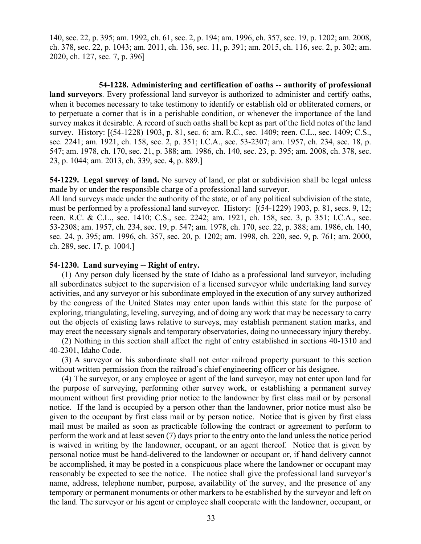140, sec. 22, p. 395; am. 1992, ch. 61, sec. 2, p. 194; am. 1996, ch. 357, sec. 19, p. 1202; am. 2008, ch. 378, sec. 22, p. 1043; am. 2011, ch. 136, sec. 11, p. 391; am. 2015, ch. 116, sec. 2, p. 302; am. 2020, ch. 127, sec. 7, p. 396]

**54-1228. Administering and certification of oaths -- authority of professional land surveyors**. Every professional land surveyor is authorized to administer and certify oaths, when it becomes necessary to take testimony to identify or establish old or obliterated corners, or to perpetuate a corner that is in a perishable condition, or whenever the importance of the land survey makes it desirable. A record of such oaths shall be kept as part of the field notes of the land survey. History: [(54-1228) 1903, p. 81, sec. 6; am. R.C., sec. 1409; reen. C.L., sec. 1409; C.S., sec. 2241; am. 1921, ch. 158, sec. 2, p. 351; I.C.A., sec. 53-2307; am. 1957, ch. 234, sec. 18, p. 547; am. 1978, ch. 170, sec. 21, p. 388; am. 1986, ch. 140, sec. 23, p. 395; am. 2008, ch. 378, sec. 23, p. 1044; am. 2013, ch. 339, sec. 4, p. 889.]

**54-1229. Legal survey of land.** No survey of land, or plat or subdivision shall be legal unless made by or under the responsible charge of a professional land surveyor.

All land surveys made under the authority of the state, or of any political subdivision of the state, must be performed by a professional land surveyor. History: [(54-1229) 1903, p. 81, secs. 9, 12; reen. R.C. & C.L., sec. 1410; C.S., sec. 2242; am. 1921, ch. 158, sec. 3, p. 351; I.C.A., sec. 53-2308; am. 1957, ch. 234, sec. 19, p. 547; am. 1978, ch. 170, sec. 22, p. 388; am. 1986, ch. 140, sec. 24, p. 395; am. 1996, ch. 357, sec. 20, p. 1202; am. 1998, ch. 220, sec. 9, p. 761; am. 2000, ch. 289, sec. 17, p. 1004.]

#### **54-1230. Land surveying -- Right of entry.**

(1) Any person duly licensed by the state of Idaho as a professional land surveyor, including all subordinates subject to the supervision of a licensed surveyor while undertaking land survey activities, and any surveyor or his subordinate employed in the execution of any survey authorized by the congress of the United States may enter upon lands within this state for the purpose of exploring, triangulating, leveling, surveying, and of doing any work that may be necessary to carry out the objects of existing laws relative to surveys, may establish permanent station marks, and may erect the necessary signals and temporary observatories, doing no unnecessary injury thereby.

(2) Nothing in this section shall affect the right of entry established in sections 40-1310 and 40-2301, Idaho Code.

(3) A surveyor or his subordinate shall not enter railroad property pursuant to this section without written permission from the railroad's chief engineering officer or his designee.

(4) The surveyor, or any employee or agent of the land surveyor, may not enter upon land for the purpose of surveying, performing other survey work, or establishing a permanent survey moument without first providing prior notice to the landowner by first class mail or by personal notice. If the land is occupied by a person other than the landowner, prior notice must also be given to the occupant by first class mail or by person notice. Notice that is given by first class mail must be mailed as soon as practicable following the contract or agreement to perform to perform the work and at least seven (7) days prior to the entry onto the land unless the notice period is waived in writing by the landowner, occupant, or an agent thereof. Notice that is given by personal notice must be hand-delivered to the landowner or occupant or, if hand delivery cannot be accomplished, it may be posted in a conspicuous place where the landowner or occupant may reasonably be expected to see the notice. The notice shall give the professional land surveyor's name, address, telephone number, purpose, availability of the survey, and the presence of any temporary or permanent monuments or other markers to be established by the surveyor and left on the land. The surveyor or his agent or employee shall cooperate with the landowner, occupant, or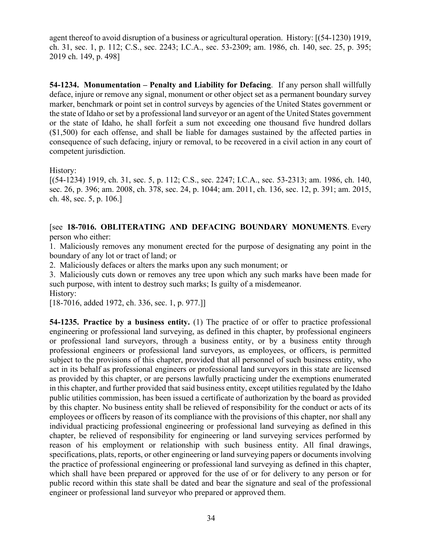agent thereof to avoid disruption of a business or agricultural operation. History: [(54-1230) 1919, ch. 31, sec. 1, p. 112; C.S., sec. 2243; I.C.A., sec. 53-2309; am. 1986, ch. 140, sec. 25, p. 395; 2019 ch. 149, p. 498]

**54-1234. Monumentation – Penalty and Liability for Defacing**. If any person shall willfully deface, injure or remove any signal, monument or other object set as a permanent boundary survey marker, benchmark or point set in control surveys by agencies of the United States government or the state of Idaho or set by a professional land surveyor or an agent of the United States government or the state of Idaho, he shall forfeit a sum not exceeding one thousand five hundred dollars (\$1,500) for each offense, and shall be liable for damages sustained by the affected parties in consequence of such defacing, injury or removal, to be recovered in a civil action in any court of competent jurisdiction.

History:

[(54-1234) 1919, ch. 31, sec. 5, p. 112; C.S., sec. 2247; I.C.A., sec. 53-2313; am. 1986, ch. 140, sec. 26, p. 396; am. 2008, ch. 378, sec. 24, p. 1044; am. 2011, ch. 136, sec. 12, p. 391; am. 2015, ch. 48, sec. 5, p. 106.]

[see **18-7016. OBLITERATING AND DEFACING BOUNDARY MONUMENTS**. Every person who either:

1. Maliciously removes any monument erected for the purpose of designating any point in the boundary of any lot or tract of land; or

2. Maliciously defaces or alters the marks upon any such monument; or

3. Maliciously cuts down or removes any tree upon which any such marks have been made for such purpose, with intent to destroy such marks; Is guilty of a misdemeanor.

History:

[18-7016, added 1972, ch. 336, sec. 1, p. 977.]]

**54-1235. Practice by a business entity.** (1) The practice of or offer to practice professional engineering or professional land surveying, as defined in this chapter, by professional engineers or professional land surveyors, through a business entity, or by a business entity through professional engineers or professional land surveyors, as employees, or officers, is permitted subject to the provisions of this chapter, provided that all personnel of such business entity, who act in its behalf as professional engineers or professional land surveyors in this state are licensed as provided by this chapter, or are persons lawfully practicing under the exemptions enumerated in this chapter, and further provided that said business entity, except utilities regulated by the Idaho public utilities commission, has been issued a certificate of authorization by the board as provided by this chapter. No business entity shall be relieved of responsibility for the conduct or acts of its employees or officers by reason of its compliance with the provisions of this chapter, nor shall any individual practicing professional engineering or professional land surveying as defined in this chapter, be relieved of responsibility for engineering or land surveying services performed by reason of his employment or relationship with such business entity. All final drawings, specifications, plats, reports, or other engineering or land surveying papers or documents involving the practice of professional engineering or professional land surveying as defined in this chapter, which shall have been prepared or approved for the use of or for delivery to any person or for public record within this state shall be dated and bear the signature and seal of the professional engineer or professional land surveyor who prepared or approved them.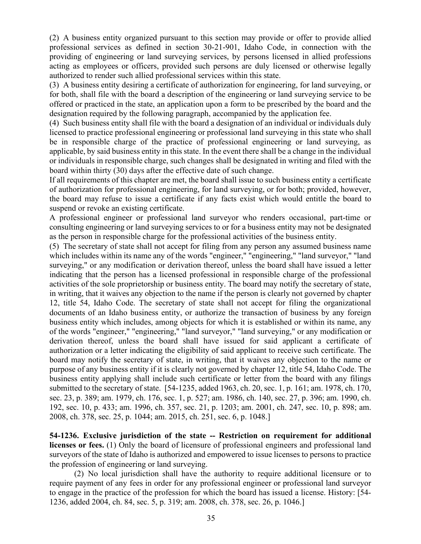(2) A business entity organized pursuant to this section may provide or offer to provide allied professional services as defined in section 30-21-901, Idaho Code, in connection with the providing of engineering or land surveying services, by persons licensed in allied professions acting as employees or officers, provided such persons are duly licensed or otherwise legally authorized to render such allied professional services within this state.

(3) A business entity desiring a certificate of authorization for engineering, for land surveying, or for both, shall file with the board a description of the engineering or land surveying service to be offered or practiced in the state, an application upon a form to be prescribed by the board and the designation required by the following paragraph, accompanied by the application fee.

(4) Such business entity shall file with the board a designation of an individual or individuals duly licensed to practice professional engineering or professional land surveying in this state who shall be in responsible charge of the practice of professional engineering or land surveying, as applicable, by said business entity in this state. In the event there shall be a change in the individual or individuals in responsible charge, such changes shall be designated in writing and filed with the board within thirty (30) days after the effective date of such change.

If all requirements of this chapter are met, the board shall issue to such business entity a certificate of authorization for professional engineering, for land surveying, or for both; provided, however, the board may refuse to issue a certificate if any facts exist which would entitle the board to suspend or revoke an existing certificate.

A professional engineer or professional land surveyor who renders occasional, part-time or consulting engineering or land surveying services to or for a business entity may not be designated as the person in responsible charge for the professional activities of the business entity.

(5) The secretary of state shall not accept for filing from any person any assumed business name which includes within its name any of the words "engineer," "engineering," "land surveyor," "land surveying," or any modification or derivation thereof, unless the board shall have issued a letter indicating that the person has a licensed professional in responsible charge of the professional activities of the sole proprietorship or business entity. The board may notify the secretary of state, in writing, that it waives any objection to the name if the person is clearly not governed by chapter 12, title 54, Idaho Code. The secretary of state shall not accept for filing the organizational documents of an Idaho business entity, or authorize the transaction of business by any foreign business entity which includes, among objects for which it is established or within its name, any of the words "engineer," "engineering," "land surveyor," "land surveying," or any modification or derivation thereof, unless the board shall have issued for said applicant a certificate of authorization or a letter indicating the eligibility of said applicant to receive such certificate. The board may notify the secretary of state, in writing, that it waives any objection to the name or purpose of any business entity if it is clearly not governed by chapter 12, title 54, Idaho Code. The business entity applying shall include such certificate or letter from the board with any filings submitted to the secretary of state. [54-1235, added 1963, ch. 20, sec. 1, p. 161; am. 1978, ch. 170, sec. 23, p. 389; am. 1979, ch. 176, sec. 1, p. 527; am. 1986, ch. 140, sec. 27, p. 396; am. 1990, ch. 192, sec. 10, p. 433; am. 1996, ch. 357, sec. 21, p. 1203; am. 2001, ch. 247, sec. 10, p. 898; am. 2008, ch. 378, sec. 25, p. 1044; am. 2015, ch. 251, sec. 6, p. 1048.]

**54-1236. Exclusive jurisdiction of the state -- Restriction on requirement for additional licenses or fees.** (1) Only the board of licensure of professional engineers and professional land surveyors of the state of Idaho is authorized and empowered to issue licenses to persons to practice the profession of engineering or land surveying.

(2) No local jurisdiction shall have the authority to require additional licensure or to require payment of any fees in order for any professional engineer or professional land surveyor to engage in the practice of the profession for which the board has issued a license. History: [54- 1236, added 2004, ch. 84, sec. 5, p. 319; am. 2008, ch. 378, sec. 26, p. 1046.]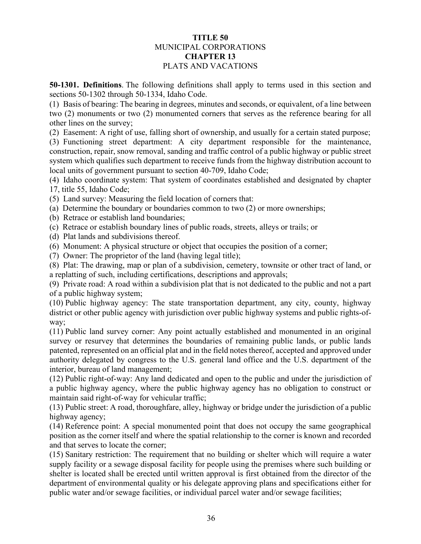# **TITLE 50** MUNICIPAL CORPORATIONS **CHAPTER 13** PLATS AND VACATIONS

**50-1301. Definitions**. The following definitions shall apply to terms used in this section and sections [50-1302](https://legislature.idaho.gov/statutesrules/idstat/Title50/T50CH13/SECT50-1302) through [50-1334,](https://legislature.idaho.gov/statutesrules/idstat/Title50/T50CH13/SECT50-1334) Idaho Code.

(1) Basis of bearing: The bearing in degrees, minutes and seconds, or equivalent, of a line between two (2) monuments or two (2) monumented corners that serves as the reference bearing for all other lines on the survey;

(2) Easement: A right of use, falling short of ownership, and usually for a certain stated purpose;

(3) Functioning street department: A city department responsible for the maintenance, construction, repair, snow removal, sanding and traffic control of a public highway or public street system which qualifies such department to receive funds from the highway distribution account to local units of government pursuant to section [40-709,](https://legislature.idaho.gov/statutesrules/idstat/Title40/T40CH7/SECT40-709) Idaho Code;

(4) Idaho coordinate system: That system of coordinates established and designated by [chapter](https://legislature.idaho.gov/statutesrules/idstat/Title55/T55CH17)  [17, title 55,](https://legislature.idaho.gov/statutesrules/idstat/Title55/T55CH17) Idaho Code;

(5) Land survey: Measuring the field location of corners that:

(a) Determine the boundary or boundaries common to two (2) or more ownerships;

(b) Retrace or establish land boundaries;

(c) Retrace or establish boundary lines of public roads, streets, alleys or trails; or

(d) Plat lands and subdivisions thereof.

(6) Monument: A physical structure or object that occupies the position of a corner;

(7) Owner: The proprietor of the land (having legal title);

(8) Plat: The drawing, map or plan of a subdivision, cemetery, townsite or other tract of land, or a replatting of such, including certifications, descriptions and approvals;

(9) Private road: A road within a subdivision plat that is not dedicated to the public and not a part of a public highway system;

(10) Public highway agency: The state transportation department, any city, county, highway district or other public agency with jurisdiction over public highway systems and public rights-ofway;

(11) Public land survey corner: Any point actually established and monumented in an original survey or resurvey that determines the boundaries of remaining public lands, or public lands patented, represented on an official plat and in the field notes thereof, accepted and approved under authority delegated by congress to the U.S. general land office and the U.S. department of the interior, bureau of land management;

(12) Public right-of-way: Any land dedicated and open to the public and under the jurisdiction of a public highway agency, where the public highway agency has no obligation to construct or maintain said right-of-way for vehicular traffic;

(13) Public street: A road, thoroughfare, alley, highway or bridge under the jurisdiction of a public highway agency;

(14) Reference point: A special monumented point that does not occupy the same geographical position as the corner itself and where the spatial relationship to the corner is known and recorded and that serves to locate the corner;

(15) Sanitary restriction: The requirement that no building or shelter which will require a water supply facility or a sewage disposal facility for people using the premises where such building or shelter is located shall be erected until written approval is first obtained from the director of the department of environmental quality or his delegate approving plans and specifications either for public water and/or sewage facilities, or individual parcel water and/or sewage facilities;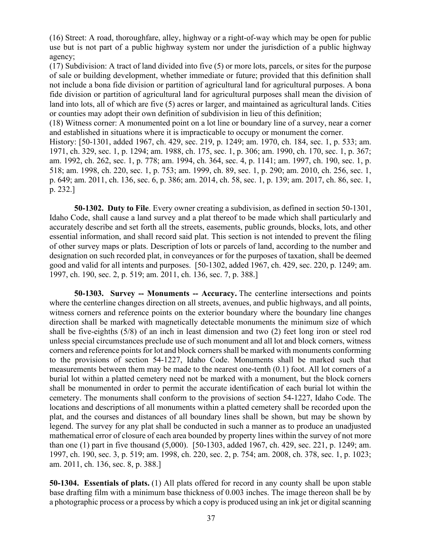(16) Street: A road, thoroughfare, alley, highway or a right-of-way which may be open for public use but is not part of a public highway system nor under the jurisdiction of a public highway agency;

(17) Subdivision: A tract of land divided into five (5) or more lots, parcels, or sites for the purpose of sale or building development, whether immediate or future; provided that this definition shall not include a bona fide division or partition of agricultural land for agricultural purposes. A bona fide division or partition of agricultural land for agricultural purposes shall mean the division of land into lots, all of which are five (5) acres or larger, and maintained as agricultural lands. Cities or counties may adopt their own definition of subdivision in lieu of this definition;

(18) Witness corner: A monumented point on a lot line or boundary line of a survey, near a corner and established in situations where it is impracticable to occupy or monument the corner.

History: [50-1301, added 1967, ch. 429, sec. 219, p. 1249; am. 1970, ch. 184, sec. 1, p. 533; am. 1971, ch. 329, sec. 1, p. 1294; am. 1988, ch. 175, sec. 1, p. 306; am. 1990, ch. 170, sec. 1, p. 367; am. 1992, ch. 262, sec. 1, p. 778; am. 1994, ch. 364, sec. 4, p. 1141; am. 1997, ch. 190, sec. 1, p. 518; am. 1998, ch. 220, sec. 1, p. 753; am. 1999, ch. 89, sec. 1, p. 290; am. 2010, ch. 256, sec. 1, p. 649; am. 2011, ch. 136, sec. 6, p. 386; am. 2014, ch. 58, sec. 1, p. 139; am. 2017, ch. 86, sec. 1, p. 232.]

**50-1302. Duty to File**. Every owner creating a subdivision, as defined in section 50-1301, Idaho Code, shall cause a land survey and a plat thereof to be made which shall particularly and accurately describe and set forth all the streets, easements, public grounds, blocks, lots, and other essential information, and shall record said plat. This section is not intended to prevent the filing of other survey maps or plats. Description of lots or parcels of land, according to the number and designation on such recorded plat, in conveyances or for the purposes of taxation, shall be deemed good and valid for all intents and purposes. [50-1302, added 1967, ch. 429, sec. 220, p. 1249; am. 1997, ch. 190, sec. 2, p. 519; am. 2011, ch. 136, sec. 7, p. 388.]

**50-1303. Survey -- Monuments -- Accuracy.** The centerline intersections and points where the centerline changes direction on all streets, avenues, and public highways, and all points, witness corners and reference points on the exterior boundary where the boundary line changes direction shall be marked with magnetically detectable monuments the minimum size of which shall be five-eighths (5/8) of an inch in least dimension and two (2) feet long iron or steel rod unless special circumstances preclude use of such monument and all lot and block corners, witness corners and reference points for lot and block corners shall be marked with monuments conforming to the provisions of section 54-1227, Idaho Code. Monuments shall be marked such that measurements between them may be made to the nearest one-tenth (0.1) foot. All lot corners of a burial lot within a platted cemetery need not be marked with a monument, but the block corners shall be monumented in order to permit the accurate identification of each burial lot within the cemetery. The monuments shall conform to the provisions of section 54-1227, Idaho Code. The locations and descriptions of all monuments within a platted cemetery shall be recorded upon the plat, and the courses and distances of all boundary lines shall be shown, but may be shown by legend. The survey for any plat shall be conducted in such a manner as to produce an unadjusted mathematical error of closure of each area bounded by property lines within the survey of not more than one (1) part in five thousand (5,000). [50-1303, added 1967, ch. 429, sec. 221, p. 1249; am. 1997, ch. 190, sec. 3, p. 519; am. 1998, ch. 220, sec. 2, p. 754; am. 2008, ch. 378, sec. 1, p. 1023; am. 2011, ch. 136, sec. 8, p. 388.]

**50-1304. Essentials of plats.** (1) All plats offered for record in any county shall be upon stable base drafting film with a minimum base thickness of 0.003 inches. The image thereon shall be by a photographic process or a process by which a copy is produced using an ink jet or digital scanning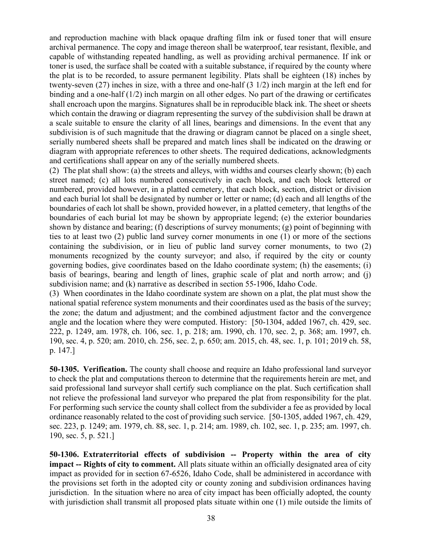and reproduction machine with black opaque drafting film ink or fused toner that will ensure archival permanence. The copy and image thereon shall be waterproof, tear resistant, flexible, and capable of withstanding repeated handling, as well as providing archival permanence. If ink or toner is used, the surface shall be coated with a suitable substance, if required by the county where the plat is to be recorded, to assure permanent legibility. Plats shall be eighteen (18) inches by twenty-seven (27) inches in size, with a three and one-half (3 1/2) inch margin at the left end for binding and a one-half (1/2) inch margin on all other edges. No part of the drawing or certificates shall encroach upon the margins. Signatures shall be in reproducible black ink. The sheet or sheets which contain the drawing or diagram representing the survey of the subdivision shall be drawn at a scale suitable to ensure the clarity of all lines, bearings and dimensions. In the event that any subdivision is of such magnitude that the drawing or diagram cannot be placed on a single sheet, serially numbered sheets shall be prepared and match lines shall be indicated on the drawing or diagram with appropriate references to other sheets. The required dedications, acknowledgments and certifications shall appear on any of the serially numbered sheets.

(2) The plat shall show: (a) the streets and alleys, with widths and courses clearly shown; (b) each street named; (c) all lots numbered consecutively in each block, and each block lettered or numbered, provided however, in a platted cemetery, that each block, section, district or division and each burial lot shall be designated by number or letter or name; (d) each and all lengths of the boundaries of each lot shall be shown, provided however, in a platted cemetery, that lengths of the boundaries of each burial lot may be shown by appropriate legend; (e) the exterior boundaries shown by distance and bearing; (f) descriptions of survey monuments; (g) point of beginning with ties to at least two (2) public land survey corner monuments in one (1) or more of the sections containing the subdivision, or in lieu of public land survey corner monuments, to two (2) monuments recognized by the county surveyor; and also, if required by the city or county governing bodies, give coordinates based on the Idaho coordinate system; (h) the easements; (i) basis of bearings, bearing and length of lines, graphic scale of plat and north arrow; and (j) subdivision name; and (k) narrative as described in section 55-1906, Idaho Code.

(3) When coordinates in the Idaho coordinate system are shown on a plat, the plat must show the national spatial reference system monuments and their coordinates used as the basis of the survey; the zone; the datum and adjustment; and the combined adjustment factor and the convergence angle and the location where they were computed. History: [50-1304, added 1967, ch. 429, sec. 222, p. 1249, am. 1978, ch. 106, sec. 1, p. 218; am. 1990, ch. 170, sec. 2, p. 368; am. 1997, ch. 190, sec. 4, p. 520; am. 2010, ch. 256, sec. 2, p. 650; am. 2015, ch. 48, sec. 1, p. 101; 2019 ch. 58, p. 147.]

**50-1305. Verification.** The county shall choose and require an Idaho professional land surveyor to check the plat and computations thereon to determine that the requirements herein are met, and said professional land surveyor shall certify such compliance on the plat. Such certification shall not relieve the professional land surveyor who prepared the plat from responsibility for the plat. For performing such service the county shall collect from the subdivider a fee as provided by local ordinance reasonably related to the cost of providing such service. [50-1305, added 1967, ch. 429, sec. 223, p. 1249; am. 1979, ch. 88, sec. 1, p. 214; am. 1989, ch. 102, sec. 1, p. 235; am. 1997, ch. 190, sec. 5, p. 521.]

**50-1306. Extraterritorial effects of subdivision -- Property within the area of city impact -- Rights of city to comment.** All plats situate within an officially designated area of city impact as provided for in section 67-6526, Idaho Code, shall be administered in accordance with the provisions set forth in the adopted city or county zoning and subdivision ordinances having jurisdiction. In the situation where no area of city impact has been officially adopted, the county with jurisdiction shall transmit all proposed plats situate within one (1) mile outside the limits of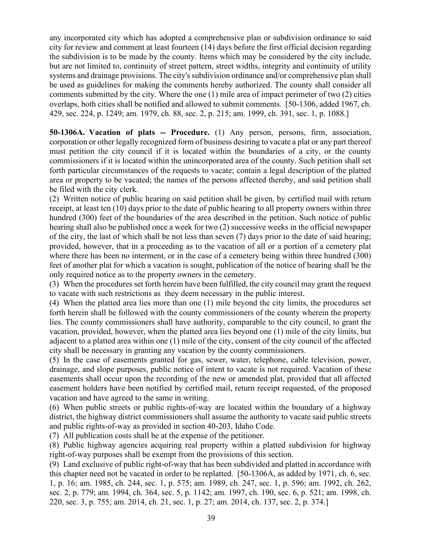any incorporated city which has adopted a comprehensive plan or subdivision ordinance to said city for review and comment at least fourteen (14) days before the first official decision regarding the subdivision is to be made by the county. Items which may be considered by the city include, but are not limited to, continuity of street pattern, street widths, integrity and continuity of utility systems and drainage provisions. The city's subdivision ordinance and/or comprehensive plan shall be used as guidelines for making the comments hereby authorized. The county shall consider all comments submitted by the city. Where the one (1) mile area of impact perimeter of two (2) cities overlaps, both cities shall be notified and allowed to submit comments. [50-1306, added 1967, ch. 429, sec. 224, p. 1249; am. 1979, ch. 88, sec. 2, p. 215; am. 1999, ch. 391, sec. 1, p. 1088.]

**50-1306A. Vacation of plats -- Procedure.** (1) Any person, persons, firm, association, corporation or other legally recognized form of business desiring to vacate a plat or any part thereof must petition the city council if it is located within the boundaries of a city, or the county commissioners if it is located within the unincorporated area of the county. Such petition shall set forth particular circumstances of the requests to vacate; contain a legal description of the platted area or property to be vacated; the names of the persons affected thereby, and said petition shall be filed with the city clerk.

(2) Written notice of public hearing on said petition shall be given, by certified mail with return receipt, at least ten (10) days prior to the date of public hearing to all property owners within three hundred (300) feet of the boundaries of the area described in the petition. Such notice of public hearing shall also be published once a week for two (2) successive weeks in the official newspaper of the city, the last of which shall be not less than seven (7) days prior to the date of said hearing; provided, however, that in a proceeding as to the vacation of all or a portion of a cemetery plat where there has been no interment, or in the case of a cemetery being within three hundred (300) feet of another plat for which a vacation is sought, publication of the notice of hearing shall be the only required notice as to the property owners in the cemetery.

(3) When the procedures set forth herein have been fulfilled, the city council may grant the request to vacate with such restrictions as they deem necessary in the public interest.

(4) When the platted area lies more than one (1) mile beyond the city limits, the procedures set forth herein shall be followed with the county commissioners of the county wherein the property lies. The county commissioners shall have authority, comparable to the city council, to grant the vacation, provided, however, when the platted area lies beyond one (1) mile of the city limits, but adjacent to a platted area within one (1) mile of the city, consent of the city council of the affected city shall be necessary in granting any vacation by the county commissioners.

(5) In the case of easements granted for gas, sewer, water, telephone, cable television, power, drainage, and slope purposes, public notice of intent to vacate is not required. Vacation of these easements shall occur upon the recording of the new or amended plat, provided that all affected easement holders have been notified by certified mail, return receipt requested, of the proposed vacation and have agreed to the same in writing.

(6) When public streets or public rights-of-way are located within the boundary of a highway district, the highway district commissioners shall assume the authority to vacate said public streets and public rights-of-way as provided in section 40-203, Idaho Code.

(7) All publication costs shall be at the expense of the petitioner.

(8) Public highway agencies acquiring real property within a platted subdivision for highway right-of-way purposes shall be exempt from the provisions of this section.

(9) Land exclusive of public right-of-way that has been subdivided and platted in accordance with this chapter need not be vacated in order to be replatted. [50-1306A, as added by 1971, ch. 6, sec. 1, p. 16; am. 1985, ch. 244, sec. 1, p. 575; am. 1989, ch. 247, sec. 1, p. 596; am. 1992, ch. 262, sec. 2, p. 779; am. 1994, ch. 364, sec. 5, p. 1142; am. 1997, ch. 190, sec. 6, p. 521; am. 1998, ch. 220, sec. 3, p. 755; am. 2014, ch. 21, sec. 1, p. 27; am. 2014, ch. 137, sec. 2, p. 374.]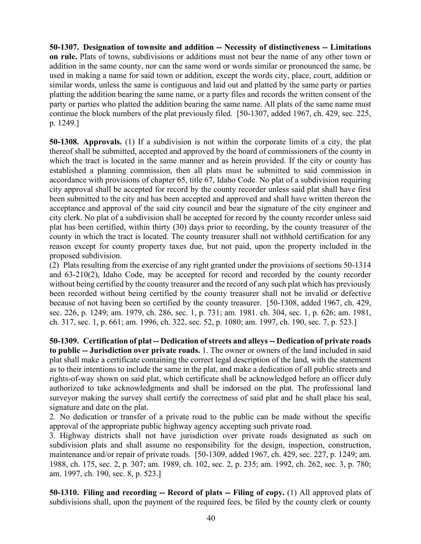**50-1307. Designation of townsite and addition -- Necessity of distinctiveness -- Limitations on rule.** Plats of towns, subdivisions or additions must not bear the name of any other town or addition in the same county, nor can the same word or words similar or pronounced the same, be used in making a name for said town or addition, except the words city, place, court, addition or similar words, unless the same is contiguous and laid out and platted by the same party or parties platting the addition bearing the same name, or a party files and records the written consent of the party or parties who platted the addition bearing the same name. All plats of the same name must continue the block numbers of the plat previously filed. [50-1307, added 1967, ch. 429, sec. 225, p. 1249.]

**50-1308. Approvals.** (1) If a subdivision is not within the corporate limits of a city, the plat thereof shall be submitted, accepted and approved by the board of commissioners of the county in which the tract is located in the same manner and as herein provided. If the city or county has established a planning commission, then all plats must be submitted to said commission in accordance with provisions of chapter 65, title 67, Idaho Code. No plat of a subdivision requiring city approval shall be accepted for record by the county recorder unless said plat shall have first been submitted to the city and has been accepted and approved and shall have written thereon the acceptance and approval of the said city council and bear the signature of the city engineer and city clerk. No plat of a subdivision shall be accepted for record by the county recorder unless said plat has been certified, within thirty (30) days prior to recording, by the county treasurer of the county in which the tract is located. The county treasurer shall not withhold certification for any reason except for county property taxes due, but not paid, upon the property included in the proposed subdivision.

(2) Plats resulting from the exercise of any right granted under the provisions of sections 50-1314 and 63-210(2), Idaho Code, may be accepted for record and recorded by the county recorder without being certified by the county treasurer and the record of any such plat which has previously been recorded without being certified by the county treasurer shall not be invalid or defective because of not having been so certified by the county treasurer. [50-1308, added 1967, ch. 429, sec. 226, p. 1249; am. 1979, ch. 286, sec. 1, p. 731; am. 1981. ch. 304, sec. 1, p. 626; am. 1981, ch. 317, sec. 1, p. 661; am. 1996, ch. 322, sec. 52, p. 1080; am. 1997, ch. 190, sec. 7, p. 523.]

**50-1309. Certification of plat -- Dedication of streets and alleys -- Dedication of private roads to public -- Jurisdiction over private roads.** 1. The owner or owners of the land included in said plat shall make a certificate containing the correct legal description of the land, with the statement as to their intentions to include the same in the plat, and make a dedication of all public streets and rights-of-way shown on said plat, which certificate shall be acknowledged before an officer duly authorized to take acknowledgments and shall be indorsed on the plat. The professional land surveyor making the survey shall certify the correctness of said plat and he shall place his seal, signature and date on the plat.

2. No dedication or transfer of a private road to the public can be made without the specific approval of the appropriate public highway agency accepting such private road.

3. Highway districts shall not have jurisdiction over private roads designated as such on subdivision plats and shall assume no responsibility for the design, inspection, construction, maintenance and/or repair of private roads. [50-1309, added 1967, ch. 429, sec. 227, p. 1249; am. 1988, ch. 175, sec. 2, p. 307; am. 1989, ch. 102, sec. 2, p. 235; am. 1992, ch. 262, sec. 3, p. 780; am. 1997, ch. 190, sec. 8, p. 523.]

**50-1310. Filing and recording -- Record of plats -- Filing of copy.** (1) All approved plats of subdivisions shall, upon the payment of the required fees, be filed by the county clerk or county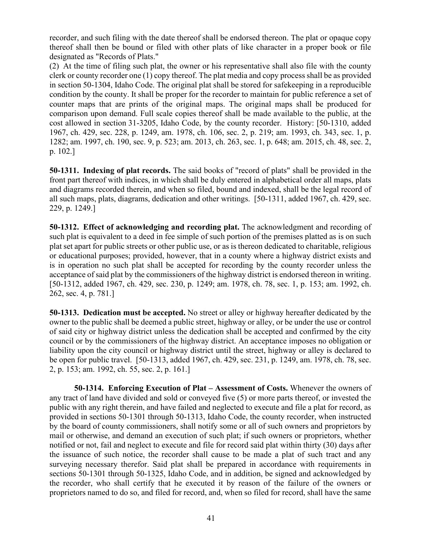recorder, and such filing with the date thereof shall be endorsed thereon. The plat or opaque copy thereof shall then be bound or filed with other plats of like character in a proper book or file designated as "Records of Plats."

(2) At the time of filing such plat, the owner or his representative shall also file with the county clerk or county recorder one (1) copy thereof. The plat media and copy process shall be as provided in section [50-1304,](http://legislature.idaho.gov/idstat/Title50/T50CH13SECT50-1304.htm) Idaho Code. The original plat shall be stored for safekeeping in a reproducible condition by the county. It shall be proper for the recorder to maintain for public reference a set of counter maps that are prints of the original maps. The original maps shall be produced for comparison upon demand. Full scale copies thereof shall be made available to the public, at the cost allowed in section [31-3205,](http://legislature.idaho.gov/idstat/Title31/T31CH32SECT31-3205.htm) Idaho Code, by the county recorder. History: [50-1310, added 1967, ch. 429, sec. 228, p. 1249, am. 1978, ch. 106, sec. 2, p. 219; am. 1993, ch. 343, sec. 1, p. 1282; am. 1997, ch. 190, sec. 9, p. 523; am. 2013, ch. 263, sec. 1, p. 648; am. 2015, ch. 48, sec. 2, p. 102.]

**50-1311. Indexing of plat records.** The said books of "record of plats" shall be provided in the front part thereof with indices, in which shall be duly entered in alphabetical order all maps, plats and diagrams recorded therein, and when so filed, bound and indexed, shall be the legal record of all such maps, plats, diagrams, dedication and other writings. [50-1311, added 1967, ch. 429, sec. 229, p. 1249.]

**50-1312. Effect of acknowledging and recording plat.** The acknowledgment and recording of such plat is equivalent to a deed in fee simple of such portion of the premises platted as is on such plat set apart for public streets or other public use, or as is thereon dedicated to charitable, religious or educational purposes; provided, however, that in a county where a highway district exists and is in operation no such plat shall be accepted for recording by the county recorder unless the acceptance of said plat by the commissioners of the highway district is endorsed thereon in writing. [50-1312, added 1967, ch. 429, sec. 230, p. 1249; am. 1978, ch. 78, sec. 1, p. 153; am. 1992, ch. 262, sec. 4, p. 781.]

**50-1313. Dedication must be accepted.** No street or alley or highway hereafter dedicated by the owner to the public shall be deemed a public street, highway or alley, or be under the use or control of said city or highway district unless the dedication shall be accepted and confirmed by the city council or by the commissioners of the highway district. An acceptance imposes no obligation or liability upon the city council or highway district until the street, highway or alley is declared to be open for public travel. [50-1313, added 1967, ch. 429, sec. 231, p. 1249, am. 1978, ch. 78, sec. 2, p. 153; am. 1992, ch. 55, sec. 2, p. 161.]

**50-1314. Enforcing Execution of Plat – Assessment of Costs.** Whenever the owners of any tract of land have divided and sold or conveyed five (5) or more parts thereof, or invested the public with any right therein, and have failed and neglected to execute and file a plat for record, as provided in sections 50-1301 through 50-1313, Idaho Code, the county recorder, when instructed by the board of county commissioners, shall notify some or all of such owners and proprietors by mail or otherwise, and demand an execution of such plat; if such owners or proprietors, whether notified or not, fail and neglect to execute and file for record said plat within thirty (30) days after the issuance of such notice, the recorder shall cause to be made a plat of such tract and any surveying necessary therefor. Said plat shall be prepared in accordance with requirements in sections 50-1301 through 50-1325, Idaho Code, and in addition, be signed and acknowledged by the recorder, who shall certify that he executed it by reason of the failure of the owners or proprietors named to do so, and filed for record, and, when so filed for record, shall have the same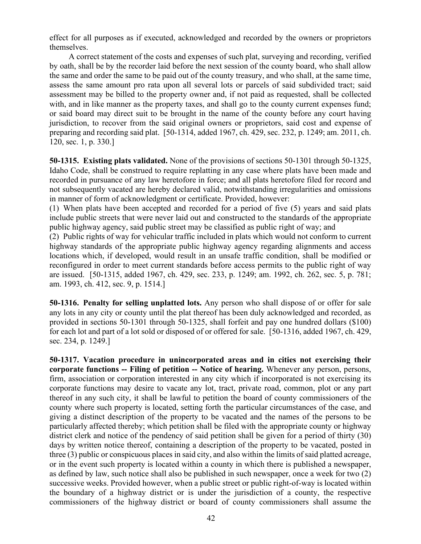effect for all purposes as if executed, acknowledged and recorded by the owners or proprietors themselves.

A correct statement of the costs and expenses of such plat, surveying and recording, verified by oath, shall be by the recorder laid before the next session of the county board, who shall allow the same and order the same to be paid out of the county treasury, and who shall, at the same time, assess the same amount pro rata upon all several lots or parcels of said subdivided tract; said assessment may be billed to the property owner and, if not paid as requested, shall be collected with, and in like manner as the property taxes, and shall go to the county current expenses fund; or said board may direct suit to be brought in the name of the county before any court having jurisdiction, to recover from the said original owners or proprietors, said cost and expense of preparing and recording said plat. [50-1314, added 1967, ch. 429, sec. 232, p. 1249; am. 2011, ch. 120, sec. 1, p. 330.]

**50-1315. Existing plats validated.** None of the provisions of sections 50-1301 through 50-1325, Idaho Code, shall be construed to require replatting in any case where plats have been made and recorded in pursuance of any law heretofore in force; and all plats heretofore filed for record and not subsequently vacated are hereby declared valid, notwithstanding irregularities and omissions in manner of form of acknowledgment or certificate. Provided, however:

(1) When plats have been accepted and recorded for a period of five (5) years and said plats include public streets that were never laid out and constructed to the standards of the appropriate public highway agency, said public street may be classified as public right of way; and

(2) Public rights of way for vehicular traffic included in plats which would not conform to current highway standards of the appropriate public highway agency regarding alignments and access locations which, if developed, would result in an unsafe traffic condition, shall be modified or reconfigured in order to meet current standards before access permits to the public right of way are issued. [50-1315, added 1967, ch. 429, sec. 233, p. 1249; am. 1992, ch. 262, sec. 5, p. 781; am. 1993, ch. 412, sec. 9, p. 1514.]

**50-1316. Penalty for selling unplatted lots.** Any person who shall dispose of or offer for sale any lots in any city or county until the plat thereof has been duly acknowledged and recorded, as provided in sections 50-1301 through 50-1325, shall forfeit and pay one hundred dollars (\$100) for each lot and part of a lot sold or disposed of or offered for sale. [50-1316, added 1967, ch. 429, sec. 234, p. 1249.]

**50-1317. Vacation procedure in unincorporated areas and in cities not exercising their corporate functions -- Filing of petition -- Notice of hearing.** Whenever any person, persons, firm, association or corporation interested in any city which if incorporated is not exercising its corporate functions may desire to vacate any lot, tract, private road, common, plot or any part thereof in any such city, it shall be lawful to petition the board of county commissioners of the county where such property is located, setting forth the particular circumstances of the case, and giving a distinct description of the property to be vacated and the names of the persons to be particularly affected thereby; which petition shall be filed with the appropriate county or highway district clerk and notice of the pendency of said petition shall be given for a period of thirty (30) days by written notice thereof, containing a description of the property to be vacated, posted in three (3) public or conspicuous places in said city, and also within the limits of said platted acreage, or in the event such property is located within a county in which there is published a newspaper, as defined by law, such notice shall also be published in such newspaper, once a week for two (2) successive weeks. Provided however, when a public street or public right-of-way is located within the boundary of a highway district or is under the jurisdiction of a county, the respective commissioners of the highway district or board of county commissioners shall assume the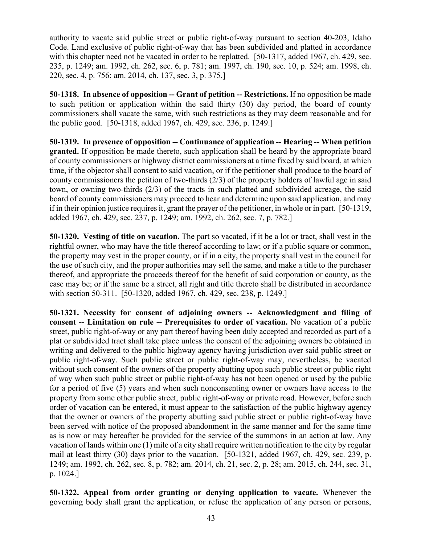authority to vacate said public street or public right-of-way pursuant to section 40-203, Idaho Code. Land exclusive of public right-of-way that has been subdivided and platted in accordance with this chapter need not be vacated in order to be replatted. [50-1317, added 1967, ch. 429, sec. 235, p. 1249; am. 1992, ch. 262, sec. 6, p. 781; am. 1997, ch. 190, sec. 10, p. 524; am. 1998, ch. 220, sec. 4, p. 756; am. 2014, ch. 137, sec. 3, p. 375.]

**50-1318. In absence of opposition -- Grant of petition -- Restrictions.** If no opposition be made to such petition or application within the said thirty (30) day period, the board of county commissioners shall vacate the same, with such restrictions as they may deem reasonable and for the public good. [50-1318, added 1967, ch. 429, sec. 236, p. 1249.]

**50-1319. In presence of opposition -- Continuance of application -- Hearing -- When petition granted.** If opposition be made thereto, such application shall be heard by the appropriate board of county commissioners or highway district commissioners at a time fixed by said board, at which time, if the objector shall consent to said vacation, or if the petitioner shall produce to the board of county commissioners the petition of two-thirds (2/3) of the property holders of lawful age in said town, or owning two-thirds (2/3) of the tracts in such platted and subdivided acreage, the said board of county commissioners may proceed to hear and determine upon said application, and may if in their opinion justice requires it, grant the prayer of the petitioner, in whole or in part. [50-1319, added 1967, ch. 429, sec. 237, p. 1249; am. 1992, ch. 262, sec. 7, p. 782.]

**50-1320. Vesting of title on vacation.** The part so vacated, if it be a lot or tract, shall vest in the rightful owner, who may have the title thereof according to law; or if a public square or common, the property may vest in the proper county, or if in a city, the property shall vest in the council for the use of such city, and the proper authorities may sell the same, and make a title to the purchaser thereof, and appropriate the proceeds thereof for the benefit of said corporation or county, as the case may be; or if the same be a street, all right and title thereto shall be distributed in accordance with section 50-311. [50-1320, added 1967, ch. 429, sec. 238, p. 1249.]

**50-1321. Necessity for consent of adjoining owners -- Acknowledgment and filing of consent -- Limitation on rule -- Prerequisites to order of vacation.** No vacation of a public street, public right-of-way or any part thereof having been duly accepted and recorded as part of a plat or subdivided tract shall take place unless the consent of the adjoining owners be obtained in writing and delivered to the public highway agency having jurisdiction over said public street or public right-of-way. Such public street or public right-of-way may, nevertheless, be vacated without such consent of the owners of the property abutting upon such public street or public right of way when such public street or public right-of-way has not been opened or used by the public for a period of five (5) years and when such nonconsenting owner or owners have access to the property from some other public street, public right-of-way or private road. However, before such order of vacation can be entered, it must appear to the satisfaction of the public highway agency that the owner or owners of the property abutting said public street or public right-of-way have been served with notice of the proposed abandonment in the same manner and for the same time as is now or may hereafter be provided for the service of the summons in an action at law. Any vacation of lands within one (1) mile of a city shall require written notification to the city by regular mail at least thirty (30) days prior to the vacation. [50-1321, added 1967, ch. 429, sec. 239, p. 1249; am. 1992, ch. 262, sec. 8, p. 782; am. 2014, ch. 21, sec. 2, p. 28; am. 2015, ch. 244, sec. 31, p. 1024.]

**50-1322. Appeal from order granting or denying application to vacate.** Whenever the governing body shall grant the application, or refuse the application of any person or persons,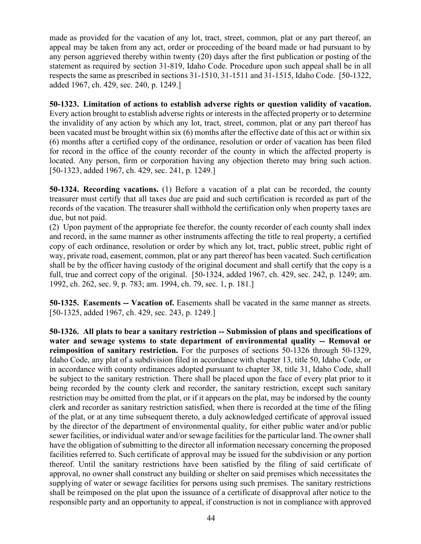made as provided for the vacation of any lot, tract, street, common, plat or any part thereof, an appeal may be taken from any act, order or proceeding of the board made or had pursuant to by any person aggrieved thereby within twenty (20) days after the first publication or posting of the statement as required by section 31-819, Idaho Code. Procedure upon such appeal shall be in all respects the same as prescribed in sections 31-1510, 31-1511 and 31-1515, Idaho Code. [50-1322, added 1967, ch. 429, sec. 240, p. 1249.]

**50-1323. Limitation of actions to establish adverse rights or question validity of vacation.** Every action brought to establish adverse rights or interests in the affected property or to determine the invalidity of any action by which any lot, tract, street, common, plat or any part thereof has been vacated must be brought within six (6) months after the effective date of this act or within six (6) months after a certified copy of the ordinance, resolution or order of vacation has been filed for record in the office of the county recorder of the county in which the affected property is located. Any person, firm or corporation having any objection thereto may bring such action. [50-1323, added 1967, ch. 429, sec. 241, p. 1249.]

**50-1324. Recording vacations.** (1) Before a vacation of a plat can be recorded, the county treasurer must certify that all taxes due are paid and such certification is recorded as part of the records of the vacation. The treasurer shall withhold the certification only when property taxes are due, but not paid.

(2) Upon payment of the appropriate fee therefor, the county recorder of each county shall index and record, in the same manner as other instruments affecting the title to real property, a certified copy of each ordinance, resolution or order by which any lot, tract, public street, public right of way, private road, easement, common, plat or any part thereof has been vacated. Such certification shall be by the officer having custody of the original document and shall certify that the copy is a full, true and correct copy of the original. [50-1324, added 1967, ch. 429, sec. 242, p. 1249; am. 1992, ch. 262, sec. 9, p. 783; am. 1994, ch. 79, sec. 1, p. 181.]

**50-1325. Easements -- Vacation of.** Easements shall be vacated in the same manner as streets. [50-1325, added 1967, ch. 429, sec. 243, p. 1249.]

**50-1326. All plats to bear a sanitary restriction -- Submission of plans and specifications of water and sewage systems to state department of environmental quality -- Removal or reimposition of sanitary restriction.** For the purposes of sections 50-1326 through 50-1329, Idaho Code, any plat of a subdivision filed in accordance with chapter 13, title 50, Idaho Code, or in accordance with county ordinances adopted pursuant to chapter 38, title 31, Idaho Code, shall be subject to the sanitary restriction. There shall be placed upon the face of every plat prior to it being recorded by the county clerk and recorder, the sanitary restriction, except such sanitary restriction may be omitted from the plat, or if it appears on the plat, may be indorsed by the county clerk and recorder as sanitary restriction satisfied, when there is recorded at the time of the filing of the plat, or at any time subsequent thereto, a duly acknowledged certificate of approval issued by the director of the department of environmental quality, for either public water and/or public sewer facilities, or individual water and/or sewage facilities for the particular land. The owner shall have the obligation of submitting to the director all information necessary concerning the proposed facilities referred to. Such certificate of approval may be issued for the subdivision or any portion thereof. Until the sanitary restrictions have been satisfied by the filing of said certificate of approval, no owner shall construct any building or shelter on said premises which necessitates the supplying of water or sewage facilities for persons using such premises. The sanitary restrictions shall be reimposed on the plat upon the issuance of a certificate of disapproval after notice to the responsible party and an opportunity to appeal, if construction is not in compliance with approved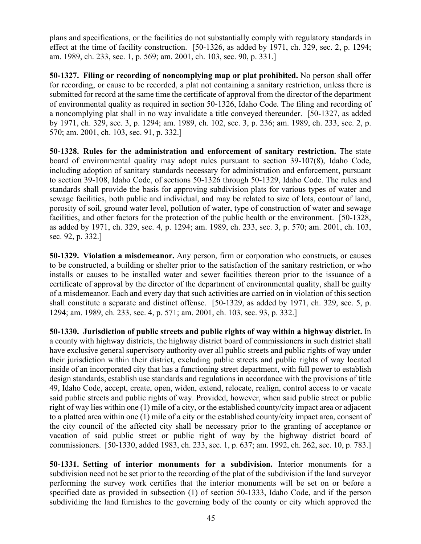plans and specifications, or the facilities do not substantially comply with regulatory standards in effect at the time of facility construction. [50-1326, as added by 1971, ch. 329, sec. 2, p. 1294; am. 1989, ch. 233, sec. 1, p. 569; am. 2001, ch. 103, sec. 90, p. 331.]

**50-1327. Filing or recording of noncomplying map or plat prohibited.** No person shall offer for recording, or cause to be recorded, a plat not containing a sanitary restriction, unless there is submitted for record at the same time the certificate of approval from the director of the department of environmental quality as required in section 50-1326, Idaho Code. The filing and recording of a noncomplying plat shall in no way invalidate a title conveyed thereunder. [50-1327, as added by 1971, ch. 329, sec. 3, p. 1294; am. 1989, ch. 102, sec. 3, p. 236; am. 1989, ch. 233, sec. 2, p. 570; am. 2001, ch. 103, sec. 91, p. 332.]

**50-1328. Rules for the administration and enforcement of sanitary restriction.** The state board of environmental quality may adopt rules pursuant to section 39-107(8), Idaho Code, including adoption of sanitary standards necessary for administration and enforcement, pursuant to section 39-108, Idaho Code, of sections 50-1326 through 50-1329, Idaho Code. The rules and standards shall provide the basis for approving subdivision plats for various types of water and sewage facilities, both public and individual, and may be related to size of lots, contour of land, porosity of soil, ground water level, pollution of water, type of construction of water and sewage facilities, and other factors for the protection of the public health or the environment. [50-1328, as added by 1971, ch. 329, sec. 4, p. 1294; am. 1989, ch. 233, sec. 3, p. 570; am. 2001, ch. 103, sec. 92, p. 332.]

**50-1329. Violation a misdemeanor.** Any person, firm or corporation who constructs, or causes to be constructed, a building or shelter prior to the satisfaction of the sanitary restriction, or who installs or causes to be installed water and sewer facilities thereon prior to the issuance of a certificate of approval by the director of the department of environmental quality, shall be guilty of a misdemeanor. Each and every day that such activities are carried on in violation of this section shall constitute a separate and distinct offense. [50-1329, as added by 1971, ch. 329, sec. 5, p. 1294; am. 1989, ch. 233, sec. 4, p. 571; am. 2001, ch. 103, sec. 93, p. 332.]

**50-1330. Jurisdiction of public streets and public rights of way within a highway district.** In a county with highway districts, the highway district board of commissioners in such district shall have exclusive general supervisory authority over all public streets and public rights of way under their jurisdiction within their district, excluding public streets and public rights of way located inside of an incorporated city that has a functioning street department, with full power to establish design standards, establish use standards and regulations in accordance with the provisions of title 49, Idaho Code, accept, create, open, widen, extend, relocate, realign, control access to or vacate said public streets and public rights of way. Provided, however, when said public street or public right of way lies within one (1) mile of a city, or the established county/city impact area or adjacent to a platted area within one (1) mile of a city or the established county/city impact area, consent of the city council of the affected city shall be necessary prior to the granting of acceptance or vacation of said public street or public right of way by the highway district board of commissioners. [50-1330, added 1983, ch. 233, sec. 1, p. 637; am. 1992, ch. 262, sec. 10, p. 783.]

**50-1331. Setting of interior monuments for a subdivision.** Interior monuments for a subdivision need not be set prior to the recording of the plat of the subdivision if the land surveyor performing the survey work certifies that the interior monuments will be set on or before a specified date as provided in subsection (1) of section 50-1333, Idaho Code, and if the person subdividing the land furnishes to the governing body of the county or city which approved the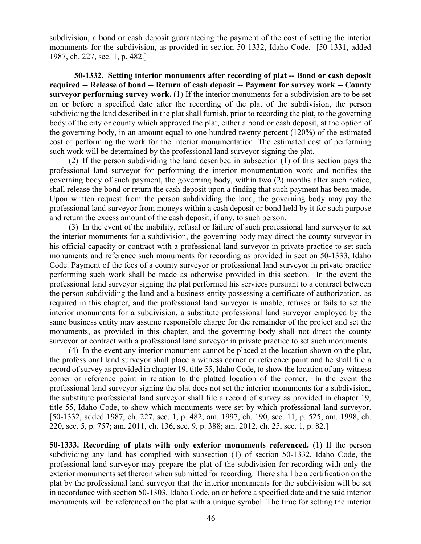subdivision, a bond or cash deposit guaranteeing the payment of the cost of setting the interior monuments for the subdivision, as provided in section 50-1332, Idaho Code. [50-1331, added 1987, ch. 227, sec. 1, p. 482.]

**50-1332. Setting interior monuments after recording of plat -- Bond or cash deposit required -- Release of bond -- Return of cash deposit -- Payment for survey work -- County surveyor performing survey work.** (1) If the interior monuments for a subdivision are to be set on or before a specified date after the recording of the plat of the subdivision, the person subdividing the land described in the plat shall furnish, prior to recording the plat, to the governing body of the city or county which approved the plat, either a bond or cash deposit, at the option of the governing body, in an amount equal to one hundred twenty percent (120%) of the estimated cost of performing the work for the interior monumentation. The estimated cost of performing such work will be determined by the professional land surveyor signing the plat.

(2) If the person subdividing the land described in subsection (1) of this section pays the professional land surveyor for performing the interior monumentation work and notifies the governing body of such payment, the governing body, within two (2) months after such notice, shall release the bond or return the cash deposit upon a finding that such payment has been made. Upon written request from the person subdividing the land, the governing body may pay the professional land surveyor from moneys within a cash deposit or bond held by it for such purpose and return the excess amount of the cash deposit, if any, to such person.

(3) In the event of the inability, refusal or failure of such professional land surveyor to set the interior monuments for a subdivision, the governing body may direct the county surveyor in his official capacity or contract with a professional land surveyor in private practice to set such monuments and reference such monuments for recording as provided in section 50-1333, Idaho Code. Payment of the fees of a county surveyor or professional land surveyor in private practice performing such work shall be made as otherwise provided in this section. In the event the professional land surveyor signing the plat performed his services pursuant to a contract between the person subdividing the land and a business entity possessing a certificate of authorization, as required in this chapter, and the professional land surveyor is unable, refuses or fails to set the interior monuments for a subdivision, a substitute professional land surveyor employed by the same business entity may assume responsible charge for the remainder of the project and set the monuments, as provided in this chapter, and the governing body shall not direct the county surveyor or contract with a professional land surveyor in private practice to set such monuments.

(4) In the event any interior monument cannot be placed at the location shown on the plat, the professional land surveyor shall place a witness corner or reference point and he shall file a record of survey as provided in chapter 19, title 55, Idaho Code, to show the location of any witness corner or reference point in relation to the platted location of the corner. In the event the professional land surveyor signing the plat does not set the interior monuments for a subdivision, the substitute professional land surveyor shall file a record of survey as provided in chapter 19, title 55, Idaho Code, to show which monuments were set by which professional land surveyor. [50-1332, added 1987, ch. 227, sec. 1, p. 482; am. 1997, ch. 190, sec. 11, p. 525; am. 1998, ch. 220, sec. 5, p. 757; am. 2011, ch. 136, sec. 9, p. 388; am. 2012, ch. 25, sec. 1, p. 82.]

**50-1333. Recording of plats with only exterior monuments referenced.** (1) If the person subdividing any land has complied with subsection (1) of section 50-1332, Idaho Code, the professional land surveyor may prepare the plat of the subdivision for recording with only the exterior monuments set thereon when submitted for recording. There shall be a certification on the plat by the professional land surveyor that the interior monuments for the subdivision will be set in accordance with section 50-1303, Idaho Code, on or before a specified date and the said interior monuments will be referenced on the plat with a unique symbol. The time for setting the interior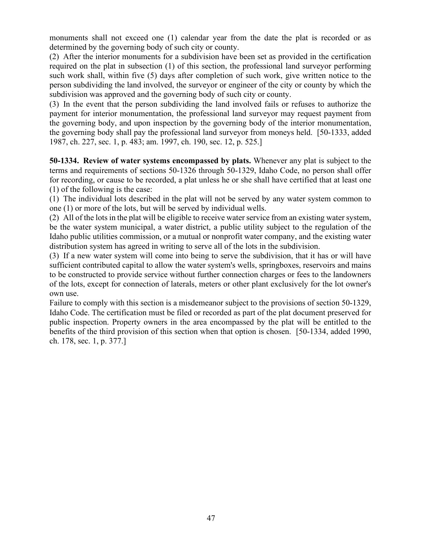monuments shall not exceed one (1) calendar year from the date the plat is recorded or as determined by the governing body of such city or county.

(2) After the interior monuments for a subdivision have been set as provided in the certification required on the plat in subsection (1) of this section, the professional land surveyor performing such work shall, within five (5) days after completion of such work, give written notice to the person subdividing the land involved, the surveyor or engineer of the city or county by which the subdivision was approved and the governing body of such city or county.

(3) In the event that the person subdividing the land involved fails or refuses to authorize the payment for interior monumentation, the professional land surveyor may request payment from the governing body, and upon inspection by the governing body of the interior monumentation, the governing body shall pay the professional land surveyor from moneys held. [50-1333, added 1987, ch. 227, sec. 1, p. 483; am. 1997, ch. 190, sec. 12, p. 525.]

**50-1334. Review of water systems encompassed by plats.** Whenever any plat is subject to the terms and requirements of sections 50-1326 through 50-1329, Idaho Code, no person shall offer for recording, or cause to be recorded, a plat unless he or she shall have certified that at least one (1) of the following is the case:

(1) The individual lots described in the plat will not be served by any water system common to one (1) or more of the lots, but will be served by individual wells.

(2) All of the lots in the plat will be eligible to receive water service from an existing water system, be the water system municipal, a water district, a public utility subject to the regulation of the Idaho public utilities commission, or a mutual or nonprofit water company, and the existing water distribution system has agreed in writing to serve all of the lots in the subdivision.

(3) If a new water system will come into being to serve the subdivision, that it has or will have sufficient contributed capital to allow the water system's wells, springboxes, reservoirs and mains to be constructed to provide service without further connection charges or fees to the landowners of the lots, except for connection of laterals, meters or other plant exclusively for the lot owner's own use.

Failure to comply with this section is a misdemeanor subject to the provisions of section 50-1329, Idaho Code. The certification must be filed or recorded as part of the plat document preserved for public inspection. Property owners in the area encompassed by the plat will be entitled to the benefits of the third provision of this section when that option is chosen. [50-1334, added 1990, ch. 178, sec. 1, p. 377.]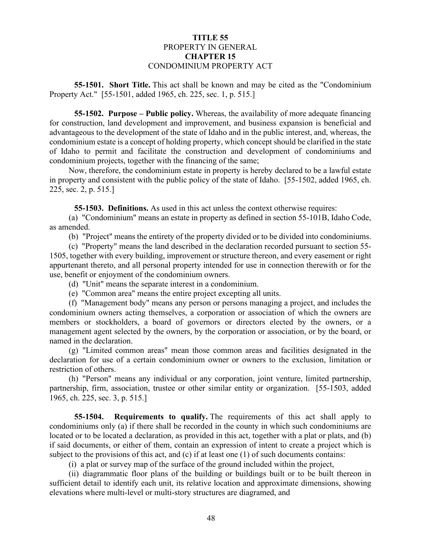# **TITLE 55** PROPERTY IN GENERAL **CHAPTER 15** CONDOMINIUM PROPERTY ACT

**55-1501. Short Title.** This act shall be known and may be cited as the "Condominium Property Act." [55-1501, added 1965, ch. 225, sec. 1, p. 515.]

**55-1502. Purpose – Public policy.** Whereas, the availability of more adequate financing for construction, land development and improvement, and business expansion is beneficial and advantageous to the development of the state of Idaho and in the public interest, and, whereas, the condominium estate is a concept of holding property, which concept should be clarified in the state of Idaho to permit and facilitate the construction and development of condominiums and condominium projects, together with the financing of the same;

Now, therefore, the condominium estate in property is hereby declared to be a lawful estate in property and consistent with the public policy of the state of Idaho. [55-1502, added 1965, ch. 225, sec. 2, p. 515.]

**55-1503. Definitions.** As used in this act unless the context otherwise requires:

(a) "Condominium" means an estate in property as defined in section 55-101B, Idaho Code, as amended.

(b) "Project" means the entirety of the property divided or to be divided into condominiums.

(c) "Property" means the land described in the declaration recorded pursuant to section 55- 1505, together with every building, improvement or structure thereon, and every easement or right appurtenant thereto, and all personal property intended for use in connection therewith or for the use, benefit or enjoyment of the condominium owners.

(d) "Unit" means the separate interest in a condominium.

(e) "Common area" means the entire project excepting all units.

(f) "Management body" means any person or persons managing a project, and includes the condominium owners acting themselves, a corporation or association of which the owners are members or stockholders, a board of governors or directors elected by the owners, or a management agent selected by the owners, by the corporation or association, or by the board, or named in the declaration.

(g) "Limited common areas" mean those common areas and facilities designated in the declaration for use of a certain condominium owner or owners to the exclusion, limitation or restriction of others.

(h) "Person" means any individual or any corporation, joint venture, limited partnership, partnership, firm, association, trustee or other similar entity or organization. [55-1503, added 1965, ch. 225, sec. 3, p. 515.]

**55-1504. Requirements to qualify.** The requirements of this act shall apply to condominiums only (a) if there shall be recorded in the county in which such condominiums are located or to be located a declaration, as provided in this act, together with a plat or plats, and (b) if said documents, or either of them, contain an expression of intent to create a project which is subject to the provisions of this act, and  $(c)$  if at least one  $(1)$  of such documents contains:

(i) a plat or survey map of the surface of the ground included within the project,

(ii) diagrammatic floor plans of the building or buildings built or to be built thereon in sufficient detail to identify each unit, its relative location and approximate dimensions, showing elevations where multi-level or multi-story structures are diagramed, and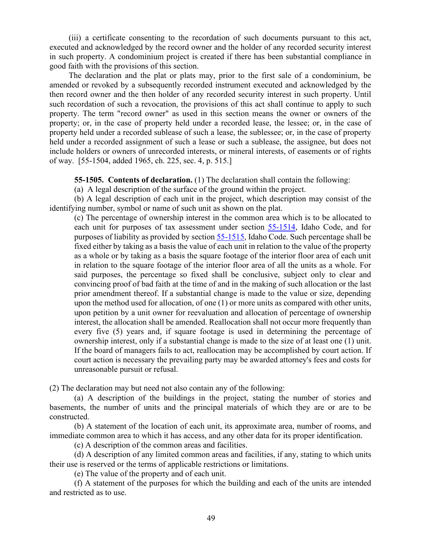(iii) a certificate consenting to the recordation of such documents pursuant to this act, executed and acknowledged by the record owner and the holder of any recorded security interest in such property. A condominium project is created if there has been substantial compliance in good faith with the provisions of this section.

The declaration and the plat or plats may, prior to the first sale of a condominium, be amended or revoked by a subsequently recorded instrument executed and acknowledged by the then record owner and the then holder of any recorded security interest in such property. Until such recordation of such a revocation, the provisions of this act shall continue to apply to such property. The term "record owner" as used in this section means the owner or owners of the property; or, in the case of property held under a recorded lease, the lessee; or, in the case of property held under a recorded sublease of such a lease, the sublessee; or, in the case of property held under a recorded assignment of such a lease or such a sublease, the assignee, but does not include holders or owners of unrecorded interests, or mineral interests, of easements or of rights of way. [55-1504, added 1965, ch. 225, sec. 4, p. 515.]

**55-1505. Contents of declaration.** (1) The declaration shall contain the following:

(a) A legal description of the surface of the ground within the project.

(b) A legal description of each unit in the project, which description may consist of the identifying number, symbol or name of such unit as shown on the plat.

(c) The percentage of ownership interest in the common area which is to be allocated to each unit for purposes of tax assessment under section [55-1514,](http://legislature.idaho.gov/idstat/Title55/T55CH15SECT55-1514.htm) Idaho Code, and for purposes of liability as provided by section [55-1515,](http://legislature.idaho.gov/idstat/Title55/T55CH15SECT55-1515.htm) Idaho Code. Such percentage shall be fixed either by taking as a basis the value of each unit in relation to the value of the property as a whole or by taking as a basis the square footage of the interior floor area of each unit in relation to the square footage of the interior floor area of all the units as a whole. For said purposes, the percentage so fixed shall be conclusive, subject only to clear and convincing proof of bad faith at the time of and in the making of such allocation or the last prior amendment thereof. If a substantial change is made to the value or size, depending upon the method used for allocation, of one (1) or more units as compared with other units, upon petition by a unit owner for reevaluation and allocation of percentage of ownership interest, the allocation shall be amended. Reallocation shall not occur more frequently than every five (5) years and, if square footage is used in determining the percentage of ownership interest, only if a substantial change is made to the size of at least one (1) unit. If the board of managers fails to act, reallocation may be accomplished by court action. If court action is necessary the prevailing party may be awarded attorney's fees and costs for unreasonable pursuit or refusal.

(2) The declaration may but need not also contain any of the following:

(a) A description of the buildings in the project, stating the number of stories and basements, the number of units and the principal materials of which they are or are to be constructed.

(b) A statement of the location of each unit, its approximate area, number of rooms, and immediate common area to which it has access, and any other data for its proper identification.

(c) A description of the common areas and facilities.

(d) A description of any limited common areas and facilities, if any, stating to which units their use is reserved or the terms of applicable restrictions or limitations.

(e) The value of the property and of each unit.

(f) A statement of the purposes for which the building and each of the units are intended and restricted as to use.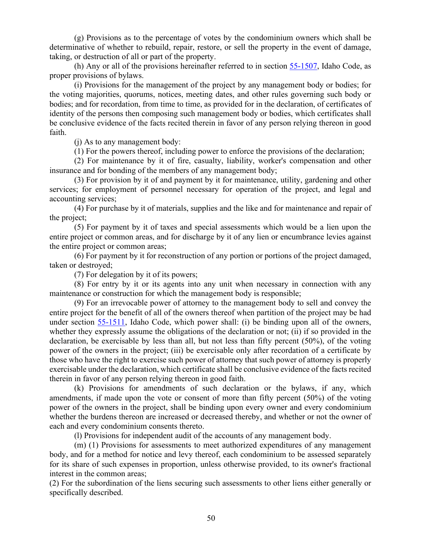(g) Provisions as to the percentage of votes by the condominium owners which shall be determinative of whether to rebuild, repair, restore, or sell the property in the event of damage, taking, or destruction of all or part of the property.

(h) Any or all of the provisions hereinafter referred to in section [55-1507,](http://legislature.idaho.gov/idstat/Title55/T55CH15SECT55-1507.htm) Idaho Code, as proper provisions of bylaws.

(i) Provisions for the management of the project by any management body or bodies; for the voting majorities, quorums, notices, meeting dates, and other rules governing such body or bodies; and for recordation, from time to time, as provided for in the declaration, of certificates of identity of the persons then composing such management body or bodies, which certificates shall be conclusive evidence of the facts recited therein in favor of any person relying thereon in good faith.

(j) As to any management body:

(1) For the powers thereof, including power to enforce the provisions of the declaration;

(2) For maintenance by it of fire, casualty, liability, worker's compensation and other insurance and for bonding of the members of any management body;

(3) For provision by it of and payment by it for maintenance, utility, gardening and other services; for employment of personnel necessary for operation of the project, and legal and accounting services;

(4) For purchase by it of materials, supplies and the like and for maintenance and repair of the project;

(5) For payment by it of taxes and special assessments which would be a lien upon the entire project or common areas, and for discharge by it of any lien or encumbrance levies against the entire project or common areas;

(6) For payment by it for reconstruction of any portion or portions of the project damaged, taken or destroyed;

(7) For delegation by it of its powers;

(8) For entry by it or its agents into any unit when necessary in connection with any maintenance or construction for which the management body is responsible;

(9) For an irrevocable power of attorney to the management body to sell and convey the entire project for the benefit of all of the owners thereof when partition of the project may be had under section [55-1511,](http://legislature.idaho.gov/idstat/Title55/T55CH15SECT55-1511.htm) Idaho Code, which power shall: (i) be binding upon all of the owners, whether they expressly assume the obligations of the declaration or not; (ii) if so provided in the declaration, be exercisable by less than all, but not less than fifty percent (50%), of the voting power of the owners in the project; (iii) be exercisable only after recordation of a certificate by those who have the right to exercise such power of attorney that such power of attorney is properly exercisable under the declaration, which certificate shall be conclusive evidence of the facts recited therein in favor of any person relying thereon in good faith.

(k) Provisions for amendments of such declaration or the bylaws, if any, which amendments, if made upon the vote or consent of more than fifty percent (50%) of the voting power of the owners in the project, shall be binding upon every owner and every condominium whether the burdens thereon are increased or decreased thereby, and whether or not the owner of each and every condominium consents thereto.

(l) Provisions for independent audit of the accounts of any management body.

(m) (1) Provisions for assessments to meet authorized expenditures of any management body, and for a method for notice and levy thereof, each condominium to be assessed separately for its share of such expenses in proportion, unless otherwise provided, to its owner's fractional interest in the common areas;

(2) For the subordination of the liens securing such assessments to other liens either generally or specifically described.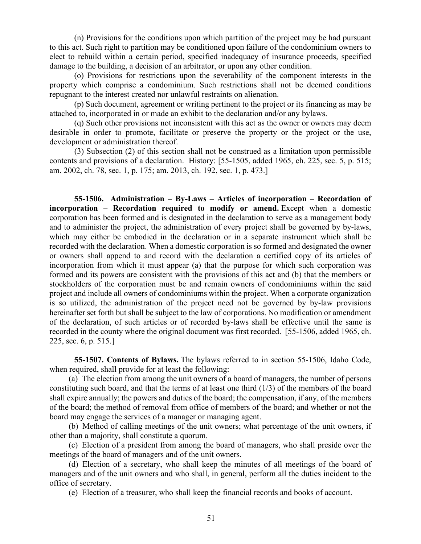(n) Provisions for the conditions upon which partition of the project may be had pursuant to this act. Such right to partition may be conditioned upon failure of the condominium owners to elect to rebuild within a certain period, specified inadequacy of insurance proceeds, specified damage to the building, a decision of an arbitrator, or upon any other condition.

(o) Provisions for restrictions upon the severability of the component interests in the property which comprise a condominium. Such restrictions shall not be deemed conditions repugnant to the interest created nor unlawful restraints on alienation.

(p) Such document, agreement or writing pertinent to the project or its financing as may be attached to, incorporated in or made an exhibit to the declaration and/or any bylaws.

(q) Such other provisions not inconsistent with this act as the owner or owners may deem desirable in order to promote, facilitate or preserve the property or the project or the use, development or administration thereof.

(3) Subsection (2) of this section shall not be construed as a limitation upon permissible contents and provisions of a declaration. History: [55-1505, added 1965, ch. 225, sec. 5, p. 515; am. 2002, ch. 78, sec. 1, p. 175; am. 2013, ch. 192, sec. 1, p. 473.]

**55-1506. Administration – By-Laws – Articles of incorporation – Recordation of incorporation – Recordation required to modify or amend.** Except when a domestic corporation has been formed and is designated in the declaration to serve as a management body and to administer the project, the administration of every project shall be governed by by-laws, which may either be embodied in the declaration or in a separate instrument which shall be recorded with the declaration. When a domestic corporation is so formed and designated the owner or owners shall append to and record with the declaration a certified copy of its articles of incorporation from which it must appear (a) that the purpose for which such corporation was formed and its powers are consistent with the provisions of this act and (b) that the members or stockholders of the corporation must be and remain owners of condominiums within the said project and include all owners of condominiums within the project. When a corporate organization is so utilized, the administration of the project need not be governed by by-law provisions hereinafter set forth but shall be subject to the law of corporations. No modification or amendment of the declaration, of such articles or of recorded by-laws shall be effective until the same is recorded in the county where the original document was first recorded. [55-1506, added 1965, ch. 225, sec. 6, p. 515.]

**55-1507. Contents of Bylaws.** The bylaws referred to in section 55-1506, Idaho Code, when required, shall provide for at least the following:

(a) The election from among the unit owners of a board of managers, the number of persons constituting such board, and that the terms of at least one third (1/3) of the members of the board shall expire annually; the powers and duties of the board; the compensation, if any, of the members of the board; the method of removal from office of members of the board; and whether or not the board may engage the services of a manager or managing agent.

(b) Method of calling meetings of the unit owners; what percentage of the unit owners, if other than a majority, shall constitute a quorum.

(c) Election of a president from among the board of managers, who shall preside over the meetings of the board of managers and of the unit owners.

(d) Election of a secretary, who shall keep the minutes of all meetings of the board of managers and of the unit owners and who shall, in general, perform all the duties incident to the office of secretary.

(e) Election of a treasurer, who shall keep the financial records and books of account.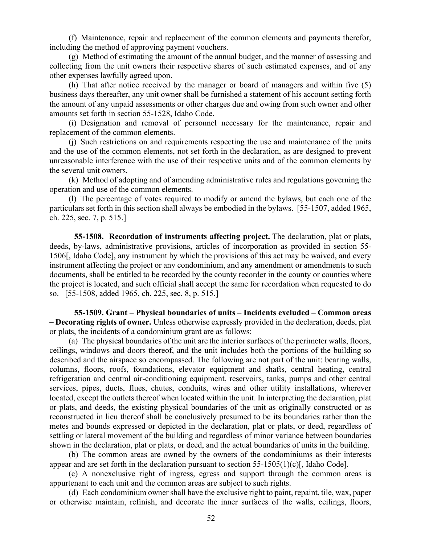(f) Maintenance, repair and replacement of the common elements and payments therefor, including the method of approving payment vouchers.

(g) Method of estimating the amount of the annual budget, and the manner of assessing and collecting from the unit owners their respective shares of such estimated expenses, and of any other expenses lawfully agreed upon.

(h) That after notice received by the manager or board of managers and within five (5) business days thereafter, any unit owner shall be furnished a statement of his account setting forth the amount of any unpaid assessments or other charges due and owing from such owner and other amounts set forth in section 55-1528, Idaho Code.

(i) Designation and removal of personnel necessary for the maintenance, repair and replacement of the common elements.

(j) Such restrictions on and requirements respecting the use and maintenance of the units and the use of the common elements, not set forth in the declaration, as are designed to prevent unreasonable interference with the use of their respective units and of the common elements by the several unit owners.

(k) Method of adopting and of amending administrative rules and regulations governing the operation and use of the common elements.

(l) The percentage of votes required to modify or amend the bylaws, but each one of the particulars set forth in this section shall always be embodied in the bylaws. [55-1507, added 1965, ch. 225, sec. 7, p. 515.]

**55-1508. Recordation of instruments affecting project.** The declaration, plat or plats, deeds, by-laws, administrative provisions, articles of incorporation as provided in section 55- 1506[, Idaho Code], any instrument by which the provisions of this act may be waived, and every instrument affecting the project or any condominium, and any amendment or amendments to such documents, shall be entitled to be recorded by the county recorder in the county or counties where the project is located, and such official shall accept the same for recordation when requested to do so. [55-1508, added 1965, ch. 225, sec. 8, p. 515.]

**55-1509. Grant – Physical boundaries of units – Incidents excluded – Common areas – Decorating rights of owner.** Unless otherwise expressly provided in the declaration, deeds, plat or plats, the incidents of a condominium grant are as follows:

(a) The physical boundaries of the unit are the interior surfaces of the perimeter walls, floors, ceilings, windows and doors thereof, and the unit includes both the portions of the building so described and the airspace so encompassed. The following are not part of the unit: bearing walls, columns, floors, roofs, foundations, elevator equipment and shafts, central heating, central refrigeration and central air-conditioning equipment, reservoirs, tanks, pumps and other central services, pipes, ducts, flues, chutes, conduits, wires and other utility installations, wherever located, except the outlets thereof when located within the unit. In interpreting the declaration, plat or plats, and deeds, the existing physical boundaries of the unit as originally constructed or as reconstructed in lieu thereof shall be conclusively presumed to be its boundaries rather than the metes and bounds expressed or depicted in the declaration, plat or plats, or deed, regardless of settling or lateral movement of the building and regardless of minor variance between boundaries shown in the declaration, plat or plats, or deed, and the actual boundaries of units in the building.

(b) The common areas are owned by the owners of the condominiums as their interests appear and are set forth in the declaration pursuant to section  $55-1505(1)(c)$ , Idaho Code].

(c) A nonexclusive right of ingress, egress and support through the common areas is appurtenant to each unit and the common areas are subject to such rights.

(d) Each condominium owner shall have the exclusive right to paint, repaint, tile, wax, paper or otherwise maintain, refinish, and decorate the inner surfaces of the walls, ceilings, floors,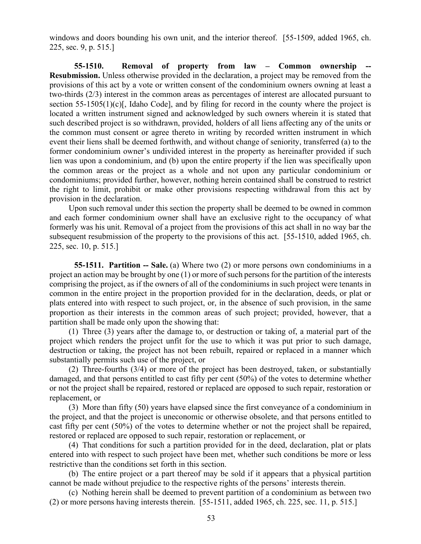windows and doors bounding his own unit, and the interior thereof. [55-1509, added 1965, ch. 225, sec. 9, p. 515.]

**55-1510.** Removal of property from law – Common ownership **Resubmission.** Unless otherwise provided in the declaration, a project may be removed from the provisions of this act by a vote or written consent of the condominium owners owning at least a two-thirds (2/3) interest in the common areas as percentages of interest are allocated pursuant to section  $55-1505(1)(c)$ , Idaho Code), and by filing for record in the county where the project is located a written instrument signed and acknowledged by such owners wherein it is stated that such described project is so withdrawn, provided, holders of all liens affecting any of the units or the common must consent or agree thereto in writing by recorded written instrument in which event their liens shall be deemed forthwith, and without change of seniority, transferred (a) to the former condominium owner's undivided interest in the property as hereinafter provided if such lien was upon a condominium, and (b) upon the entire property if the lien was specifically upon the common areas or the project as a whole and not upon any particular condominium or condominiums; provided further, however, nothing herein contained shall be construed to restrict the right to limit, prohibit or make other provisions respecting withdrawal from this act by provision in the declaration.

Upon such removal under this section the property shall be deemed to be owned in common and each former condominium owner shall have an exclusive right to the occupancy of what formerly was his unit. Removal of a project from the provisions of this act shall in no way bar the subsequent resubmission of the property to the provisions of this act. [55-1510, added 1965, ch. 225, sec. 10, p. 515.]

**55-1511. Partition -- Sale.** (a) Where two (2) or more persons own condominiums in a project an action may be brought by one (1) or more of such persons for the partition of the interests comprising the project, as if the owners of all of the condominiums in such project were tenants in common in the entire project in the proportion provided for in the declaration, deeds, or plat or plats entered into with respect to such project, or, in the absence of such provision, in the same proportion as their interests in the common areas of such project; provided, however, that a partition shall be made only upon the showing that:

(1) Three (3) years after the damage to, or destruction or taking of, a material part of the project which renders the project unfit for the use to which it was put prior to such damage, destruction or taking, the project has not been rebuilt, repaired or replaced in a manner which substantially permits such use of the project, or

(2) Three-fourths (3/4) or more of the project has been destroyed, taken, or substantially damaged, and that persons entitled to cast fifty per cent (50%) of the votes to determine whether or not the project shall be repaired, restored or replaced are opposed to such repair, restoration or replacement, or

(3) More than fifty (50) years have elapsed since the first conveyance of a condominium in the project, and that the project is uneconomic or otherwise obsolete, and that persons entitled to cast fifty per cent (50%) of the votes to determine whether or not the project shall be repaired, restored or replaced are opposed to such repair, restoration or replacement, or

(4) That conditions for such a partition provided for in the deed, declaration, plat or plats entered into with respect to such project have been met, whether such conditions be more or less restrictive than the conditions set forth in this section.

(b) The entire project or a part thereof may be sold if it appears that a physical partition cannot be made without prejudice to the respective rights of the persons' interests therein.

(c) Nothing herein shall be deemed to prevent partition of a condominium as between two (2) or more persons having interests therein. [55-1511, added 1965, ch. 225, sec. 11, p. 515.]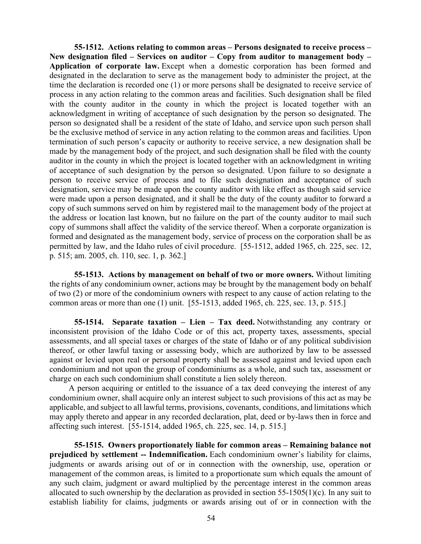**55-1512. Actions relating to common areas – Persons designated to receive process – New designation filed – Services on auditor – Copy from auditor to management body – Application of corporate law.** Except when a domestic corporation has been formed and designated in the declaration to serve as the management body to administer the project, at the time the declaration is recorded one (1) or more persons shall be designated to receive service of process in any action relating to the common areas and facilities. Such designation shall be filed with the county auditor in the county in which the project is located together with an acknowledgment in writing of acceptance of such designation by the person so designated. The person so designated shall be a resident of the state of Idaho, and service upon such person shall be the exclusive method of service in any action relating to the common areas and facilities. Upon termination of such person's capacity or authority to receive service, a new designation shall be made by the management body of the project, and such designation shall be filed with the county auditor in the county in which the project is located together with an acknowledgment in writing of acceptance of such designation by the person so designated. Upon failure to so designate a person to receive service of process and to file such designation and acceptance of such designation, service may be made upon the county auditor with like effect as though said service were made upon a person designated, and it shall be the duty of the county auditor to forward a copy of such summons served on him by registered mail to the management body of the project at the address or location last known, but no failure on the part of the county auditor to mail such copy of summons shall affect the validity of the service thereof. When a corporate organization is formed and designated as the management body, service of process on the corporation shall be as permitted by law, and the Idaho rules of civil procedure. [55-1512, added 1965, ch. 225, sec. 12, p. 515; am. 2005, ch. 110, sec. 1, p. 362.]

**55-1513. Actions by management on behalf of two or more owners.** Without limiting the rights of any condominium owner, actions may be brought by the management body on behalf of two (2) or more of the condominium owners with respect to any cause of action relating to the common areas or more than one (1) unit. [55-1513, added 1965, ch. 225, sec. 13, p. 515.]

**55-1514. Separate taxation – Lien – Tax deed.** Notwithstanding any contrary or inconsistent provision of the Idaho Code or of this act, property taxes, assessments, special assessments, and all special taxes or charges of the state of Idaho or of any political subdivision thereof, or other lawful taxing or assessing body, which are authorized by law to be assessed against or levied upon real or personal property shall be assessed against and levied upon each condominium and not upon the group of condominiums as a whole, and such tax, assessment or charge on each such condominium shall constitute a lien solely thereon.

A person acquiring or entitled to the issuance of a tax deed conveying the interest of any condominium owner, shall acquire only an interest subject to such provisions of this act as may be applicable, and subject to all lawful terms, provisions, covenants, conditions, and limitations which may apply thereto and appear in any recorded declaration, plat, deed or by-laws then in force and affecting such interest. [55-1514, added 1965, ch. 225, sec. 14, p. 515.]

**55-1515. Owners proportionately liable for common areas – Remaining balance not prejudiced by settlement -- Indemnification.** Each condominium owner's liability for claims, judgments or awards arising out of or in connection with the ownership, use, operation or management of the common areas, is limited to a proportionate sum which equals the amount of any such claim, judgment or award multiplied by the percentage interest in the common areas allocated to such ownership by the declaration as provided in section 55-1505(1)(c). In any suit to establish liability for claims, judgments or awards arising out of or in connection with the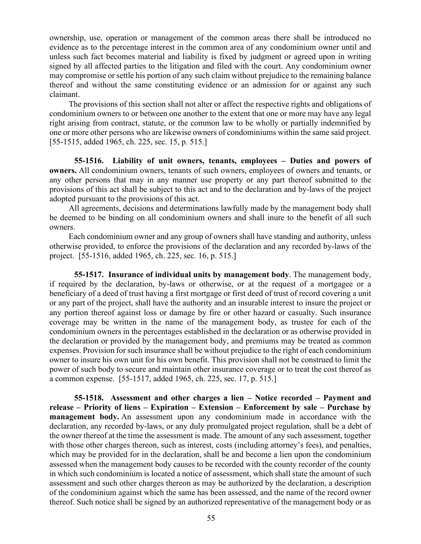ownership, use, operation or management of the common areas there shall be introduced no evidence as to the percentage interest in the common area of any condominium owner until and unless such fact becomes material and liability is fixed by judgment or agreed upon in writing signed by all affected parties to the litigation and filed with the court. Any condominium owner may compromise or settle his portion of any such claim without prejudice to the remaining balance thereof and without the same constituting evidence or an admission for or against any such claimant.

The provisions of this section shall not alter or affect the respective rights and obligations of condominium owners to or between one another to the extent that one or more may have any legal right arising from contract, statute, or the common law to be wholly or partially indemnified by one or more other persons who are likewise owners of condominiums within the same said project. [55-1515, added 1965, ch. 225, sec. 15, p. 515.]

**55-1516. Liability of unit owners, tenants, employees – Duties and powers of owners.** All condominium owners, tenants of such owners, employees of owners and tenants, or any other persons that may in any manner use property or any part thereof submitted to the provisions of this act shall be subject to this act and to the declaration and by-laws of the project adopted pursuant to the provisions of this act.

All agreements, decisions and determinations lawfully made by the management body shall be deemed to be binding on all condominium owners and shall inure to the benefit of all such owners.

Each condominium owner and any group of owners shall have standing and authority, unless otherwise provided, to enforce the provisions of the declaration and any recorded by-laws of the project. [55-1516, added 1965, ch. 225, sec. 16, p. 515.]

**55-1517. Insurance of individual units by management body**. The management body, if required by the declaration, by-laws or otherwise, or at the request of a mortgagee or a beneficiary of a deed of trust having a first mortgage or first deed of trust of record covering a unit or any part of the project, shall have the authority and an insurable interest to insure the project or any portion thereof against loss or damage by fire or other hazard or casualty. Such insurance coverage may be written in the name of the management body, as trustee for each of the condominium owners in the percentages established in the declaration or as otherwise provided in the declaration or provided by the management body, and premiums may be treated as common expenses. Provision for such insurance shall be without prejudice to the right of each condominium owner to insure his own unit for his own benefit. This provision shall not be construed to limit the power of such body to secure and maintain other insurance coverage or to treat the cost thereof as a common expense. [55-1517, added 1965, ch. 225, sec. 17, p. 515.]

**55-1518. Assessment and other charges a lien – Notice recorded – Payment and release – Priority of liens – Expiration – Extension – Enforcement by sale – Purchase by management body.** An assessment upon any condominium made in accordance with the declaration, any recorded by-laws, or any duly promulgated project regulation, shall be a debt of the owner thereof at the time the assessment is made. The amount of any such assessment, together with those other charges thereon, such as interest, costs (including attorney's fees), and penalties, which may be provided for in the declaration, shall be and become a lien upon the condominium assessed when the management body causes to be recorded with the county recorder of the county in which such condominium is located a notice of assessment, which shall state the amount of such assessment and such other charges thereon as may be authorized by the declaration, a description of the condominium against which the same has been assessed, and the name of the record owner thereof. Such notice shall be signed by an authorized representative of the management body or as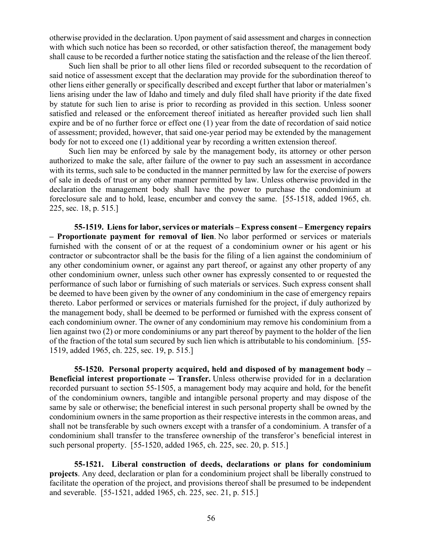otherwise provided in the declaration. Upon payment of said assessment and charges in connection with which such notice has been so recorded, or other satisfaction thereof, the management body shall cause to be recorded a further notice stating the satisfaction and the release of the lien thereof.

Such lien shall be prior to all other liens filed or recorded subsequent to the recordation of said notice of assessment except that the declaration may provide for the subordination thereof to other liens either generally or specifically described and except further that labor or materialmen's liens arising under the law of Idaho and timely and duly filed shall have priority if the date fixed by statute for such lien to arise is prior to recording as provided in this section. Unless sooner satisfied and released or the enforcement thereof initiated as hereafter provided such lien shall expire and be of no further force or effect one (1) year from the date of recordation of said notice of assessment; provided, however, that said one-year period may be extended by the management body for not to exceed one (1) additional year by recording a written extension thereof.

Such lien may be enforced by sale by the management body, its attorney or other person authorized to make the sale, after failure of the owner to pay such an assessment in accordance with its terms, such sale to be conducted in the manner permitted by law for the exercise of powers of sale in deeds of trust or any other manner permitted by law. Unless otherwise provided in the declaration the management body shall have the power to purchase the condominium at foreclosure sale and to hold, lease, encumber and convey the same. [55-1518, added 1965, ch. 225, sec. 18, p. 515.]

**55-1519. Liens for labor, services or materials – Express consent – Emergency repairs – Proportionate payment for removal of lien**. No labor performed or services or materials furnished with the consent of or at the request of a condominium owner or his agent or his contractor or subcontractor shall be the basis for the filing of a lien against the condominium of any other condominium owner, or against any part thereof, or against any other property of any other condominium owner, unless such other owner has expressly consented to or requested the performance of such labor or furnishing of such materials or services. Such express consent shall be deemed to have been given by the owner of any condominium in the case of emergency repairs thereto. Labor performed or services or materials furnished for the project, if duly authorized by the management body, shall be deemed to be performed or furnished with the express consent of each condominium owner. The owner of any condominium may remove his condominium from a lien against two (2) or more condominiums or any part thereof by payment to the holder of the lien of the fraction of the total sum secured by such lien which is attributable to his condominium. [55- 1519, added 1965, ch. 225, sec. 19, p. 515.]

**55-1520. Personal property acquired, held and disposed of by management body – Beneficial interest proportionate -- Transfer.** Unless otherwise provided for in a declaration recorded pursuant to section 55-1505, a management body may acquire and hold, for the benefit of the condominium owners, tangible and intangible personal property and may dispose of the same by sale or otherwise; the beneficial interest in such personal property shall be owned by the condominium owners in the same proportion as their respective interests in the common areas, and shall not be transferable by such owners except with a transfer of a condominium. A transfer of a condominium shall transfer to the transferee ownership of the transferor's beneficial interest in such personal property. [55-1520, added 1965, ch. 225, sec. 20, p. 515.]

**55-1521. Liberal construction of deeds, declarations or plans for condominium projects**. Any deed, declaration or plan for a condominium project shall be liberally construed to facilitate the operation of the project, and provisions thereof shall be presumed to be independent and severable. [55-1521, added 1965, ch. 225, sec. 21, p. 515.]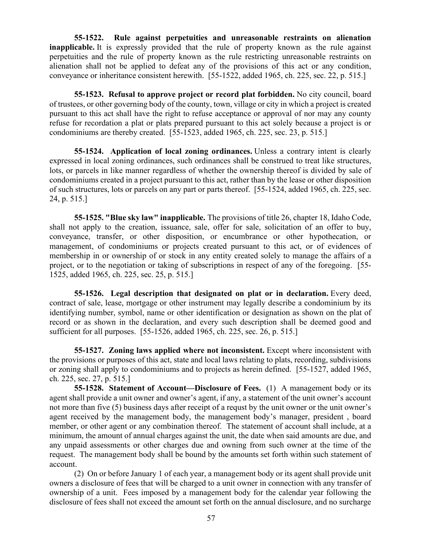**55-1522. Rule against perpetuities and unreasonable restraints on alienation inapplicable.** It is expressly provided that the rule of property known as the rule against perpetuities and the rule of property known as the rule restricting unreasonable restraints on alienation shall not be applied to defeat any of the provisions of this act or any condition, conveyance or inheritance consistent herewith. [55-1522, added 1965, ch. 225, sec. 22, p. 515.]

**55-1523. Refusal to approve project or record plat forbidden.** No city council, board of trustees, or other governing body of the county, town, village or city in which a project is created pursuant to this act shall have the right to refuse acceptance or approval of nor may any county refuse for recordation a plat or plats prepared pursuant to this act solely because a project is or condominiums are thereby created. [55-1523, added 1965, ch. 225, sec. 23, p. 515.]

**55-1524. Application of local zoning ordinances.** Unless a contrary intent is clearly expressed in local zoning ordinances, such ordinances shall be construed to treat like structures, lots, or parcels in like manner regardless of whether the ownership thereof is divided by sale of condominiums created in a project pursuant to this act, rather than by the lease or other disposition of such structures, lots or parcels on any part or parts thereof. [55-1524, added 1965, ch. 225, sec. 24, p. 515.]

**55-1525. "Blue sky law" inapplicable.** The provisions of title 26, chapter 18, Idaho Code, shall not apply to the creation, issuance, sale, offer for sale, solicitation of an offer to buy, conveyance, transfer, or other disposition, or encumbrance or other hypothecation, or management, of condominiums or projects created pursuant to this act, or of evidences of membership in or ownership of or stock in any entity created solely to manage the affairs of a project, or to the negotiation or taking of subscriptions in respect of any of the foregoing. [55- 1525, added 1965, ch. 225, sec. 25, p. 515.]

**55-1526. Legal description that designated on plat or in declaration.** Every deed, contract of sale, lease, mortgage or other instrument may legally describe a condominium by its identifying number, symbol, name or other identification or designation as shown on the plat of record or as shown in the declaration, and every such description shall be deemed good and sufficient for all purposes. [55-1526, added 1965, ch. 225, sec. 26, p. 515.]

**55-1527. Zoning laws applied where not inconsistent.** Except where inconsistent with the provisions or purposes of this act, state and local laws relating to plats, recording, subdivisions or zoning shall apply to condominiums and to projects as herein defined. [55-1527, added 1965, ch. 225, sec. 27, p. 515.]

**55-1528. Statement of Account—Disclosure of Fees.** (1) A management body or its agent shall provide a unit owner and owner's agent, if any, a statement of the unit owner's account not more than five (5) business days after receipt of a requst by the unit owner or the unit owner's agent received by the management body, the management body's manager, president , board member, or other agent or any combination thereof. The statement of account shall include, at a minimum, the amount of annual charges against the unit, the date when said amounts are due, and any unpaid assessments or other charges due and owning from such owner at the time of the request. The management body shall be bound by the amounts set forth within such statement of account.

(2) On or before January 1 of each year, a management body or its agent shall provide unit owners a disclosure of fees that will be charged to a unit owner in connection with any transfer of ownership of a unit. Fees imposed by a management body for the calendar year following the disclosure of fees shall not exceed the amount set forth on the annual disclosure, and no surcharge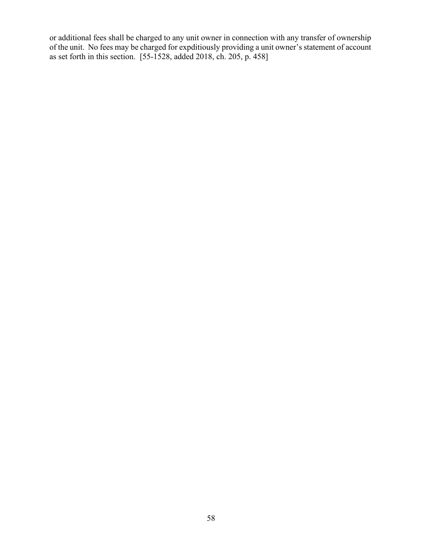or additional fees shall be charged to any unit owner in connection with any transfer of ownership of the unit. No fees may be charged for expditiously providing a unit owner's statement of account as set forth in this section. [55-1528, added 2018, ch. 205, p. 458]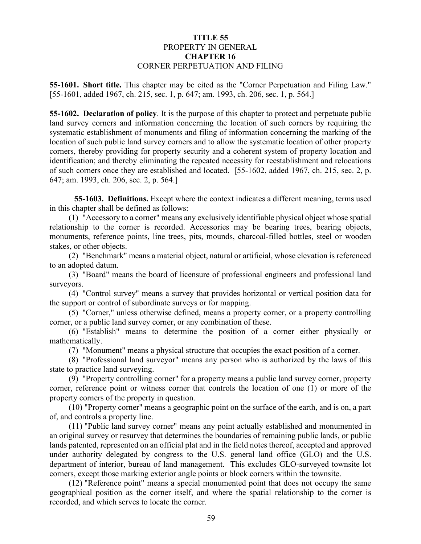# **TITLE 55** PROPERTY IN GENERAL **CHAPTER 16** CORNER PERPETUATION AND FILING

**55-1601. Short title.** This chapter may be cited as the "Corner Perpetuation and Filing Law." [55-1601, added 1967, ch. 215, sec. 1, p. 647; am. 1993, ch. 206, sec. 1, p. 564.]

**55-1602. Declaration of policy**. It is the purpose of this chapter to protect and perpetuate public land survey corners and information concerning the location of such corners by requiring the systematic establishment of monuments and filing of information concerning the marking of the location of such public land survey corners and to allow the systematic location of other property corners, thereby providing for property security and a coherent system of property location and identification; and thereby eliminating the repeated necessity for reestablishment and relocations of such corners once they are established and located. [55-1602, added 1967, ch. 215, sec. 2, p. 647; am. 1993, ch. 206, sec. 2, p. 564.]

**55-1603. Definitions.** Except where the context indicates a different meaning, terms used in this chapter shall be defined as follows:

(1) "Accessory to a corner" means any exclusively identifiable physical object whose spatial relationship to the corner is recorded. Accessories may be bearing trees, bearing objects, monuments, reference points, line trees, pits, mounds, charcoal-filled bottles, steel or wooden stakes, or other objects.

(2) "Benchmark" means a material object, natural or artificial, whose elevation is referenced to an adopted datum.

(3) "Board" means the board of licensure of professional engineers and professional land surveyors.

(4) "Control survey" means a survey that provides horizontal or vertical position data for the support or control of subordinate surveys or for mapping.

(5) "Corner," unless otherwise defined, means a property corner, or a property controlling corner, or a public land survey corner, or any combination of these.

(6) "Establish" means to determine the position of a corner either physically or mathematically.

(7) "Monument" means a physical structure that occupies the exact position of a corner.

(8) "Professional land surveyor" means any person who is authorized by the laws of this state to practice land surveying.

(9) "Property controlling corner" for a property means a public land survey corner, property corner, reference point or witness corner that controls the location of one (1) or more of the property corners of the property in question.

(10) "Property corner" means a geographic point on the surface of the earth, and is on, a part of, and controls a property line.

(11) "Public land survey corner" means any point actually established and monumented in an original survey or resurvey that determines the boundaries of remaining public lands, or public lands patented, represented on an official plat and in the field notes thereof, accepted and approved under authority delegated by congress to the U.S. general land office (GLO) and the U.S. department of interior, bureau of land management. This excludes GLO-surveyed townsite lot corners, except those marking exterior angle points or block corners within the townsite.

(12) "Reference point" means a special monumented point that does not occupy the same geographical position as the corner itself, and where the spatial relationship to the corner is recorded, and which serves to locate the corner.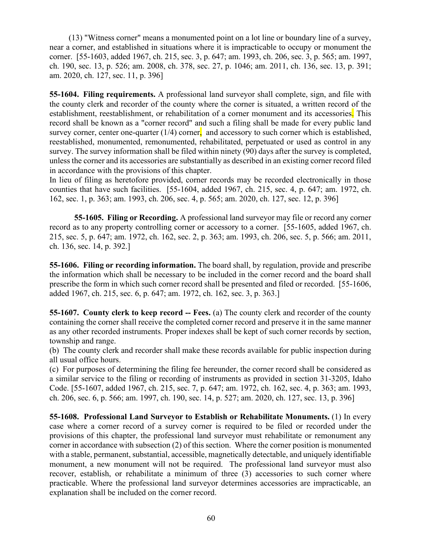(13) "Witness corner" means a monumented point on a lot line or boundary line of a survey, near a corner, and established in situations where it is impracticable to occupy or monument the corner. [55-1603, added 1967, ch. 215, sec. 3, p. 647; am. 1993, ch. 206, sec. 3, p. 565; am. 1997, ch. 190, sec. 13, p. 526; am. 2008, ch. 378, sec. 27, p. 1046; am. 2011, ch. 136, sec. 13, p. 391; am. 2020, ch. 127, sec. 11, p. 396]

**55-1604. Filing requirements.** A professional land surveyor shall complete, sign, and file with the county clerk and recorder of the county where the corner is situated, a written record of the establishment, reestablishment, or rehabilitation of a corner monument and its accessories. This record shall be known as a "corner record" and such a filing shall be made for every public land survey corner, center one-quarter  $(1/4)$  corner, and accessory to such corner which is established, reestablished, monumented, remonumented, rehabilitated, perpetuated or used as control in any survey. The survey information shall be filed within ninety (90) days after the survey is completed, unless the corner and its accessories are substantially as described in an existing corner record filed in accordance with the provisions of this chapter.

In lieu of filing as heretofore provided, corner records may be recorded electronically in those counties that have such facilities. [55-1604, added 1967, ch. 215, sec. 4, p. 647; am. 1972, ch. 162, sec. 1, p. 363; am. 1993, ch. 206, sec. 4, p. 565; am. 2020, ch. 127, sec. 12, p. 396]

**55-1605. Filing or Recording.** A professional land surveyor may file or record any corner record as to any property controlling corner or accessory to a corner. [55-1605, added 1967, ch. 215, sec. 5, p. 647; am. 1972, ch. 162, sec. 2, p. 363; am. 1993, ch. 206, sec. 5, p. 566; am. 2011, ch. 136, sec. 14, p. 392.]

**55-1606. Filing or recording information.** The board shall, by regulation, provide and prescribe the information which shall be necessary to be included in the corner record and the board shall prescribe the form in which such corner record shall be presented and filed or recorded. [55-1606, added 1967, ch. 215, sec. 6, p. 647; am. 1972, ch. 162, sec. 3, p. 363.]

**55-1607. County clerk to keep record -- Fees.** (a) The county clerk and recorder of the county containing the corner shall receive the completed corner record and preserve it in the same manner as any other recorded instruments. Proper indexes shall be kept of such corner records by section, township and range.

(b) The county clerk and recorder shall make these records available for public inspection during all usual office hours.

(c) For purposes of determining the filing fee hereunder, the corner record shall be considered as a similar service to the filing or recording of instruments as provided in section 31-3205, Idaho Code. [55-1607, added 1967, ch. 215, sec. 7, p. 647; am. 1972, ch. 162, sec. 4, p. 363; am. 1993, ch. 206, sec. 6, p. 566; am. 1997, ch. 190, sec. 14, p. 527; am. 2020, ch. 127, sec. 13, p. 396]

**55-1608. Professional Land Surveyor to Establish or Rehabilitate Monuments.** (1) In every case where a corner record of a survey corner is required to be filed or recorded under the provisions of this chapter, the professional land surveyor must rehabilitate or remonument any corner in accordance with subsection (2) of this section. Where the corner position is monumented with a stable, permanent, substantial, accessible, magnetically detectable, and uniquely identifiable monument, a new monument will not be required. The professional land surveyor must also recover, establish, or rehabilitate a minimum of three (3) accessories to such corner where practicable. Where the professional land surveyor determines accessories are impracticable, an explanation shall be included on the corner record.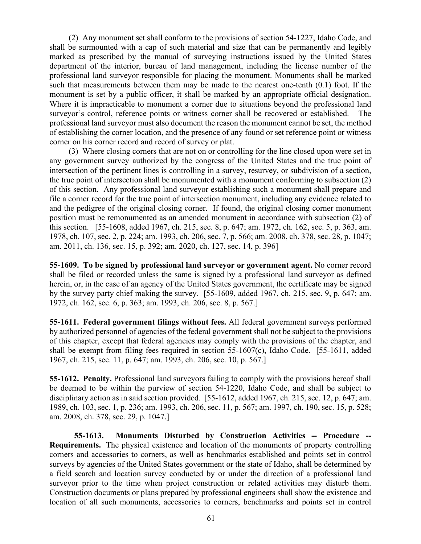(2) Any monument set shall conform to the provisions of section 54-1227, Idaho Code, and shall be surmounted with a cap of such material and size that can be permanently and legibly marked as prescribed by the manual of surveying instructions issued by the United States department of the interior, bureau of land management, including the license number of the professional land surveyor responsible for placing the monument. Monuments shall be marked such that measurements between them may be made to the nearest one-tenth (0.1) foot. If the monument is set by a public officer, it shall be marked by an appropriate official designation. Where it is impracticable to monument a corner due to situations beyond the professional land surveyor's control, reference points or witness corner shall be recovered or established. The professional land surveyor must also document the reason the monument cannot be set, the method of establishing the corner location, and the presence of any found or set reference point or witness corner on his corner record and record of survey or plat.

(3) Where closing corners that are not on or controlling for the line closed upon were set in any government survey authorized by the congress of the United States and the true point of intersection of the pertinent lines is controlling in a survey, resurvey, or subdivision of a section, the true point of intersection shall be monumented with a monument conforming to subsection (2) of this section. Any professional land surveyor establishing such a monument shall prepare and file a corner record for the true point of intersection monument, including any evidence related to and the pedigree of the original closing corner. If found, the original closing corner monument position must be remonumented as an amended monument in accordance with subsection (2) of this section. [55-1608, added 1967, ch. 215, sec. 8, p. 647; am. 1972, ch. 162, sec. 5, p. 363, am. 1978, ch. 107, sec. 2, p. 224; am. 1993, ch. 206, sec. 7, p. 566; am. 2008, ch. 378, sec. 28, p. 1047; am. 2011, ch. 136, sec. 15, p. 392; am. 2020, ch. 127, sec. 14, p. 396]

**55-1609. To be signed by professional land surveyor or government agent.** No corner record shall be filed or recorded unless the same is signed by a professional land surveyor as defined herein, or, in the case of an agency of the United States government, the certificate may be signed by the survey party chief making the survey. [55-1609, added 1967, ch. 215, sec. 9, p. 647; am. 1972, ch. 162, sec. 6, p. 363; am. 1993, ch. 206, sec. 8, p. 567.]

**55-1611. Federal government filings without fees.** All federal government surveys performed by authorized personnel of agencies of the federal government shall not be subject to the provisions of this chapter, except that federal agencies may comply with the provisions of the chapter, and shall be exempt from filing fees required in section 55-1607(c), Idaho Code. [55-1611, added 1967, ch. 215, sec. 11, p. 647; am. 1993, ch. 206, sec. 10, p. 567.]

**55-1612. Penalty.** Professional land surveyors failing to comply with the provisions hereof shall be deemed to be within the purview of section 54-1220, Idaho Code, and shall be subject to disciplinary action as in said section provided. [55-1612, added 1967, ch. 215, sec. 12, p. 647; am. 1989, ch. 103, sec. 1, p. 236; am. 1993, ch. 206, sec. 11, p. 567; am. 1997, ch. 190, sec. 15, p. 528; am. 2008, ch. 378, sec. 29, p. 1047.]

**55-1613. Monuments Disturbed by Construction Activities -- Procedure -- Requirements.** The physical existence and location of the monuments of property controlling corners and accessories to corners, as well as benchmarks established and points set in control surveys by agencies of the United States government or the state of Idaho, shall be determined by a field search and location survey conducted by or under the direction of a professional land surveyor prior to the time when project construction or related activities may disturb them. Construction documents or plans prepared by professional engineers shall show the existence and location of all such monuments, accessories to corners, benchmarks and points set in control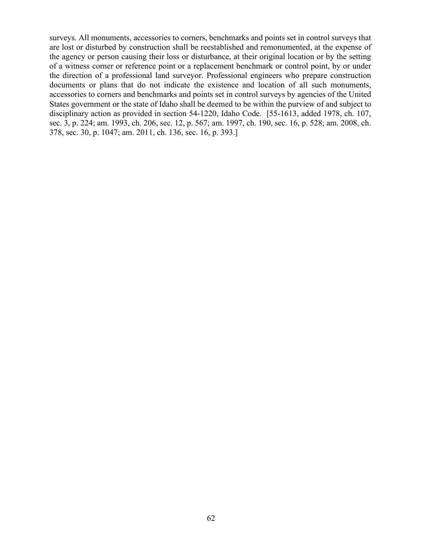surveys. All monuments, accessories to corners, benchmarks and points set in control surveys that are lost or disturbed by construction shall be reestablished and remonumented, at the expense of the agency or person causing their loss or disturbance, at their original location or by the setting of a witness corner or reference point or a replacement benchmark or control point, by or under the direction of a professional land surveyor. Professional engineers who prepare construction documents or plans that do not indicate the existence and location of all such monuments, accessories to corners and benchmarks and points set in control surveys by agencies of the United States government or the state of Idaho shall be deemed to be within the purview of and subject to disciplinary action as provided in section 54-1220, Idaho Code. [55-1613, added 1978, ch. 107, sec. 3, p. 224; am. 1993, ch. 206, sec. 12, p. 567; am. 1997, ch. 190, sec. 16, p. 528; am. 2008, ch. 378, sec. 30, p. 1047; am. 2011, ch. 136, sec. 16, p. 393.]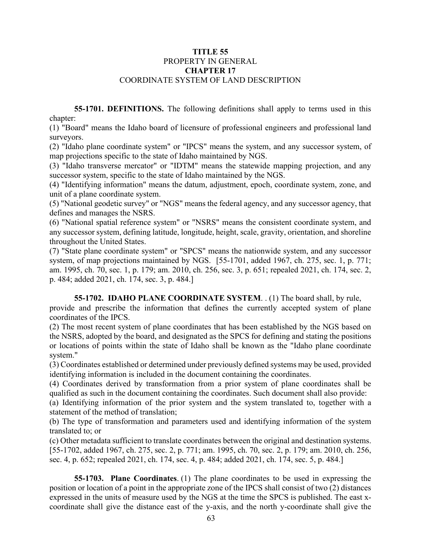## **TITLE 55** PROPERTY IN GENERAL **CHAPTER 17** COORDINATE SYSTEM OF LAND DESCRIPTION

**55-1701. DEFINITIONS.** The following definitions shall apply to terms used in this chapter:

(1) "Board" means the Idaho board of licensure of professional engineers and professional land surveyors.

(2) "Idaho plane coordinate system" or "IPCS" means the system, and any successor system, of map projections specific to the state of Idaho maintained by NGS.

(3) "Idaho transverse mercator" or "IDTM" means the statewide mapping projection, and any successor system, specific to the state of Idaho maintained by the NGS.

(4) "Identifying information" means the datum, adjustment, epoch, coordinate system, zone, and unit of a plane coordinate system.

(5) "National geodetic survey" or "NGS" means the federal agency, and any successor agency, that defines and manages the NSRS.

(6) "National spatial reference system" or "NSRS" means the consistent coordinate system, and any successor system, defining latitude, longitude, height, scale, gravity, orientation, and shoreline throughout the United States.

(7) "State plane coordinate system" or "SPCS" means the nationwide system, and any successor system, of map projections maintained by NGS. [55-1701, added 1967, ch. 275, sec. 1, p. 771; am. 1995, ch. 70, sec. 1, p. 179; am. 2010, ch. 256, sec. 3, p. 651; repealed 2021, ch. 174, sec. 2, p. 484; added 2021, ch. 174, sec. 3, p. 484.]

**55-1702. IDAHO PLANE COORDINATE SYSTEM**. . (1) The board shall, by rule,

provide and prescribe the information that defines the currently accepted system of plane coordinates of the IPCS.

(2) The most recent system of plane coordinates that has been established by the NGS based on the NSRS, adopted by the board, and designated as the SPCS for defining and stating the positions or locations of points within the state of Idaho shall be known as the "Idaho plane coordinate system."

(3) Coordinates established or determined under previously defined systems may be used, provided identifying information is included in the document containing the coordinates.

(4) Coordinates derived by transformation from a prior system of plane coordinates shall be qualified as such in the document containing the coordinates. Such document shall also provide:

(a) Identifying information of the prior system and the system translated to, together with a statement of the method of translation;

(b) The type of transformation and parameters used and identifying information of the system translated to; or

(c) Other metadata sufficient to translate coordinates between the original and destination systems. [55-1702, added 1967, ch. 275, sec. 2, p. 771; am. 1995, ch. 70, sec. 2, p. 179; am. 2010, ch. 256, sec. 4, p. 652; repealed 2021, ch. 174, sec. 4, p. 484; added 2021, ch. 174, sec. 5, p. 484.]

**55-1703. Plane Coordinates**. (1) The plane coordinates to be used in expressing the position or location of a point in the appropriate zone of the IPCS shall consist of two (2) distances expressed in the units of measure used by the NGS at the time the SPCS is published. The east xcoordinate shall give the distance east of the y-axis, and the north y-coordinate shall give the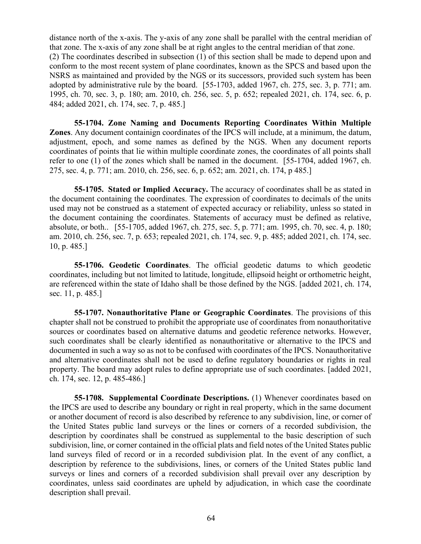distance north of the x-axis. The y-axis of any zone shall be parallel with the central meridian of that zone. The x-axis of any zone shall be at right angles to the central meridian of that zone. (2) The coordinates described in subsection (1) of this section shall be made to depend upon and conform to the most recent system of plane coordinates, known as the SPCS and based upon the NSRS as maintained and provided by the NGS or its successors, provided such system has been adopted by administrative rule by the board. [55-1703, added 1967, ch. 275, sec. 3, p. 771; am. 1995, ch. 70, sec. 3, p. 180; am. 2010, ch. 256, sec. 5, p. 652; repealed 2021, ch. 174, sec. 6, p. 484; added 2021, ch. 174, sec. 7, p. 485.]

**55-1704. Zone Naming and Documents Reporting Coordinates Within Multiple Zones**. Any document containign coordinates of the IPCS will include, at a minimum, the datum, adjustment, epoch, and some names as defined by the NGS. When any document reports coordinates of points that lie within multiple coordinate zones, the coordinates of all points shall refer to one (1) of the zones which shall be named in the document. [55-1704, added 1967, ch. 275, sec. 4, p. 771; am. 2010, ch. 256, sec. 6, p. 652; am. 2021, ch. 174, p 485.]

**55-1705. Stated or Implied Accuracy.** The accuracy of coordinates shall be as stated in the document containing the coordinates. The expression of coordinates to decimals of the units used may not be construed as a statement of expected accuracy or reliability, unless so stated in the document containing the coordinates. Statements of accuracy must be defined as relative, absolute, or both.. [55-1705, added 1967, ch. 275, sec. 5, p. 771; am. 1995, ch. 70, sec. 4, p. 180; am. 2010, ch. 256, sec. 7, p. 653; repealed 2021, ch. 174, sec. 9, p. 485; added 2021, ch. 174, sec. 10, p. 485.]

**55-1706. Geodetic Coordinates**. The official geodetic datums to which geodetic coordinates, including but not limited to latitude, longitude, ellipsoid height or orthometric height, are referenced within the state of Idaho shall be those defined by the NGS. [added 2021, ch. 174, sec. 11, p. 485.]

**55-1707. Nonauthoritative Plane or Geographic Coordinates**. The provisions of this chapter shall not be construed to prohibit the appropriate use of coordinates from nonauthoritative sources or coordinates based on alternative datums and geodetic reference networks. However, such coordinates shall be clearly identified as nonauthoritative or alternative to the IPCS and documented in such a way so as not to be confused with coordinates of the IPCS. Nonauthoritative and alternative coordinates shall not be used to define regulatory boundaries or rights in real property. The board may adopt rules to define appropriate use of such coordinates. [added 2021, ch. 174, sec. 12, p. 485-486.]

**55-1708. Supplemental Coordinate Descriptions.** (1) Whenever coordinates based on the IPCS are used to describe any boundary or right in real property, which in the same document or another document of record is also described by reference to any subdivision, line, or corner of the United States public land surveys or the lines or corners of a recorded subdivision, the description by coordinates shall be construed as supplemental to the basic description of such subdivision, line, or corner contained in the official plats and field notes of the United States public land surveys filed of record or in a recorded subdivision plat. In the event of any conflict, a description by reference to the subdivisions, lines, or corners of the United States public land surveys or lines and corners of a recorded subdivision shall prevail over any description by coordinates, unless said coordinates are upheld by adjudication, in which case the coordinate description shall prevail.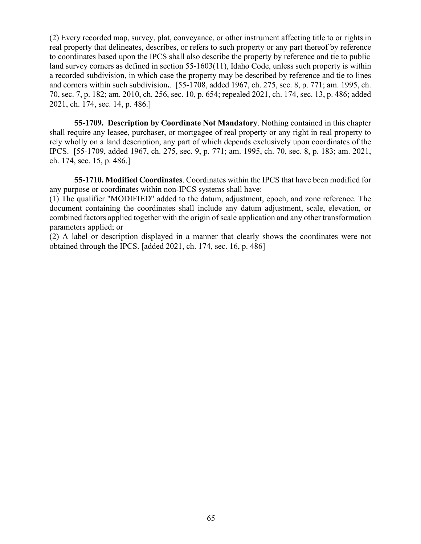(2) Every recorded map, survey, plat, conveyance, or other instrument affecting title to or rights in real property that delineates, describes, or refers to such property or any part thereof by reference to coordinates based upon the IPCS shall also describe the property by reference and tie to public land survey corners as defined in section 55-1603(11), Idaho Code, unless such property is within a recorded subdivision, in which case the property may be described by reference and tie to lines and corners within such subdivision**.**. [55-1708, added 1967, ch. 275, sec. 8, p. 771; am. 1995, ch. 70, sec. 7, p. 182; am. 2010, ch. 256, sec. 10, p. 654; repealed 2021, ch. 174, sec. 13, p. 486; added 2021, ch. 174, sec. 14, p. 486.]

**55-1709. Description by Coordinate Not Mandatory**. Nothing contained in this chapter shall require any leasee, purchaser, or mortgagee of real property or any right in real property to rely wholly on a land description, any part of which depends exclusively upon coordinates of the IPCS. [55-1709, added 1967, ch. 275, sec. 9, p. 771; am. 1995, ch. 70, sec. 8, p. 183; am. 2021, ch. 174, sec. 15, p. 486.]

**55-1710. Modified Coordinates**. Coordinates within the IPCS that have been modified for any purpose or coordinates within non-IPCS systems shall have:

(1) The qualifier "MODIFIED" added to the datum, adjustment, epoch, and zone reference. The document containing the coordinates shall include any datum adjustment, scale, elevation, or combined factors applied together with the origin of scale application and any other transformation parameters applied; or

(2) A label or description displayed in a manner that clearly shows the coordinates were not obtained through the IPCS. [added 2021, ch. 174, sec. 16, p. 486]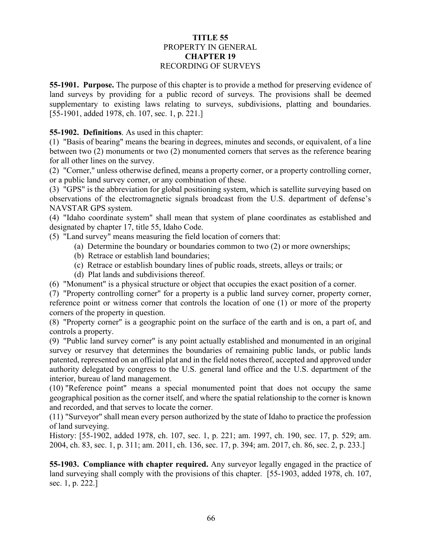# **TITLE 55** PROPERTY IN GENERAL **CHAPTER 19** RECORDING OF SURVEYS

**55-1901. Purpose.** The purpose of this chapter is to provide a method for preserving evidence of land surveys by providing for a public record of surveys. The provisions shall be deemed supplementary to existing laws relating to surveys, subdivisions, platting and boundaries. [55-1901, added 1978, ch. 107, sec. 1, p. 221.]

# **55-1902. Definitions**. As used in this chapter:

(1) "Basis of bearing" means the bearing in degrees, minutes and seconds, or equivalent, of a line between two (2) monuments or two (2) monumented corners that serves as the reference bearing for all other lines on the survey.

(2) "Corner," unless otherwise defined, means a property corner, or a property controlling corner, or a public land survey corner, or any combination of these.

(3) "GPS" is the abbreviation for global positioning system, which is satellite surveying based on observations of the electromagnetic signals broadcast from the U.S. department of defense's NAVSTAR GPS system.

(4) "Idaho coordinate system" shall mean that system of plane coordinates as established and designated by [chapter 17, title 55,](https://legislature.idaho.gov/statutesrules/idstat/Title55/T55CH17) Idaho Code.

(5) "Land survey" means measuring the field location of corners that:

- (a) Determine the boundary or boundaries common to two (2) or more ownerships;
- (b) Retrace or establish land boundaries;
- (c) Retrace or establish boundary lines of public roads, streets, alleys or trails; or
- (d) Plat lands and subdivisions thereof.

(6) "Monument" is a physical structure or object that occupies the exact position of a corner.

(7) "Property controlling corner" for a property is a public land survey corner, property corner, reference point or witness corner that controls the location of one (1) or more of the property corners of the property in question.

(8) "Property corner" is a geographic point on the surface of the earth and is on, a part of, and controls a property.

(9) "Public land survey corner" is any point actually established and monumented in an original survey or resurvey that determines the boundaries of remaining public lands, or public lands patented, represented on an official plat and in the field notes thereof, accepted and approved under authority delegated by congress to the U.S. general land office and the U.S. department of the interior, bureau of land management.

(10) "Reference point" means a special monumented point that does not occupy the same geographical position as the corner itself, and where the spatial relationship to the corner is known and recorded, and that serves to locate the corner.

(11) "Surveyor" shall mean every person authorized by the state of Idaho to practice the profession of land surveying.

History: [55-1902, added 1978, ch. 107, sec. 1, p. 221; am. 1997, ch. 190, sec. 17, p. 529; am. 2004, ch. 83, sec. 1, p. 311; am. 2011, ch. 136, sec. 17, p. 394; am. 2017, ch. 86, sec. 2, p. 233.]

**55-1903. Compliance with chapter required.** Any surveyor legally engaged in the practice of land surveying shall comply with the provisions of this chapter. [55-1903, added 1978, ch. 107, sec. 1, p. 222.]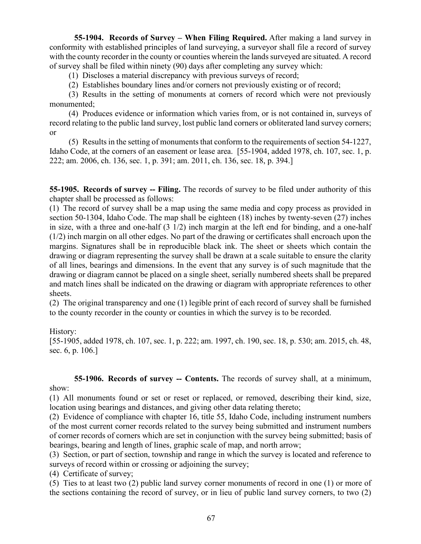**55-1904. Records of Survey – When Filing Required.** After making a land survey in conformity with established principles of land surveying, a surveyor shall file a record of survey with the county recorder in the county or counties wherein the lands surveyed are situated. A record of survey shall be filed within ninety (90) days after completing any survey which:

(1) Discloses a material discrepancy with previous surveys of record;

(2) Establishes boundary lines and/or corners not previously existing or of record;

(3) Results in the setting of monuments at corners of record which were not previously monumented;

(4) Produces evidence or information which varies from, or is not contained in, surveys of record relating to the public land survey, lost public land corners or obliterated land survey corners; or

(5) Results in the setting of monuments that conform to the requirements of section 54-1227, Idaho Code, at the corners of an easement or lease area. [55-1904, added 1978, ch. 107, sec. 1, p. 222; am. 2006, ch. 136, sec. 1, p. 391; am. 2011, ch. 136, sec. 18, p. 394.]

**55-1905. Records of survey -- Filing.** The records of survey to be filed under authority of this chapter shall be processed as follows:

(1) The record of survey shall be a map using the same media and copy process as provided in section [50-1304,](http://legislature.idaho.gov/idstat/Title50/T50CH13SECT50-1304.htm) Idaho Code. The map shall be eighteen (18) inches by twenty-seven (27) inches in size, with a three and one-half  $(3 \frac{1}{2})$  inch margin at the left end for binding, and a one-half (1/2) inch margin on all other edges. No part of the drawing or certificates shall encroach upon the margins. Signatures shall be in reproducible black ink. The sheet or sheets which contain the drawing or diagram representing the survey shall be drawn at a scale suitable to ensure the clarity of all lines, bearings and dimensions. In the event that any survey is of such magnitude that the drawing or diagram cannot be placed on a single sheet, serially numbered sheets shall be prepared and match lines shall be indicated on the drawing or diagram with appropriate references to other sheets.

(2) The original transparency and one (1) legible print of each record of survey shall be furnished to the county recorder in the county or counties in which the survey is to be recorded.

History:

[55-1905, added 1978, ch. 107, sec. 1, p. 222; am. 1997, ch. 190, sec. 18, p. 530; am. 2015, ch. 48, sec. 6, p. 106.]

**55-1906. Records of survey -- Contents.** The records of survey shall, at a minimum, show:

(1) All monuments found or set or reset or replaced, or removed, describing their kind, size, location using bearings and distances, and giving other data relating thereto;

(2) Evidence of compliance with [chapter 16, title 55,](http://legislature.idaho.gov/idstat/Title55/T55CH16.htm) Idaho Code, including instrument numbers of the most current corner records related to the survey being submitted and instrument numbers of corner records of corners which are set in conjunction with the survey being submitted; basis of bearings, bearing and length of lines, graphic scale of map, and north arrow;

(3) Section, or part of section, township and range in which the survey is located and reference to surveys of record within or crossing or adjoining the survey;

(4) Certificate of survey;

(5) Ties to at least two (2) public land survey corner monuments of record in one (1) or more of the sections containing the record of survey, or in lieu of public land survey corners, to two (2)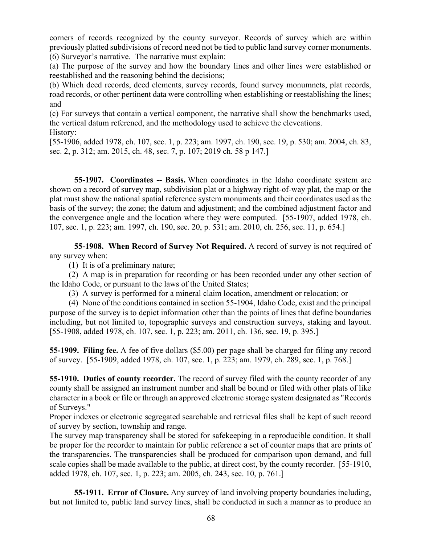corners of records recognized by the county surveyor. Records of survey which are within previously platted subdivisions of record need not be tied to public land survey corner monuments. (6) Surveyor's narrative. The narrative must explain:

(a) The purpose of the survey and how the boundary lines and other lines were established or reestablished and the reasoning behind the decisions;

(b) Which deed records, deed elements, survey records, found survey monumnets, plat records, road records, or other pertinent data were controlling when establishing or reestablishing the lines; and

(c) For surveys that contain a vertical component, the narrative shall show the benchmarks used, the vertical datum referencd, and the methodology used to achieve the eleveations. History:

[55-1906, added 1978, ch. 107, sec. 1, p. 223; am. 1997, ch. 190, sec. 19, p. 530; am. 2004, ch. 83, sec. 2, p. 312; am. 2015, ch. 48, sec. 7, p. 107; 2019 ch. 58 p 147.]

**55-1907. Coordinates -- Basis.** When coordinates in the Idaho coordinate system are shown on a record of survey map, subdivision plat or a highway right-of-way plat, the map or the plat must show the national spatial reference system monuments and their coordinates used as the basis of the survey; the zone; the datum and adjustment; and the combined adjustment factor and the convergence angle and the location where they were computed. [55-1907, added 1978, ch. 107, sec. 1, p. 223; am. 1997, ch. 190, sec. 20, p. 531; am. 2010, ch. 256, sec. 11, p. 654.]

**55-1908. When Record of Survey Not Required.** A record of survey is not required of any survey when:

(1) It is of a preliminary nature;

(2) A map is in preparation for recording or has been recorded under any other section of the Idaho Code, or pursuant to the laws of the United States;

(3) A survey is performed for a mineral claim location, amendment or relocation; or

(4) None of the conditions contained in section 55-1904, Idaho Code, exist and the principal purpose of the survey is to depict information other than the points of lines that define boundaries including, but not limited to, topographic surveys and construction surveys, staking and layout. [55-1908, added 1978, ch. 107, sec. 1, p. 223; am. 2011, ch. 136, sec. 19, p. 395.]

**55-1909. Filing fee.** A fee of five dollars (\$5.00) per page shall be charged for filing any record of survey. [55-1909, added 1978, ch. 107, sec. 1, p. 223; am. 1979, ch. 289, sec. 1, p. 768.]

**55-1910. Duties of county recorder.** The record of survey filed with the county recorder of any county shall be assigned an instrument number and shall be bound or filed with other plats of like character in a book or file or through an approved electronic storage system designated as "Records of Surveys."

Proper indexes or electronic segregated searchable and retrieval files shall be kept of such record of survey by section, township and range.

The survey map transparency shall be stored for safekeeping in a reproducible condition. It shall be proper for the recorder to maintain for public reference a set of counter maps that are prints of the transparencies. The transparencies shall be produced for comparison upon demand, and full scale copies shall be made available to the public, at direct cost, by the county recorder. [55-1910, added 1978, ch. 107, sec. 1, p. 223; am. 2005, ch. 243, sec. 10, p. 761.]

**55-1911. Error of Closure.** Any survey of land involving property boundaries including, but not limited to, public land survey lines, shall be conducted in such a manner as to produce an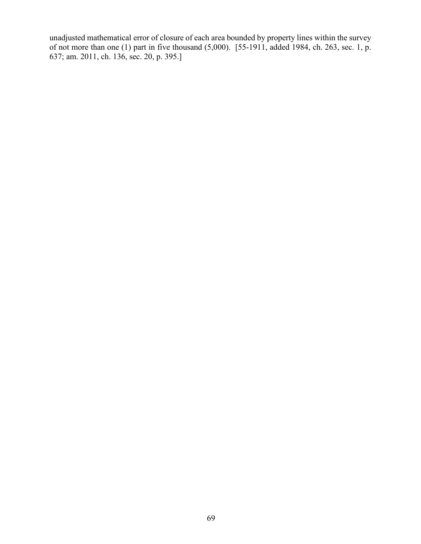unadjusted mathematical error of closure of each area bounded by property lines within the survey of not more than one (1) part in five thousand (5,000). [55-1911, added 1984, ch. 263, sec. 1, p. 637; am. 2011, ch. 136, sec. 20, p. 395.]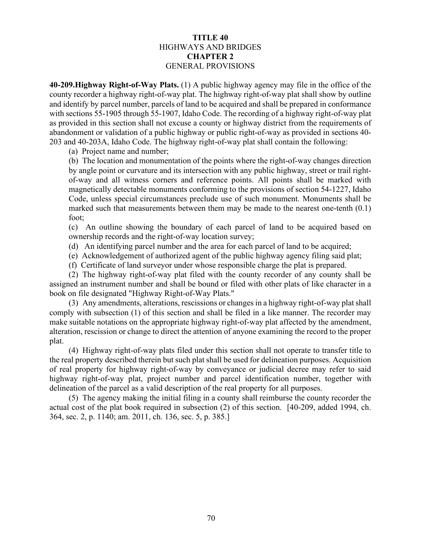# **TITLE 40** HIGHWAYS AND BRIDGES **CHAPTER 2** GENERAL PROVISIONS

**40-209.Highway Right-of-Way Plats.** (1) A public highway agency may file in the office of the county recorder a highway right-of-way plat. The highway right-of-way plat shall show by outline and identify by parcel number, parcels of land to be acquired and shall be prepared in conformance with sections 55-1905 through 55-1907, Idaho Code. The recording of a highway right-of-way plat as provided in this section shall not excuse a county or highway district from the requirements of abandonment or validation of a public highway or public right-of-way as provided in sections 40- 203 and 40-203A, Idaho Code. The highway right-of-way plat shall contain the following:

(a) Project name and number;

(b) The location and monumentation of the points where the right-of-way changes direction by angle point or curvature and its intersection with any public highway, street or trail rightof-way and all witness corners and reference points. All points shall be marked with magnetically detectable monuments conforming to the provisions of section 54-1227, Idaho Code, unless special circumstances preclude use of such monument. Monuments shall be marked such that measurements between them may be made to the nearest one-tenth (0.1) foot;

(c) An outline showing the boundary of each parcel of land to be acquired based on ownership records and the right-of-way location survey;

- (d) An identifying parcel number and the area for each parcel of land to be acquired;
- (e) Acknowledgement of authorized agent of the public highway agency filing said plat;

(f) Certificate of land surveyor under whose responsible charge the plat is prepared.

(2) The highway right-of-way plat filed with the county recorder of any county shall be assigned an instrument number and shall be bound or filed with other plats of like character in a book on file designated "Highway Right-of-Way Plats."

(3) Any amendments, alterations, rescissions or changes in a highway right-of-way plat shall comply with subsection (1) of this section and shall be filed in a like manner. The recorder may make suitable notations on the appropriate highway right-of-way plat affected by the amendment, alteration, rescission or change to direct the attention of anyone examining the record to the proper plat.

(4) Highway right-of-way plats filed under this section shall not operate to transfer title to the real property described therein but such plat shall be used for delineation purposes. Acquisition of real property for highway right-of-way by conveyance or judicial decree may refer to said highway right-of-way plat, project number and parcel identification number, together with delineation of the parcel as a valid description of the real property for all purposes.

(5) The agency making the initial filing in a county shall reimburse the county recorder the actual cost of the plat book required in subsection (2) of this section. [40-209, added 1994, ch. 364, sec. 2, p. 1140; am. 2011, ch. 136, sec. 5, p. 385.]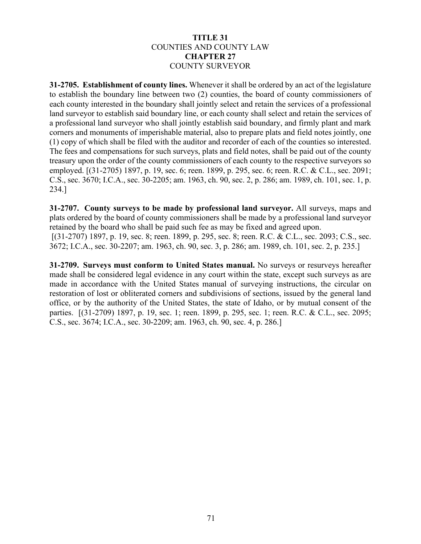## **TITLE 31** COUNTIES AND COUNTY LAW **CHAPTER 27** COUNTY SURVEYOR

**31-2705. Establishment of county lines.** Whenever it shall be ordered by an act of the legislature to establish the boundary line between two (2) counties, the board of county commissioners of each county interested in the boundary shall jointly select and retain the services of a professional land surveyor to establish said boundary line, or each county shall select and retain the services of a professional land surveyor who shall jointly establish said boundary, and firmly plant and mark corners and monuments of imperishable material, also to prepare plats and field notes jointly, one (1) copy of which shall be filed with the auditor and recorder of each of the counties so interested. The fees and compensations for such surveys, plats and field notes, shall be paid out of the county treasury upon the order of the county commissioners of each county to the respective surveyors so employed. [(31-2705) 1897, p. 19, sec. 6; reen. 1899, p. 295, sec. 6; reen. R.C. & C.L., sec. 2091; C.S., sec. 3670; I.C.A., sec. 30-2205; am. 1963, ch. 90, sec. 2, p. 286; am. 1989, ch. 101, sec. 1, p. 234.]

**31-2707. County surveys to be made by professional land surveyor.** All surveys, maps and plats ordered by the board of county commissioners shall be made by a professional land surveyor retained by the board who shall be paid such fee as may be fixed and agreed upon. [(31-2707) 1897, p. 19, sec. 8; reen. 1899, p. 295, sec. 8; reen. R.C. & C.L., sec. 2093; C.S., sec. 3672; I.C.A., sec. 30-2207; am. 1963, ch. 90, sec. 3, p. 286; am. 1989, ch. 101, sec. 2, p. 235.]

**31-2709. Surveys must conform to United States manual.** No surveys or resurveys hereafter made shall be considered legal evidence in any court within the state, except such surveys as are made in accordance with the United States manual of surveying instructions, the circular on restoration of lost or obliterated corners and subdivisions of sections, issued by the general land office, or by the authority of the United States, the state of Idaho, or by mutual consent of the parties. [(31-2709) 1897, p. 19, sec. 1; reen. 1899, p. 295, sec. 1; reen. R.C. & C.L., sec. 2095; C.S., sec. 3674; I.C.A., sec. 30-2209; am. 1963, ch. 90, sec. 4, p. 286.]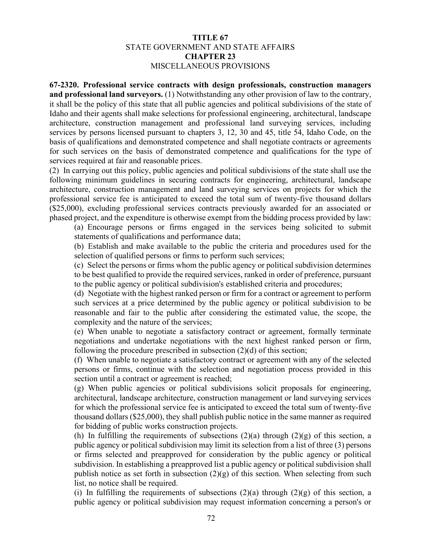## **TITLE 67** STATE GOVERNMENT AND STATE AFFAIRS **CHAPTER 23** MISCELLANEOUS PROVISIONS

**67-2320. Professional service contracts with design professionals, construction managers and professional land surveyors.** (1) Notwithstanding any other provision of law to the contrary, it shall be the policy of this state that all public agencies and political subdivisions of the state of Idaho and their agents shall make selections for professional engineering, architectural, landscape architecture, construction management and professional land surveying services, including services by persons licensed pursuant to chapters 3, 12, 30 and 45, title 54, Idaho Code, on the basis of qualifications and demonstrated competence and shall negotiate contracts or agreements for such services on the basis of demonstrated competence and qualifications for the type of services required at fair and reasonable prices.

(2) In carrying out this policy, public agencies and political subdivisions of the state shall use the following minimum guidelines in securing contracts for engineering, architectural, landscape architecture, construction management and land surveying services on projects for which the professional service fee is anticipated to exceed the total sum of twenty-five thousand dollars (\$25,000), excluding professional services contracts previously awarded for an associated or phased project, and the expenditure is otherwise exempt from the bidding process provided by law:

(a) Encourage persons or firms engaged in the services being solicited to submit statements of qualifications and performance data;

(b) Establish and make available to the public the criteria and procedures used for the selection of qualified persons or firms to perform such services;

(c) Select the persons or firms whom the public agency or political subdivision determines to be best qualified to provide the required services, ranked in order of preference, pursuant to the public agency or political subdivision's established criteria and procedures;

(d) Negotiate with the highest ranked person or firm for a contract or agreement to perform such services at a price determined by the public agency or political subdivision to be reasonable and fair to the public after considering the estimated value, the scope, the complexity and the nature of the services;

(e) When unable to negotiate a satisfactory contract or agreement, formally terminate negotiations and undertake negotiations with the next highest ranked person or firm, following the procedure prescribed in subsection (2)(d) of this section;

(f) When unable to negotiate a satisfactory contract or agreement with any of the selected persons or firms, continue with the selection and negotiation process provided in this section until a contract or agreement is reached;

(g) When public agencies or political subdivisions solicit proposals for engineering, architectural, landscape architecture, construction management or land surveying services for which the professional service fee is anticipated to exceed the total sum of twenty-five thousand dollars (\$25,000), they shall publish public notice in the same manner as required for bidding of public works construction projects.

(h) In fulfilling the requirements of subsections  $(2)(a)$  through  $(2)(g)$  of this section, a public agency or political subdivision may limit its selection from a list of three (3) persons or firms selected and preapproved for consideration by the public agency or political subdivision. In establishing a preapproved list a public agency or political subdivision shall publish notice as set forth in subsection  $(2)(g)$  of this section. When selecting from such list, no notice shall be required.

(i) In fulfilling the requirements of subsections  $(2)(a)$  through  $(2)(g)$  of this section, a public agency or political subdivision may request information concerning a person's or